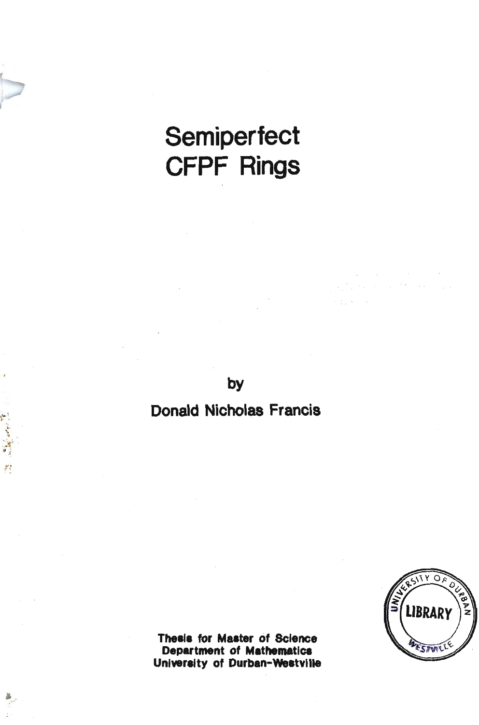

 $\mathbf{r}$ 

# **Semiperfect CFPF Rings**

 $\mathcal{L}_{\rm eff}$  $\mathcal{A}=\mathcal{A}^{(1)}$  ,  $\mathcal{A}^{(2)}$  $\mathcal{L}^{\mathcal{L}}$ 

**by** 

# **Donald Nicholas Francis**



**Thesis for Master of Science Department of Mathematics University of Durban-Westville**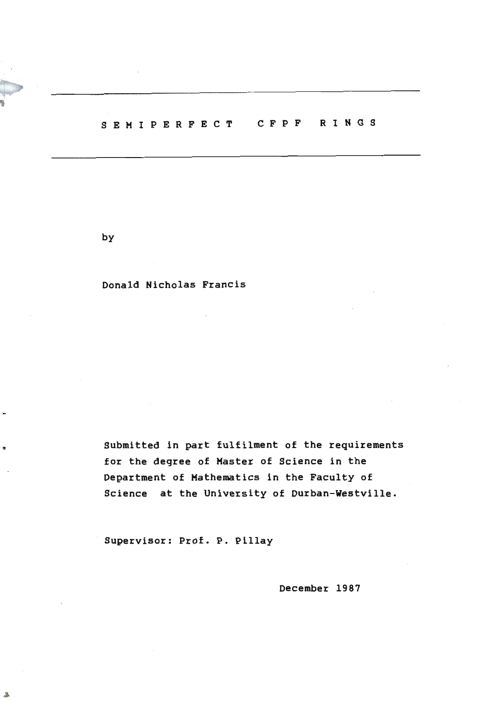

by

•

基

Donald Nicholas Francis

Submitted in part fulfilment of the requirements for the degree of Master of Science in the Department of Mathematics in the Faculty of Science at the University of Durban-Westville.

Supervisor: Prof. P. Pillay

December 1987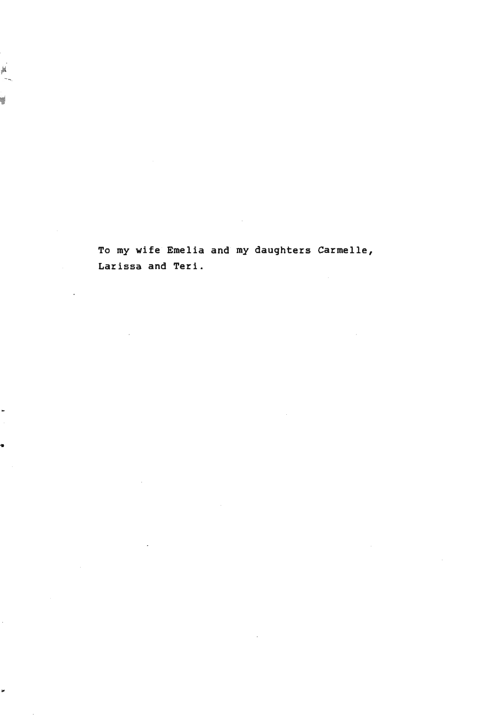To my wife Emelia and my daughters Carmelle, Larissa and Teri .

•

机

Ŵ.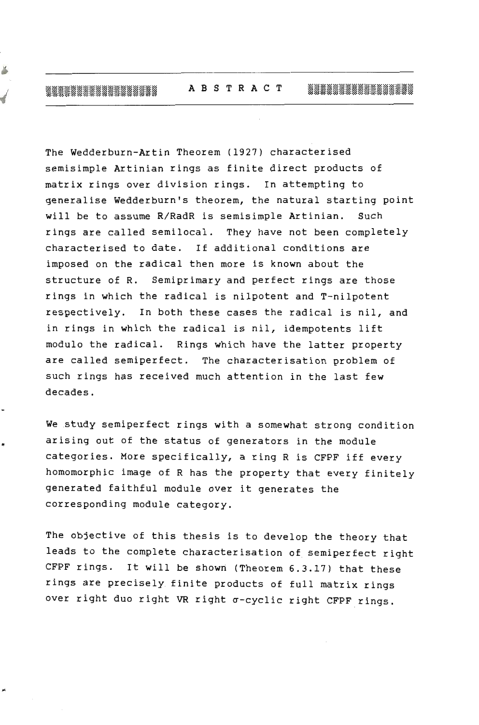#### 1IIIIItlllllllllll A BST RAC T 11I11111111111111

ě

ď

The Wedderburn-Artin Theorem (1927) characterised semisimple Artinian rings as finite direct products of matrix rings over division rings. In attempting to generalise Wedderburn's theorem, the natural starting point will be to assume R/RadR is semisimple Artinian. Such rings are called semilocal. They have not been completely characterised to date. If additional conditions are imposed on the radical then more is known about the structure of R. Semiprimary and perfect rings are those rings in which the radical is nilpotent and T-nilpotent respectively. In both these cases the radical is nil, and in rings in which the radical is nil, idempotents lift modulo the radical. Rings which have the latter property are called semiperfect. The characterisation problem of such rings has received much attention in the last few decades.

We study semiperfect rings with a somewhat strong condition arising out of the status of generators in the module categories. More specifically, a ring R is CFPF iff every homomorphic image of R has the property that every finitely generated faithful module over it generates the corresponding module category.

The objective of this thesis is to develop the theory that leads to the complete characterisation of semiperfect right CFPF rings. It will be shown (Theorem 6.3.17) that these rings are precisely finite products of full matrix rings over right duo right VR right a-cyclic right CFPF rings.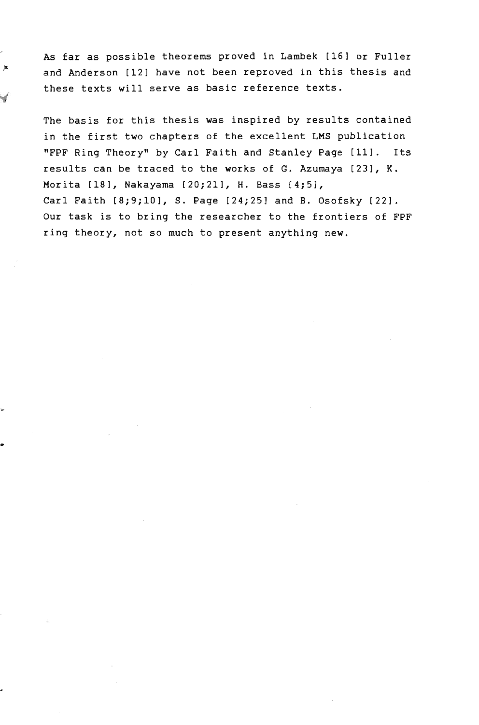As far as possible theorems proved in Lambek [16] or Fuller and Anderson [12] have not been reproved in this thesis and these texts will serve as basic reference texts.

The basis for this thesis was inspired by results contained in the first two chapters of the excellent LMS publication "FPF Ring Theory" by Carl Faith and Stanley Page [11]. Its results can be traced to the works of G. Azumaya [23], K. Morita [18], Nakayama [20;21], H. Bass [4;5], Carl Faith [8;9;10], S. Page [24;25] and B. Osofsky [22]. Our task is to bring the researcher to the frontiers of FPF ring theory, not 50 much to present anything new.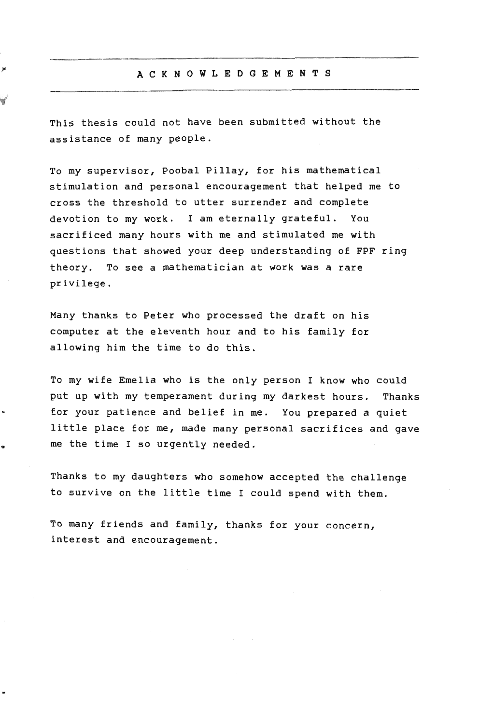## A C K NOW LED GEM ENT S A C K N O W L E D G E M E N T S

--\_ .. \_--\_.\_.\_-------- -----------------

This thesis could not have been submitted without the assistance of many people.

×

To my supervisor, Poobal Pillay, for his mathematical stimulation and personal encouragement that helped me to cross the threshold to utter surrender and complete devotion to my work. I am eternally grateful. You sacrificed many hours with me and stimulated me with questions that showed your deep understanding of FPF ring theory. To see a mathematician at work was a rare privilege.

Many thanks to Peter who processed the draft on his computer at the eleventh hour and to his family for allowing him the time to do this.

To my wife Emelia who is the only person I know who could put up with my temperament during my darkest hours. Thanks for your patience and belief in me. You prepared a quiet little place for me, made many personal sacrifices and gave me the time I so urgently needed.

Thanks to my daughters who somehow accepted the challenge to survive on the little time I could spend with them.

To many friends and family, thanks for your concern, interest and encouragement.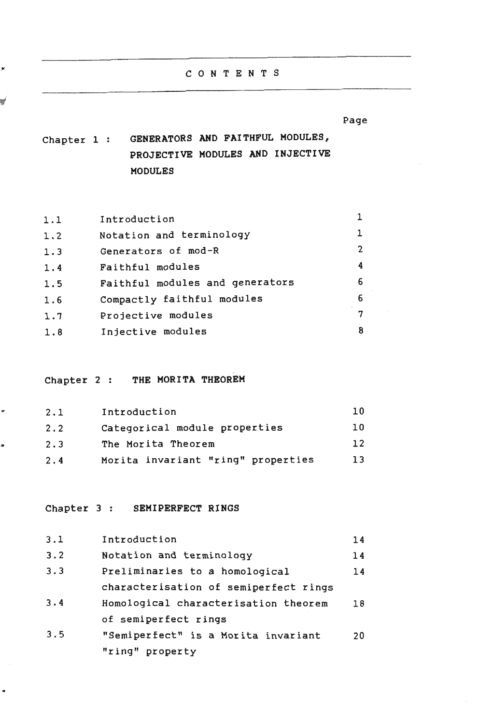#### CON TEN T S

Page

## Chapter 1 : GENERATORS AND FAITHFUL MODULES, PROJECTIVE MODULES AND INJECTIVE MODULES

| 1.1 | Introduction                    |   |
|-----|---------------------------------|---|
| 1.2 | Notation and terminology        |   |
| 1.3 | Generators of mod-R             | 2 |
| 1.4 | Faithful modules                | 4 |
| 1.5 | Faithful modules and generators | 6 |
| 1.6 | Compactly faithful modules      | 6 |
| 1.7 | Projective modules              | 7 |
| 1.8 | Injective modules               | 8 |

## Chapter 2 : THE MORITA THEOREM

| 2.1 | Introduction                       | 1 O             |
|-----|------------------------------------|-----------------|
| 2.2 | Categorical module properties      | 10              |
| 2.3 | The Morita Theorem                 | 12 <sup>°</sup> |
| 2.4 | Morita invariant "ring" properties | 13              |

## Chapter 3 : SEMIPERFECT RINGS

•

 $\bullet$ 

r

×

| 3.1 | Introduction                          | 14 |
|-----|---------------------------------------|----|
| 3.2 | Notation and terminology              | 14 |
| 3.3 | Preliminaries to a homological        | 14 |
|     | characterisation of semiperfect rings |    |
| 3.4 | Homological characterisation theorem  | 18 |
|     | of semiperfect rings                  |    |
| 3.5 | "Semiperfect" is a Morita invariant   | 20 |
|     | "ring" property                       |    |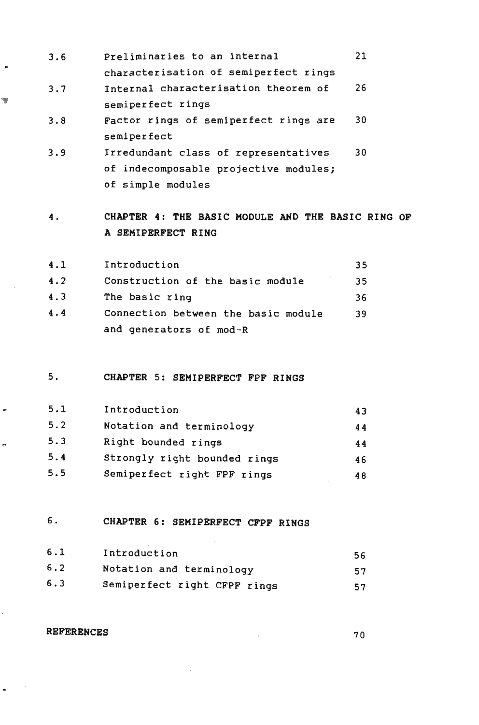| 3.6 | Preliminaries to an internal          | 21 |
|-----|---------------------------------------|----|
|     | characterisation of semiperfect rings |    |
| 3.7 | Internal characterisation theorem of  | 26 |
|     | semiperfect rings                     |    |
| 3.8 | Factor rings of semiperfect rings are | 30 |
|     | semiperfect                           |    |
| 3.9 | Irredundant class of representatives  | 30 |
|     | of indecomposable projective modules; |    |
|     | of simple modules                     |    |

4. CHAPTER 4: THE BASIC MODULE AND THE BASIC RING OF A SEMI PERFECT RING

| 4.1 | Introduction                        | 35 |
|-----|-------------------------------------|----|
| 4.2 | Construction of the basic module    | 35 |
| 4.3 | The basic ring                      | 36 |
| 4.4 | Connection between the basic module | 39 |
|     | and generators of mod-R             |    |

### 5. CHAPTER 5: SEMIPERFECT FPF RINGS

| 5.1 | Introduction                 | 43 |
|-----|------------------------------|----|
| 5.2 | Notation and terminology     | 44 |
| 5.3 | Right bounded rings          | 44 |
| 5.4 | Strongly right bounded rings | 46 |
| 5.5 | Semiperfect right FPF rings  | 48 |

6. CHAPTER 6: SEMIPERFECT CFPF RINGS

| 6.1 | Introduction                 | 56. |
|-----|------------------------------|-----|
| 6.2 | Notation and terminology     | 57  |
| 6.3 | Semiperfect right CFPF rings | 57. |

REFERENCES

 $\mathbf{r}$ 

Ŵ

 $\ddot{\phantom{0}}$ 

 $\hat{\mathcal{D}}$ 

i,

70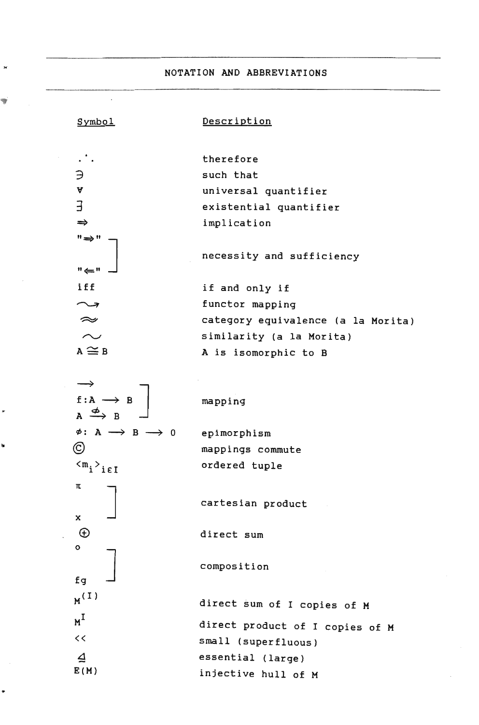#### NOTATION AND ABBREVIATIONS

#### Symbol  $\mathfrak{Z}$ V 3 ~  $" \Leftrightarrow "$ <br> $" \Leftrightarrow "$ iff  $\sim$  $\approx$  $\sim$  $A \cong B$ ~  $f:A \longrightarrow B$  $A \xrightarrow{\text{ab}} B$ **Description** therefore such that universal quantifier existential quantifier implication necessity and sufficiency if and only if functor mapping category equivalence (a la Morita) similarity (a la Morita) A is isomorphic to B mapping  $\phi: A \longrightarrow B \longrightarrow 0$  epimorphism mappings commute ordered tuple ©  $\langle m_i \rangle$ ieI  $\begin{bmatrix} 1 \\ 2 \end{bmatrix}$ ®  $\circ$  $\begin{bmatrix} 0 & 1 \ 0 & 1 \end{bmatrix}$  $M(1)$  $M^I$  $<<$  $\Delta$  $E(M)$ cartesian product direct sum composition direct sum of I copies of M direct product of I copies of M small (superfluous) essential (large) injective hull of M

..

•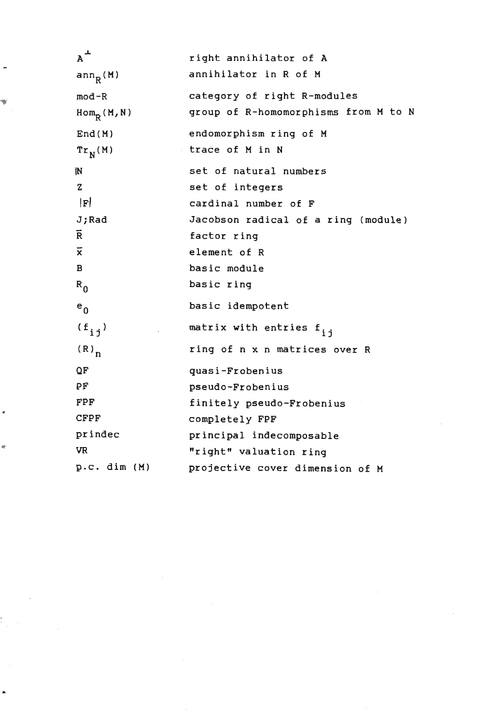| $A^{\perp}$        | right annihilator of A               |
|--------------------|--------------------------------------|
| $ann_R(M)$         | annihilator in R of M                |
| $mod-R$            | category of right R-modules          |
| $Hom_R(M,N)$       | group of R-homomorphisms from M to N |
| End(M)             | endomorphism ring of M               |
| $Tr_N(M)$          | trace of M in N                      |
| İN                 | set of natural numbers               |
| $\mathbf{z}$       | set of integers                      |
| F                  | cardinal number of F                 |
| J;Rad              | Jacobson radical of a ring (module)  |
| Ŕ.                 | factor ring                          |
| $\overline{x}$     | element of R                         |
| в                  | basic module                         |
| $R_{\Omega}$       | basic ring                           |
| $e_{0}$            | basic idempotent                     |
| $(f_{i,j})$        | matrix with entries f <sub>ii</sub>  |
| $(R)$ <sub>n</sub> | ring of n x n matrices over R        |
| QF                 | quasi-Frobenius                      |
| PF                 | pseudo-Frobenius                     |
| FPF                | finitely pseudo-Frobenius            |
| <b>CFPF</b>        | completely FPF                       |
| prindec            | principal indecomposable             |
| VR.                | "right" valuation ring               |
| $p.c.$ dim $(M)$   | projective cover dimension of M      |

•

..

 $\mathcal{L}_{\text{max}}$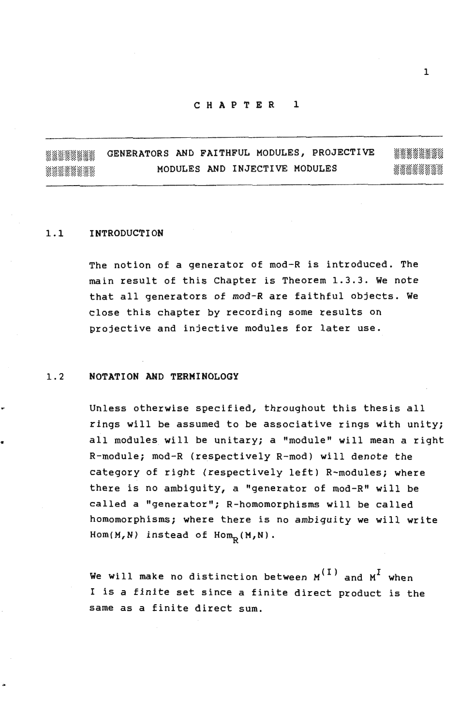#### C H APT E R <sup>1</sup>

**WAS SENGERATORS AND FAITHFUL MODULES, PROJECTIVE the modules and injective modules** 

#### 1.1 INTRODUCTION

•

The notion of a generator of mod-R is introduced. The main result of this Chapter is Theorem 1.3.3. We note that all generators of mod-R are faithful objects. We close this chapter by recording some results on projective and injective modules for later use.

#### 1.2 NOTATION AND TERMINOLOGY

Unless otherwise specified, throughout this thesis all rings will be assumed to be associative rings with unity; all modules will be unitary; a "module" will mean a right R-module; mod-R (respectively R-mod) will denote the category of right (respectively left) R-modules; where there is no ambiguity, a "generator of mod-R" will be called a "generator"; R-homomorphisms will be called homomorphisms; where there is no ambiguity we will write  $Hom(M,N)$  instead of  $Hom_{p}(M,N)$ .

We will make no distinction between  $M^{(I)}$  and  $M^{I}$  when I is a finite set since a finite direct product is the same as a finite direct sum.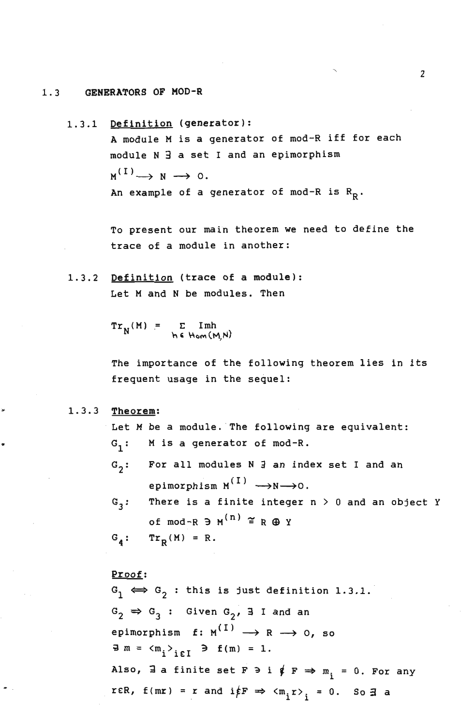#### 1.3 GENERATORS OF MOD-R

1.3.1 Definition (generator): A module M is a generator of mod-R iff for each module N 3 a set I and an epimorphism  $M^{(1)} \longrightarrow N \longrightarrow 0.$ An example of a generator of mod-R is  $R_R$ .

> To present our main theorem we need to define the trace of a module in another:

1.3.2 Definition (trace of a module): Let M and N be modules. Then

 $Tr_N(M) = \sum_{h \in Hom(M,N)}$ 

The importance of the following theorem lies in its frequent usage in the sequel:

1.3.3 Theorem:

..

Let M be a module. The following are equivalent:  $G_1$ : M is a generator of mod-R.  $\mathbf{G_2:}$  For all modules N  $\mathbf{\overline{3}}$  an index set I and an  $G_{\overline{3}}$ : There is a finite integer n  $>$  0 and an object Y epimorphism  $M^{(1)} \longrightarrow N \longrightarrow 0$ . of mod-R  $\supseteq$  M<sup>(n)</sup>  $\cong$  R  $\bigoplus$  Y

 $G_4: \text{Tr}_R(M) = R.$ 

#### Proof:

 $G_1 \iff G_2$ : this is just definition 1.3.1.  $G_2 \Rightarrow G_3$ : Given  $G_2$ , 3 I and an epimorphism  $f: M^{(1)} \longrightarrow R \longrightarrow 0$ , so  $\exists m = \langle m_i \rangle_{i \in I} \ni f(m) = 1.$ Also,  $\exists$  a finite set  $F \ni i \notin F \Rightarrow m_i = 0$ . For any reR,  $f(mr) = r$  and  $i \notin F \implies \langle m, r \rangle$ , = 0. So  $\exists$  a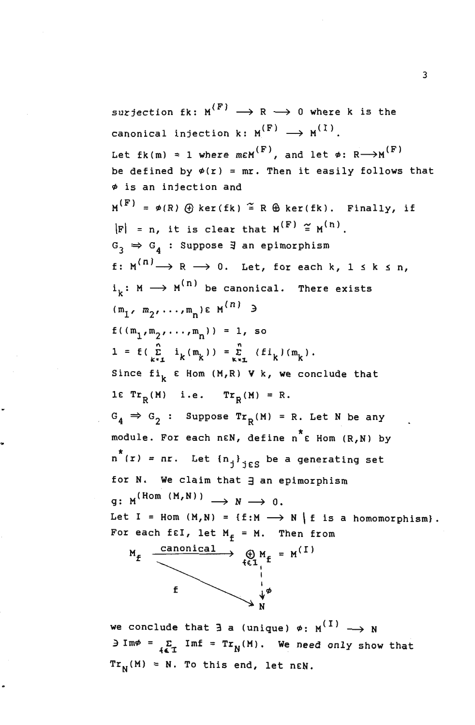surjection fk:  $M^{(F)} \longrightarrow R \longrightarrow 0$  where k is the canonical injection k:  $M^{(F)} \longrightarrow M^{(I)}$ . Let fk(m) = 1 where m $EM<sup>(F)</sup>$ , and let  $\phi: R \longrightarrow M<sup>(F)</sup>$ be defined by  $\phi(r)$  = mr. Then it easily follows that <sup>~</sup>is an injection and  $M<sup>(F)</sup> = \phi(R)$   $\oplus$  ker(fk)  $\cong$  R  $\oplus$  ker(fk). Finally, if  $|F| = n$ , it is clear that  $M^{(F)} \ncong M^{(n)}$ .  $G_2 \Rightarrow G_4$  : Suppose  $\exists$  an epimorphism f:  $M^{(n)} \longrightarrow R \longrightarrow 0$ . Let, for each k,  $1 \le k \le n$ ,  $i_k \colon$  M  $\longrightarrow$  M<sup>(n)</sup> be canonical. There exists  $(m_1, m_2, \ldots, m_n) \in M^{(n)}$  )  $f((m_1, m_2, \ldots, m_n)) = 1$ , so 1 =  $f(\sum_{k=1}^{n}$ Since  $f_i$  E Hom  $(M,R)$  V k, we conclude that IE  $Tr_R(M)$  i.e.  $Tr_R(M) = R$ .  $G_4 \Rightarrow G_2$  : Suppose  $Tr_B(M) = R$ . Let N be any module. For each nEN, define  $n^*$  E Hom  $(R, N)$  by  $n^{*}(r)$  = nr. Let  ${n_{i}}_{i\in S}$  be a generating set for N. We claim that  $\exists$  an epimorphism  $q: M^{(\text{Hom }(M,N))} \longrightarrow N \longrightarrow 0.$ Let I = Hom  $(M, N)$  = {f: M  $\longrightarrow$  N | f is a homomorphism}. For each fel, let  $M_f = M$ . Then from  $M_f \xrightarrow{\text{canonical}} \bigoplus_{f \in \mathcal{T}} M_f = M^{(1)}$ ~E.1j i.  $f \sim \frac{1}{2}$ N

..

we conclude that  $3$  a (unique)  $\phi: M^{(1)} \longrightarrow N$  $\exists$  Im $\phi = \sum_{f \in T}$  Imf = Tr<sub>N</sub>(M). We need only show that  $Tr_{N}(M) = N$ . To this end, let nEN.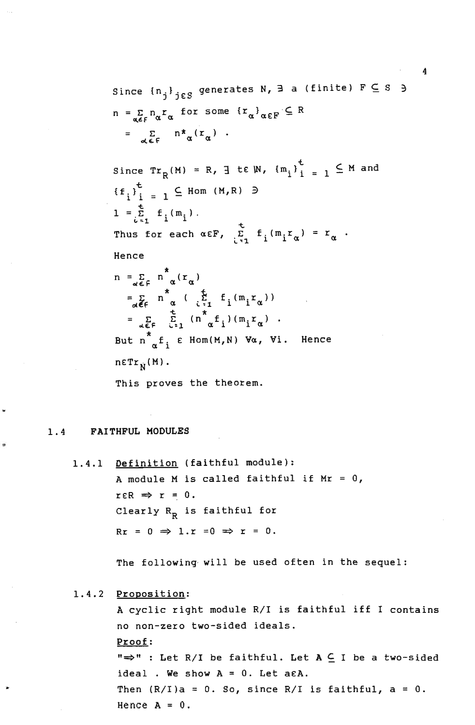Since 
$$
\{n_j\}_{j \in S}
$$
 generates  $N, \exists$  a (finite)  $F \subseteq S$   $\}$   
\n $n = \sum_{\alpha \in F} n_{\alpha} r_{\alpha}$  for some  $\{r_{\alpha}\}_{\alpha \in F} \subseteq R$   
\n $= \sum_{\alpha \in F} n^*_{\alpha}(r_{\alpha})$ .

Since  $Tr_R(M) = R$ ,  $\exists$  t $\epsilon \in M$ ,  ${m_i}_{i}$ ,  $t = 1 \leq M$  and  ${f_i}^t_{i=1}$   $\subseteq$  Hom (M,R)  $\ni$  $1 = \sum_{i=1}^{t} f_i(m_i).$ Thus for each  $\alpha \in \mathbb{F}$ ,  $\sum_{i=1}^{\infty} f_i(m_i r_\alpha) = r_\alpha$ 

Hence

$$
n = \sum_{\alpha \in F} n^*_{\alpha}(r_{\alpha})
$$
  
\n
$$
= \sum_{\alpha \in F} n^*_{\alpha} (\sum_{i=1}^{t} f_i(m_i r_{\alpha}))
$$
  
\n
$$
= \sum_{\alpha \in F} \sum_{i=1}^{t} (n^*_{\alpha} f_i)(m_i r_{\alpha})
$$
  
\nBut  $n^*_{\alpha} f_i \in \text{Hom}(M, N) \forall \alpha, \forall i$ . Hence  
\n $n \in \text{Tr}_N(M)$ .  
\nThis proves the theorem.

#### 1.4 FAITHFUL MODULES

..

1.4.1 Definition (faithful module): A module M is called faithful if  $Mr = 0$ ,  $r \in R \implies r = 0$ . Clearly  $R_R$  is faithful for  $Rr = 0 \Rightarrow 1 \cdot r = 0 \Rightarrow r = 0$ .

The following· will be used often in the sequel:

#### 1.4.2 Proposition:

A cyclic right module R/I is faithful iff I contains no non-zero two-sided ideals. Proof: " $\Rightarrow$ " : Let R/I be faithful. Let  $A \subseteq I$  be a two-sided ideal. We show  $A = 0$ . Let a $\epsilon A$ . Then  $(R/I)$ a = 0. So, since  $R/I$  is faithful, a = 0. Hence  $A = 0$ .

4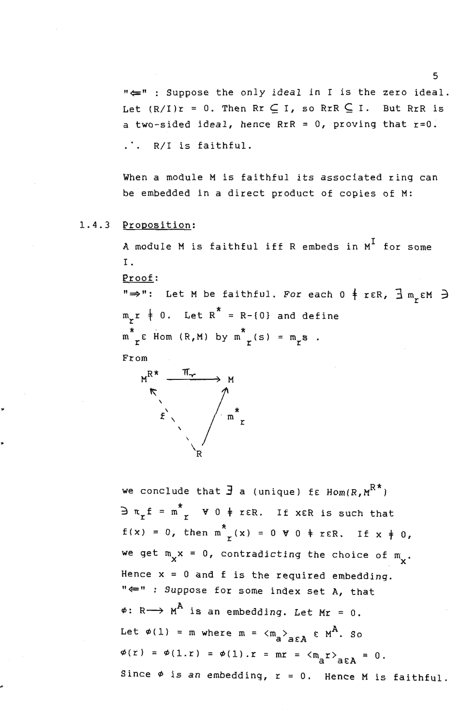"<sup>\*</sup>, Suppose the only ideal in I is the zero ideal. Let  $(R/I)r = 0$ . Then Rr  $C_1$ , so RrR  $C_1$ . But RrR is a two-sided ideal, hence  $RrR = 0$ , proving that  $r=0$ . .<sup>'</sup>. R/I is faithful.

When a module M is faithful its associated ring can be embedded in a direct product of copies of M:

#### 1.4.3 Proposition:

A module M is faithful iff R embeds in  $M<sup>I</sup>$  for some 1. Proof:

" $\Rightarrow$ ": Let M be faithful. For each 0  $\frac{1}{7}$  rER,  $\frac{1}{3}$  m<sub>r</sub>EM  $\frac{1}{7}$  $m_{\tau}$ r  $\frac{1}{\tau}$  0. Let R<sup>\*</sup> = R-{0} and define  $m^*$ <sub>r</sub> E Hom (R, M) by  $m^*$ <sub>r</sub> (s) =  $m_r$  s

From



we conclude that  $\overline{J}$  a (unique) fe Hom(R,  $M^{R*}$ )  $\exists \pi_r f = m \frac{1}{r}$   $\forall 0 \neq r \in R$ . If x $\in R$  is such that  $f(x) = 0$ , then  $m_{r}^{*}(x) = 0$   $\forall$  0  $\neq$  rER. If  $x \neq 0$ , we get  $m_{\chi} x = 0$ , contradicting the choice of  $m_{\chi}$ . Hence  $x = 0$  and f is the required embedding.  $" \Leftarrow"$  : Suppose for some index set A, that  $\phi: R \longrightarrow M^{\mathcal{A}}$  is an embedding. Let Mr = 0. Let  $\phi(1)$  = m where m =  $\langle m_{a} \rangle_{a \in A}$   $\epsilon$   $M^{A}$ . So  $\phi(r) = \phi(1,r) = \phi(1)$ .  $r = mr = \langle m_a r \rangle_{a \in A} = 0$ . Since  $\phi$  is an embedding,  $r = 0$ . Hence M is faithful.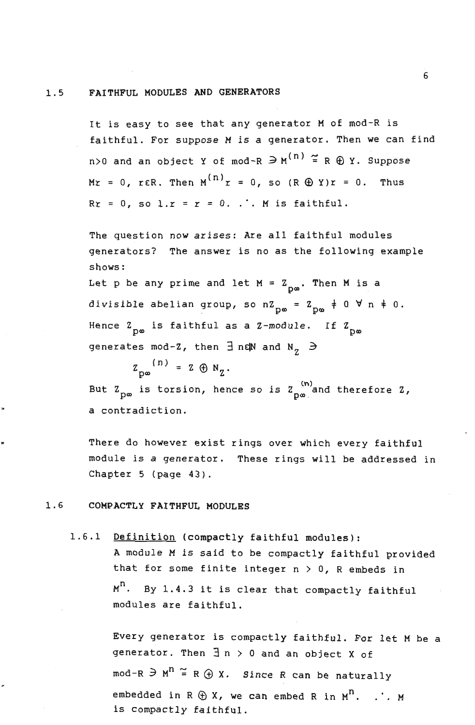#### 1.5 FAITHFUL MODULES AND GENERATORS

It is easy to see that any generator M of mod-R is faithful. For suppose M is a generator. Then we can find  $n>0$  and an object Y of mod-R  $\supseteq M$ <sup>(n)</sup>  $\cong$  R  $\bigoplus$  Y. Suppose  $Mr = 0$ , r $\epsilon$ R. Then  $M^{(n)}r = 0$ , so  $(R \oplus Y)r = 0$ . Thus  $Rr = 0$ , so  $1.r = r = 0$ . .'. M is faithful.

The question now arises: Are all faithful modules generators? The answer is no as the following example shows:

Let p be any prime and let  $M = Z_{\text{pa}}$ . Then M is a divisible abelian group, so  $nZ_{D\omega} = Z_{D\omega} + 0 \forall n \neq 0$ . Hence  $Z_{\text{pos}}$  is faithful as a Z-module. If  $Z_{\text{pos}}$ generates mod-2, then  $\exists$  n $\infty$  and N<sub>z</sub>  $\ni$ 

 $Z_{\text{p}\infty}^{(n)} = Z \oplus N_{\gamma}$ .

But  $Z_{\text{p\omega}}$  is torsion, hence so is  $Z_{\text{p\omega}}^{(n)}$  and therefore Z, a contradiction.

There do however exist rings over which every faithful module is a generator. These rings will be addressed in Chapter 5 (page 43).

#### 1.6 COMPACTLY FAITHFUL MODULES

"

1.6.1 Definition (compactly faithful modules): A module M is said to be compactly faithful provided that for some finite integer  $n > 0$ , R embeds in  $M<sup>n</sup>$ . By 1.4.3 it is clear that compactly faithful modules are faithful.

> Every generator is compactly faithful. For let M be a generator. Then  $\exists n > 0$  and an object X of  $mod-R$   $\ni$   $M^n \cong R \oplus X$ . Since R can be naturally embedded in R  $\oplus$  X, we can embed R in M<sup>n</sup>. . . M is compactly faithful.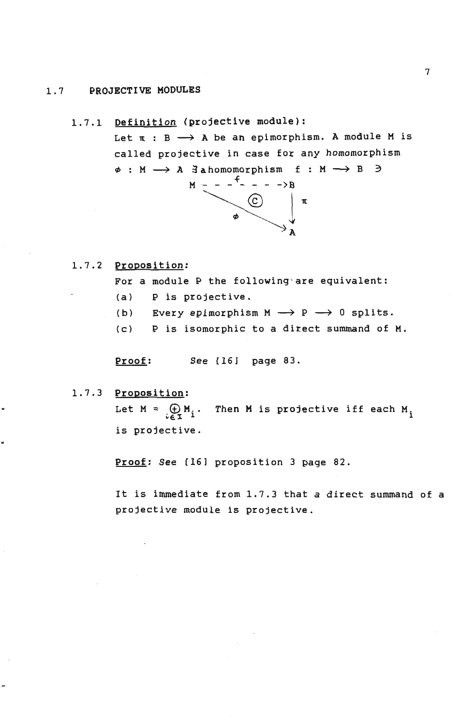#### 1.7 PROJECTIVE MODULES

1.7.1 Definition (projective module): Let  $\pi$  : B  $\longrightarrow$  A be an epimorphism. A module M is called projective in case for any homomorphism  $\phi$  : M  $\longrightarrow$  A 3 ahomomorphism f : M  $\longrightarrow$  B  $M - - f - - \rightarrow B$ ®

#### 1.7.2 Proposition:

- For a module P the following are equivalent:
- (a) P is projective.
- (b) Every epimorphism  $M \longrightarrow P \longrightarrow 0$  splits.
- (c) P is isomorphic to a direct summand of M.

Proof: See [16] page 83.

1.7.3 Proposition:

Let  $M = \bigoplus_{i \in \mathcal{I}} M_i$ . Then M is projective iff each  $M_i$ is projective.

Proof: See [16] proposition 3 page 82.

It is immediate from 1.7.3 that a direct summand of a projective module is projective.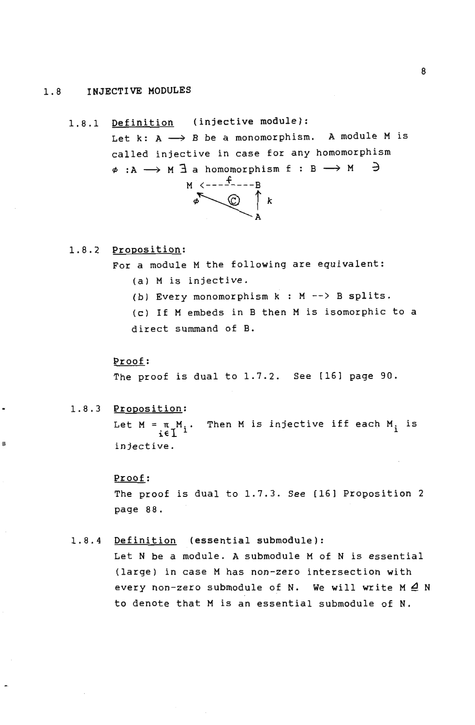#### 1.8 INJECTIVE MODULES

1.8.1 Definition (injective module): Let  $k: A \longrightarrow B$  be a monomorphism. A module M is called injective in case for any homomorphism  $\phi : A \longrightarrow M \rightrightarrows a$  homomorphism  $f : B \longrightarrow M \rightrightarrows A$  $M < - - - f - - - - B$  $\overline{\bullet}$   $\overline{\bullet}$   $\overline{\bullet}$   $\overline{\bullet}$   $\overline{\bullet}$ 

#### 1.8.2 Proposition:

For a module M the following are equivalent: (a) M is injective. (b) Every monomorphism k : M --) B splits. (c) If M embeds in B then M is isomorphic to a direct summand of B.

#### Proof:

The proof is dual to 1.7.2. See [16] page 90.

1.8.3 Proposition:

•

Let  $M = \pi M_i$ . Then M is injective iff each  $M_i$  is injective.

#### Proof:

The proof is dual to 1.7.3. See [16] Proposition 2 page 88.

1.8.4 Definition (essential submodu1e):

Let N be a module. A submodule M of N is essential (large) in case M has non-zero intersection with every non-zero submodule of N. We will write M *A* N to denote that M is an essential submodule of N.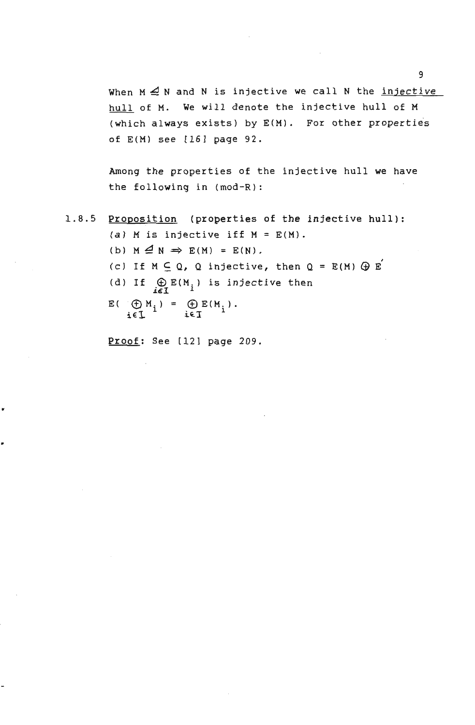When  $M \triangleleft N$  and N is injective we call N the injective hull of M. We will denote the injective hull of <sup>M</sup> (which always exists) by  $E(M)$ . For other properties of E(M) see (16] page 92.

Among the properties of the injective hull we have the following in (mod-R):

- *1.B.5* Proposition (properties of the injective hull): (a) M is injective iff  $M = E(M)$ .
	- (b)  $M \trianglelefteq N \implies E(M) = E(N)$ . (c) If  $M\subseteq Q$ , Q injective, then  $Q = E(M)$   $\bigoplus E'$ (d) If  $\bigoplus_{i\in I} E(M_i)$  is injective then  $E(\bigoplus M.) = \bigoplus E(M.)$ .  $\frac{1}{16}$  iet  $\frac{1}{1}$

Proof: See [12] page 209.

..

a.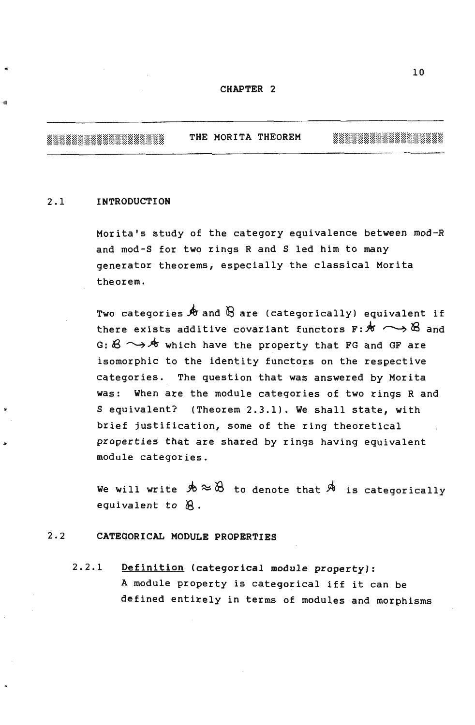THE MORITA THEOREM 

#### 2.1 INTRODUCTION

..

**id** 

•

Morita's study of the category equivalence between mod-R and mod-S for two rings Rand S led him to many generator theorems, especially the classical Morita theorem.

Two categories  $\clubsuit$  and  $\uplus$  are (categorically) equivalent if there exists additive covariant functors  $\mathbb{F}:\mathcal{H}\longrightarrow\mathbb{B}$  and G:  $\beta \rightarrow$   $\gamma$  which have the property that FG and GF are isomorphic to the identity functors on the respective categories. The question that was answered by Morita was: When are the module categories of two rings Rand S equivalent? (Theorem 2.3.1). We shall state, with brief justification, some of the ring theoretical properties that are shared by rings having equivalent module categories.

We will write  $\mathcal{A} \approx \mathcal{B}$  to denote that  $\mathcal{A}$  is categorically equivalent to  $\beta$ .

#### 2.2 CATEGORICAL MODULE PROPERTIES

2.2.1 Definition (categorical module property): A module property is categorical iff it can be defined entirely in terms of modules and morphisms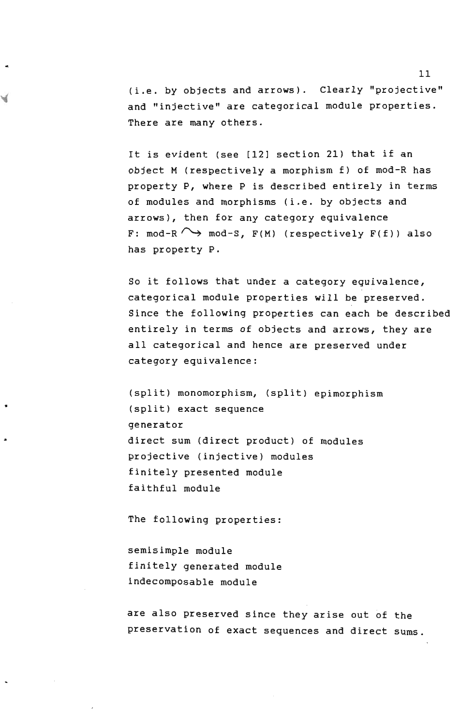(i.e. by objects and arrows). Clearly "projective" and "injective" are categorical module properties. There are many others.

It is evident (see [12] section 21) that if an object M (respectively a morphism f) of mod-R has property P, where P is described entirely in terms of modules and morphisms (i.e. by objects and arrows), then for any category equivalence F: mod-R  $\rightarrow$  mod-S, F(M) (respectively F(f)) also has property P.

So it follows that under a category equivalence, categorical module properties will be preserved. Since the following properties can each be described entirely in terms of objects and arrows, they are all categorical and hence are preserved under category equivalence:

(split) monomorphism, (split) epimorphism (split) exact sequence generator direct sum (direct product) of modules projective (injective) modules finitely presented module faithful module

The following properties:

•

Ч

semisimp1e module finitely generated module indecomposable module

are also preserved since they arise out of the preservation of exact sequences and direct sums.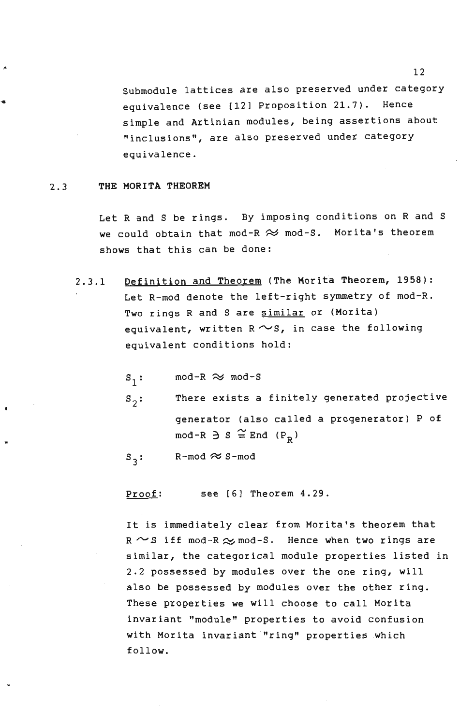Submodu1e lattices are also preserved under category equivalence (see [12] Proposition 21.7). Hence simple and Artinian modules, being assertions about "inclusions", are also preserved under category equivalence.

#### 2.3 **THE MORITA THEOREM**

•

Let Rand S be rings. By imposing conditions on Rand S we could obtain that mod-R  $\approx$  mod-S. Morita's theorem shows that this can be done:

2.3.1 Definition and Theorem (The Morita Theorem, 1958): Let R-mod denote the left-right symmetry of mod-R. Two rings R and S are similar or (Morita) equivalent, written R  $\sim$  S, in case the following equivalent conditions hold:

> $mod-R \approx mod-S$  $S_1$ :

There exists a finitely generated projective  $S_{\alpha}$ : . generator (also called a progenerator) P of  $mod-R$   $\ni$   $S \cong End$   $(P_n)$ 

 $R$ -mod  $\approx$  S-mod  $S_2$ :

Proof: see [6] Theorem 4.29.

It is immediately clear from Morita's theorem that  $R \sim S$  iff mod-R  $\approx$  mod-S. Hence when two rings are similar, the categorical module properties listed in 2.2 possessed by modules over the one ring, will also be possessed by modules over the other ring. These properties we will choose to call Morita invariant "module" properties to avoid confusion with Morita invariant "ring" properties which follow.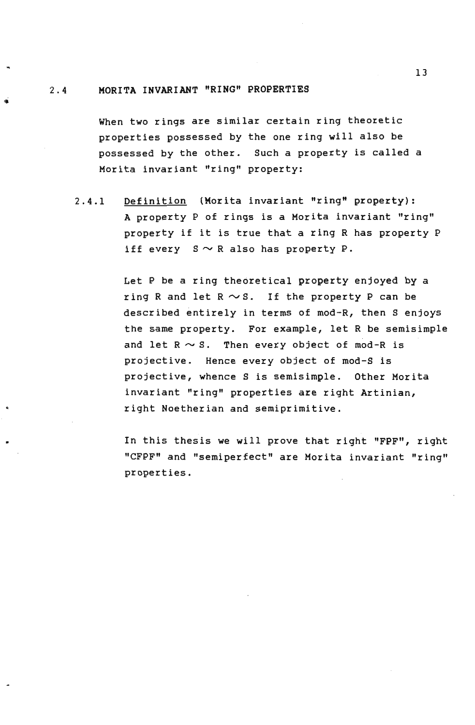#### 2.4 HORITA INVARIANT "RING" PROPERTIES

When two rings are similar certain ring theoretic properties possessed by the one ring will also be possessed by the other. Such a property is called a Horita invariant "ring" property:

2.4.1 Definition (Horita invariant "ring" property): A property P of rings is a Morita invariant "ring" property if it is true that a ring R has property P iff every  $S \sim R$  also has property P.

> Let P be a ring theoretical property enjoyed by a ring R and let  $R \sim S$ . If the property P can be described entirely in terms of mod-R, then S enjoys the same property. For example, let R be semisimple and let  $R \sim S$ . Then every object of mod-R is projective. Hence every object of mod-S is projective, whence S is semisimple. Other Morita invariant "ring" properties are right Artinian, right Noetherian and semiprimitive.

> In this thesis we will prove that right "FPF", right "CFPF" and "semiperfect" are Morita invariant "ring" properties.

. The contract of the contract of the contract of the contract of the contract of the contract of the contract of the contract of the contract of the contract of the contract of the contract of the contract of the contrac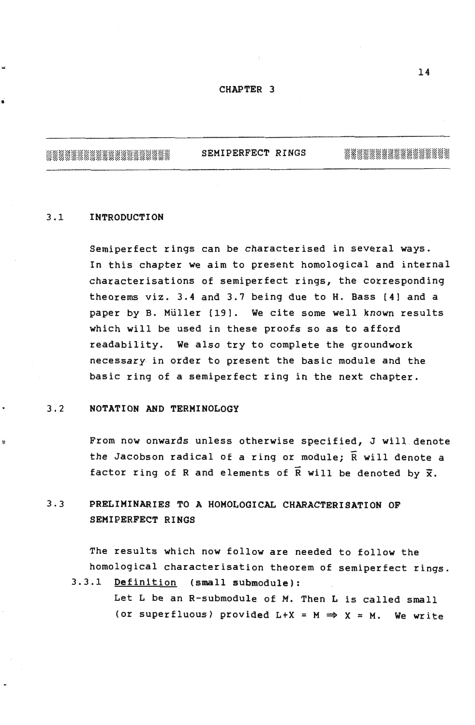#### CHAPTER 3

SEMI PERFECT RINGS 11111111111111111 

#### 3.1 INTRODUCTION

Semiperfect rings can be characterised in several ways. In this chapter we aim to present homological and internal characterisations of semiperfect rings, the corresponding theorems viz. 3.4 and 3.7 being due to H. Bass [41 and a paper by B. Müller [19]. We cite some well known results which will be used in these proofs so as to afford readability. We also try to complete the groundwork necessary in order to present the basic module and the basic ring of a semiperfect ring in the next chapter.

#### 3.2 NOTATION AND TERMINOLOGY

•

From now onwards unless otherwise specified, J will . denote the Jacobson radical of a ring or module;  $\tilde{R}$  will denote a factor ring of R and elements of  $\overline{R}$  will be denoted by  $\overline{x}$ .

## 3.3 PRELIMINARIES TO A HOMOLOGICAL CHARACTERISATION OF SEMIPERFECT RINGS

The results which now follow are needed to follow the homological characterisation theorem of semiperfect rings.

3.3.1 Definition (small submodule): Let L be an R-submodule of M. Then L is called small (or superfluous) provided L+X = M  $\Rightarrow$  X = M. We write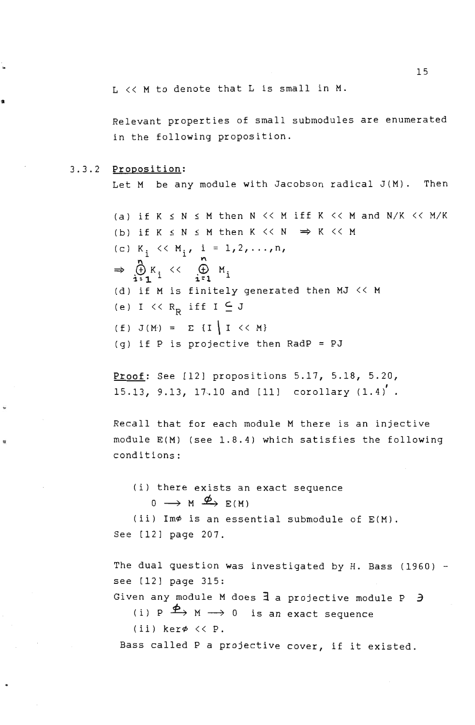$L$   $\lt$   $\lt$   $M$  to denote that  $L$  is small in  $M$ .

Relevant properties of small submodules are enumerated in the following proposition.

#### 3.3.2 Proposition:

•

•

Let M be any module with Jacobson radical J(M). Then

(a) if  $K \le N \le M$  then  $N \le M$  iff  $K \le M$  and  $N/K \le M/K$ (b) if  $K \leq N \leq M$  then  $K \leq N \implies K \leq M$ (c)  $K_i \leq K_i$ , i = 1,2,...,n,  $\Rightarrow$   $\bigoplus_{i=1}^{n} K_i \iff \bigoplus_{i=1}^{n} M_i$ (d) if M is finitely generated then  $MJ \ll M$ (e) I  $\langle \langle R_{R}$  iff  $I \subseteq J$ ( f )  $J(M) = \sum \{ I \mid I \leq M \}$ (g) if P is projective then RadP =  $PJ$ 

**Proof:** See [12] propositions  $5.17$ ,  $5.18$ ,  $5.20$ ,  $15.13$ ,  $9.13$ ,  $17.10$  and [11] corollary  $(1.4)$ .

Recall that for each module M there is an injective module E(M) (see 1.8.4) which satisfies the following conditions:

(i) there exists an exact sequence  $0 \longrightarrow M \xrightarrow{\phi} E(M)$ 

 $(iii)$  Im $\phi$  is an essential submodule of  $E(M)$ . See (12] page 207.

The dual question was investigated by H. Bass (1960) see (12] page 315:

Given any module M does  $\exists$  a projective module P  $\exists$ (i)  $p \nleftrightarrow M \longrightarrow 0$  is an exact sequence

(ii) ker $\phi \leq P$ .

Bass called P a projective cover, if it existed.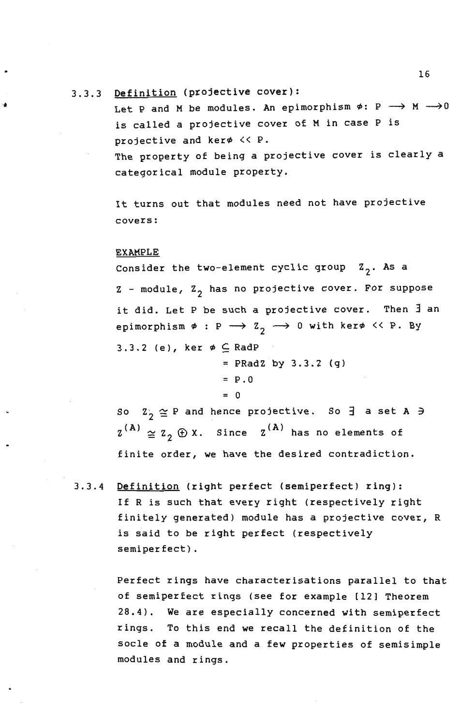## 3.3.3 Definition (projective cover):

Let P and M be modules. An epimorphism  $\phi: P \longrightarrow M \longrightarrow 0$ is called a projective cover of M in case P is projective and ker $\phi \ll P$ . The property of being a projective cover is clearly a categorical module property.

It turns out that modules need not have projective covers:

#### EXAMPLE

..

' ..

. '

Consider the two-element cyclic group  $Z_2$ . As a  $Z$  - module,  $Z_2$  has no projective cover. For suppose it did. Let P be such a projective cover. Then  $\frac{1}{2}$  an epimorphism  $\phi$  : P  $\longrightarrow$  Z<sub>2</sub>  $\longrightarrow$  0 with ker $\phi$  << P. By 3.3.2 (e), ker  $\phi \subseteq RadP$ 

 $=$  PRadZ by 3.3.2 (g)

 $= P.0$ 

$$
= 0
$$

So  $Z_2 \cong P$  and hence projective. So  $\exists$  a set A  $\ni$  $z^{(A)} \approx z^2$   $\oplus$  X. Since  $z^{(A)}$  has no elements of finite order, we have the desired contradiction.

3.3.4 Definition (right perfect (semiperfect) ring): If R is such that every right (respectively right finitely generated) module has a projective cover, R is said to be right perfect (respectively semiperfect).

> Perfect rings have characterisations parallel to that of semiperfect rings (see for example [12] Theorem 28.4). We are especially concerned with semiperfect rings. To this end we recall the definition of the soc1e of a module and a few properties of semisimp1e modules and rings .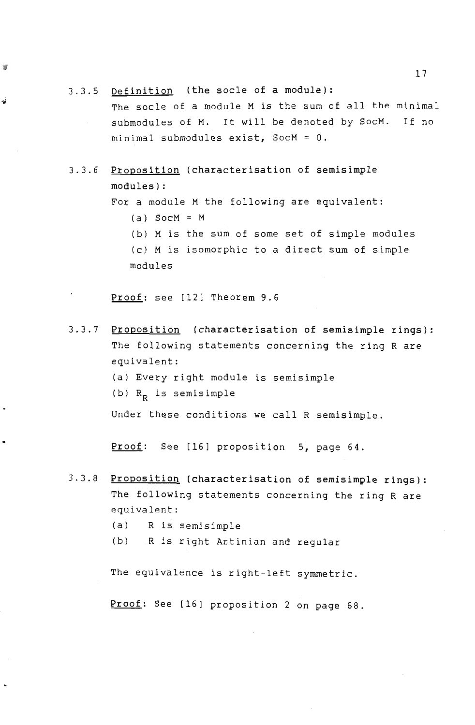3.3.5 Definition (the socle of a module):

√

Proof: see [12] Theorem 9.6

The socle of a module M is the sum of all the minimal submodules of M. It will be denoted by SocM. If no minimal submodules exist, SocM = O.

3.3.6 Proposition (characterisation of semisimple modules) : For a module M the following are equivalent: (a)  $SocM = M$ <br>(b) M is the sum of some set of simple modules ( c) M is isomorphic to a direct sum of simple modules

3.3.7 Proposition (characterisation of semisimple rings): The following statements concerning the ring R are equivalent: (a) Every right module is semisimp1e (b)  $R_p$  is semisimple Under these conditions we call R semisimple.

Proof: See [16] proposition 5, page 64.

3.3.8 Proposition (characterisation of semisimple rings): The following statements concerning the ring R are equivalent: (a) R is semisimple (b) . R is right Artinian and regular The equivalence is right-left symmetric.

Proof: See [16] proposition 2 on page 68.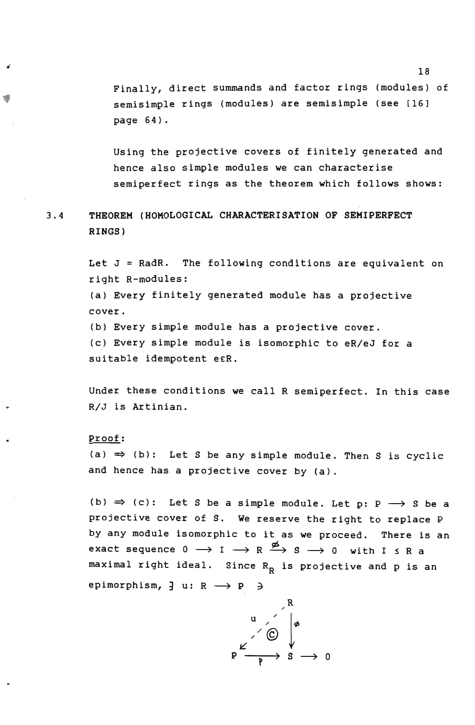Finally, direct summands and factor rings (modules) of semisimple rings (modules) are semisimple (see [16] page 64).

Using the projective covers of finitely generated and hence also simple modules we can characterise semiperfect rings as the theorem which follows shows:

## 3.4 THEOREM (HOMOLOGICAL CHARACTERISATION OF SEMIPERFECT RINGS)

Let  $J = RadR$ . The following conditions are equivalent on right R-modules: (a) Every finitely generated module has a projective

cover.

(b) Every simple module has a projective cover. (c) Every simple module is isomorphic to eR/eJ for a

suitable idempotent e£R.

Under these conditions we call R semiperfect. In this case R/J is Artinian.

#### Proof:

 $(a) \Rightarrow (b)$ : Let S be any simple module. Then S is cyclic and hence has a projective cover by (a).

(b)  $\Rightarrow$  (c): Let S be a simple module. Let p: P  $\rightarrow$  S be a projective cover of S. We reserve the right to replace P by any module isomorphic to it as we proceed. There is an exact sequence  $0 \longrightarrow I \longrightarrow R \stackrel{\phi}{\longrightarrow} S \longrightarrow 0$  with  $I \leq R$  a maximal right ideal. Since  $R_p$  is projective and p is an epimorphism,  $\frac{1}{2}$  u: R  $\rightarrow$  P  $\rightarrow$ 



18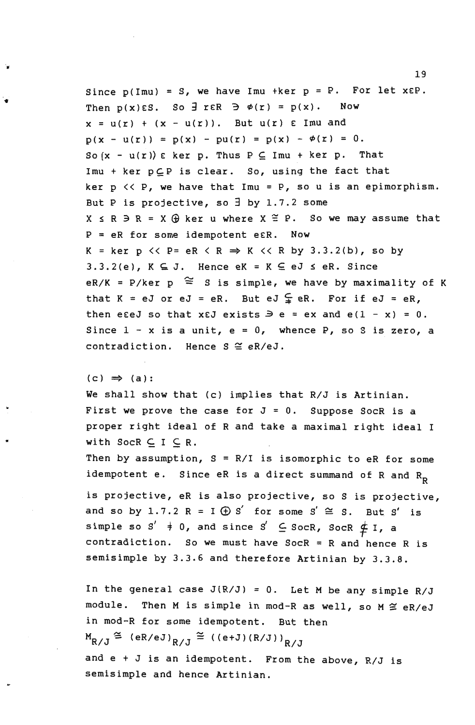Since  $p(Imu) = S$ , we have Imu +ker  $p = P$ . For let  $x \in P$ . Then  $p(x)$ ES. So  $\exists$  rER  $\exists \phi(r) = p(x)$ . Now  $x = u(r) + (x - u(r))$ . But  $u(r)$   $\varepsilon$  Imu and  $p(x - u(r)) = p(x) - pu(r) = p(x) - \phi(r) = 0.$ So(x - u(r))  $\varepsilon$  ker p. Thus  $P \subseteq Imu + ker p$ . That Imu + ker  $p \subset P$  is clear. So, using the fact that ker  $p \ll P$ , we have that Imu = P, so u is an epimorphism. But P is projective, so  $\exists$  by 1.7.2 some  $X~\leq~ R~ \ni~ R = X~ \bigoplus~ \text{ker}~ u$  where  $X ~ \stackrel{\sim}{=} ~ P.$  So we may assume that  $P = eR$  for some idempotent e $ER.$  Now  $K = ker p \iff P = eR \iff R \iff K \iff R$  by 3.3.2(b), so by  $3.3.2(e)$ ,  $K \subseteq J$ . Hence  $eK = K \subseteq eJ \le eR$ . Since  $eR/K = P/ker p \cong S$  is simple, we have by maximality of K that K = eJ or eJ = eR. But eJ  $\subsetneq$  eR. For if eJ = eR, then eeeJ so that xeJ exists  $\Rightarrow$  e = ex and e(1 - x) = 0. Since  $1 - x$  is a unit,  $e = 0$ , whence P, so S is zero, a contradiction. Hence  $S \ncong eR/eJ$ .

 $(c) \Rightarrow (a)$ :

'.

'.

•

We shall show that (c) implies that R/J is Artinian. First we prove the case for  $J = 0$ . Suppose SocR is a proper right ideal of R and take a maximal right ideal I with SocR  $C I C R$ .

Then by assumption,  $S = R/I$  is isomorphic to eR for some idempotent e. Since eR is a direct summand of R and  $R_p$ 

is projective, eR is also projective, so S is projective, and so by 1.7.2 R = I  $\bigoplus$  S' for some S'  $\cong$  S. But S' is simple so  $S' + 0$ , and since  $S' \subseteq$  SocR, SocR  $\neq$  I, a contradiction. So we must have SocR = R and hence R is semisimple by 3.3.6 and therefore Artinian by 3.3.8.

In the general case  $J(R/J) = 0$ . Let M be any simple  $R/J$ module. Then M is simple in mod-R as well, so  $M \ncong eR/eJ$ in mod-R for some idempotent. But then  $M_{R/J} \cong (eR/eJ)_{R/J} \cong ((e+J)(R/J))_{R/J}$ and e + J is an idempotent. From the above, R/J is semisimple and hence Artinian.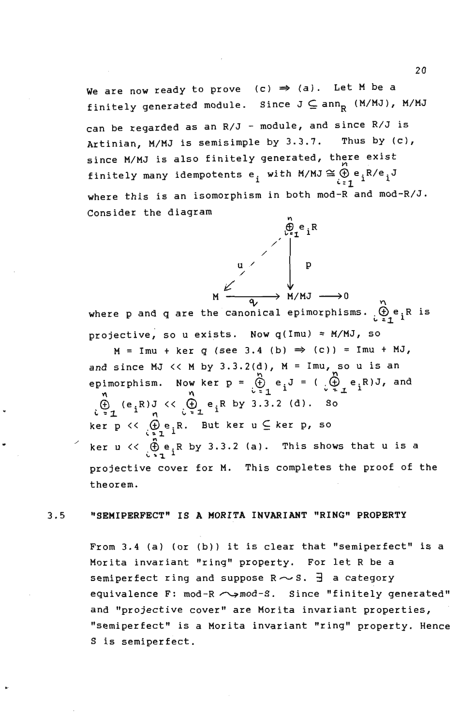We are now ready to prove  $(c)$   $\Rightarrow$  (a). Let M be a finitely generated module. Since J  $\subseteq$  ann<sub>R</sub> (M/MJ), M/MJ can be regarded as an R/J - module, and since R/J is Artinian, M/MJ is semisimple by 3.3.7. Thus by (c), since M/MJ is also finitely generated, there exist finitely many idempotents  $e_i$  with M/MJ  $\cong \bigoplus\limits_{i=1}^{\infty}e_iR/e_iJ$ where this is an isomorphism in both mod-R and mod-R/J. Consider the diagram

$$
M \xrightarrow{Q} M/MJ \longrightarrow 0
$$

where p and q are the canonical epimorphisms.  $\bigoplus_{i=1}^{\infty}e_iR$  is projective, so u exists. Now q(Imu) = M/MJ, so

•  $\angle$  ker u <<  $\bigoplus_{i=1}^n$  R by 3.3.2 (a). This shows that u is a  $M = Imu + ker q$  (see 3.4 (b)  $\Rightarrow$  (c)) = Imu + MJ, and since  $MJ \ll M$  by  $3.3.2(d)$ ,  $M = Imu$ , so u is an epimorphism. Now ker  $p = \bigoplus_{v=1}^{n} e_i J = (\bigoplus_{v=1}^{n} e_i R) J$ , and  $\bigoplus_{i=1}^{n}$  (e. R) J <<  $\bigoplus_{i=1}^{n}$  e. R by 3.3.2 (d). So ker p  $\langle\langle\bigoplus_{i=1}^n e_iR$ . But ker u  $\subseteq$  ker p, so projective cover for M. This completes the proof of the theorem.

#### 3.5 "SEHIPERFECT" IS A HORITA INVARIANT "RING" PROPERTY

From 3.4 (a) (or (b)) it is clear that "semiperfect" is a Morita invariant "ring" property. For let R be a semiperfect ring and suppose  $R \sim S$ .  $\exists$  a category equivalence F: mod-R ~mod-S. Since "finitely generated" and "projective cover" are Morita invariant properties, "semiperfect" is a Morita invariant "ring" property. Hence S is semiperfect.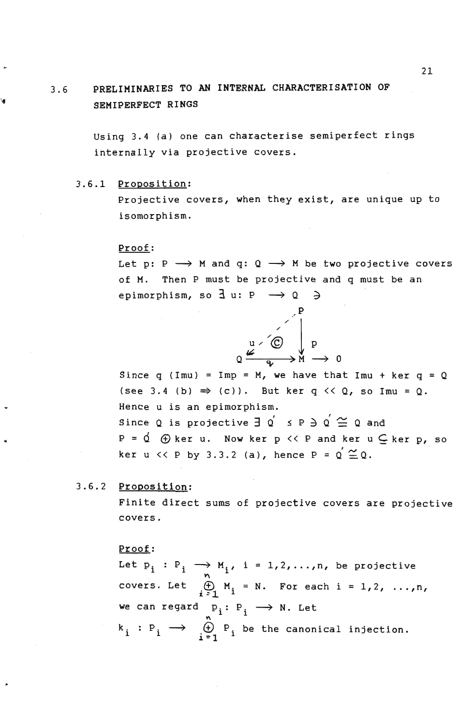## 3.6 PRELIMINARIES TO AN INTERNAL CHARACTERISATION OF SEMI PERFECT RINGS

Using 3.4 (a) one can characterise semiperfect rings internally via projective covers.

3.6.1 Proposition:

Projective covers, when they exist, are unique up to isomorphism.

#### Proof:

Let p: P  $\longrightarrow$  M and q: Q  $\longrightarrow$  M be two projective covers of M. Then P must be projective and q must be an epimorphism, so  $\frac{1}{2}$  u: P  $\rightarrow$  Q  $\rightarrow$ 

$$
Q \xrightarrow{U \swarrow Q} Q \xrightarrow{P} Q
$$

Since  $q$  (Imu) = Imp = M, we have that Imu + ker  $q = Q$ (see 3.4 (b)  $\Rightarrow$  (c)). But ker q  $\langle$   $\langle$  Q, so Imu = Q. Hence u is an epimorphism. Since Q is projective  $\exists$  Q'  $\leq$  P  $\Rightarrow$  Q'  $\cong$  Q and  $P = \n\t\leftarrow$   $\oplus$  ker u. Now ker  $p \lt\lt P$  and ker u  $\subseteq$  ker  $p$ , so ker  $u \ll P$  by 3.3.2 (a), hence  $P = Q \cong Q$ .

#### 3.6.2 Proposition:

~

۱d

Finite direct sums of projective covers are projective covers.

#### Proof:

Let  $p_i : P_i \longrightarrow M_i$ , i = 1,2,...,n, be projective covers. Let  $\bigoplus_{i=1}^{n} M_i = N$ . For each i = 1,2, ...,n, we can regard  $p_i: P_i \longrightarrow N$ . Let  $k_i : P_i \longrightarrow$  $\bigoplus_{i=1}^{n} P_i$  be the canonical injection.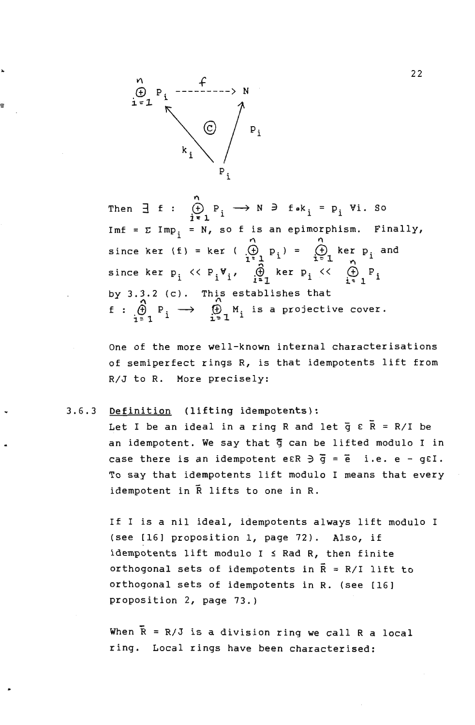

Then  $\exists$  f :  $\bigoplus_{i=1}^{n} P_i \longrightarrow N \ni$ f.k. =  $p_i$  Vi. So Imf =  $\Sigma$  Imp<sub>i</sub> = N, so f is an epimorphism. Finally, since ker (f) = ker ( $\Theta$  p<sub>i</sub>) =  $\Theta$  ker p<sub>i</sub> and  $\stackrel{\cdot}{\oplus}$  P. by  $3.3.2$  (c).  $f : \bigoplus_{i=1}^{n} P_i \longrightarrow$ This establishes that<br>  $\bigoplus_{i=1}^n M_i$  is a projective cover.  $i \in 1$  1

One of the more well-known internal characterisations of semiperfect rings R, is that idempotents lift from R/J to R. More precisely:

3.6.3 Definition (lifting idempotents):

..

..

Let I be an ideal in a ring R and let  $\bar{g} \varepsilon \bar{R} = R/I$  be an idempotent. We say that  $\overline{q}$  can be lifted modulo I in case there is an idempotent eER  $\partial \bar{g} = \bar{e}$  i.e. e - gEI. To say that idempotents lift modulo I means that every idempotent in  $\overline{R}$  lifts to one in R.

If I is a nil ideal, idempotents always lift modulo I (see [16] proposition 1, page 72). Also, if idempotents lift modulo  $I \leq Rad R$ , then finite orthogonal sets of idempotents in  $\overline{R}$  = R/I lift to orthogona1 sets of idempotents in R. (see [16] proposition 2, page 73.)

When  $\bar{R}$  = R/J is a division ring we call R a local ring. Local rings have been characterised:

22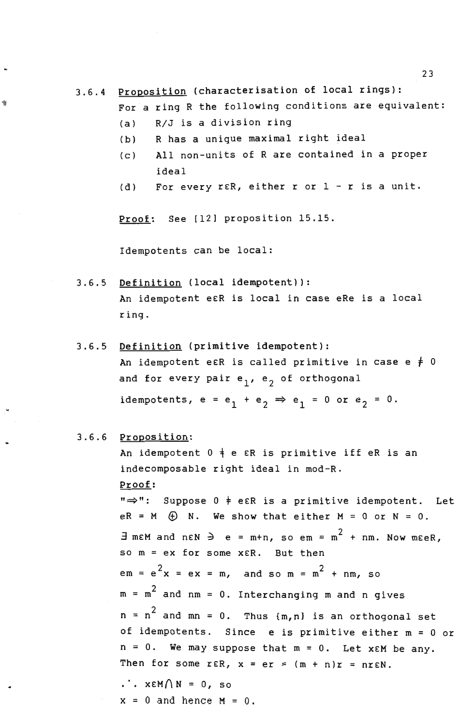- For a ring R the following conditions are equivalent:
- (a) R/J is a division ring
- (b) R has a unique maximal right ideal
- (c) All non-units of R are contained in a proper ideal
- (d) For every r $\epsilon$ R, either r or  $1 r$  is a unit.

Proof: See [121 proposition 15.15.

Idempotents can be local:

- 3.6.5 Definition (local idempotent)): An idempotent eER is local in case eRe is a local ring.
- 3.6.5 Definition (primitive idempotent): An idempotent e $\epsilon \mathbb{R}$  is called primitive in case e  $\neq 0$ and for every pair  $e_1$ ,  $e_2$  of orthogonal idempotents, e = e<sub>1</sub> + e<sub>2</sub>  $\Rightarrow$  e<sub>1</sub> = 0 or e<sub>2</sub> = 0.
- 3.6.6 Proposition:

An idempotent  $0 \neq e$  ER is primitive iff eR is an indecomposable right ideal in mod-R. Proof: " $\Rightarrow$ ": Suppose 0  $\neq$  eER is a primitive idempotent. Let  $eR = M$   $\oplus$  N. We show that either  $M = 0$  or  $N = 0$ .  $\exists$  m $\in$ M and n $\in$ N  $\Rightarrow$  e = m+n, so em = m<sup>2</sup> + nm. Now meeR, so m = ex for some XER. But then  $em = e<sup>2</sup>x = ex = m$ , and so  $m = m<sup>2</sup> + nm$ , so  $m = m<sup>2</sup>$  and nm = 0. Interchanging m and n gives  $n = n^2$  and  $mn = 0$ . Thus  $\{m, n\}$  is an orthogonal set of idempotents. Since e is primitive either m = 0 or  $n = 0$ . We may suppose that  $m = 0$ . Let xEM be any. Then for some  $r \in R$ ,  $x = e r = (m + n)r = n r \in N$ .  $\therefore$  XEM $\bigwedge N = 0$ , so  $x = 0$  and hence  $M = 0$ .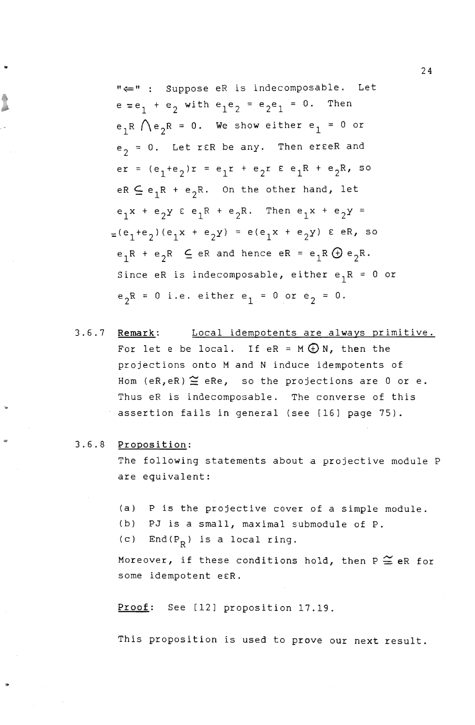" $\Leftarrow$ ": Suppose eR is indecomposable. Let  $e = e_1 + e_2$  with  $e_1 e_2 = e_2 e_1 = 0$ . Then  $e_1R \bigwedge e_2R = 0$ . We show either  $e_1 = 0$  or  $e_2 = 0$ . Let rER be any. Then erEeR and er =  $(e_1 + e_2)r = e_1r + e_2r \varepsilon e_1R + e_2R$ , so eR  $\subseteq$  e<sub>1</sub>R + e<sub>2</sub>R. On the other hand, let  $e_1x + e_2y \in e_1R + e_2R$ . Then  $e_1x + e_2y =$  $=(e_1+e_2)(e_1x+e_2y) = e(e_1x+e_2y)$   $\in$  eR, so  $e_1R + e_2R \subseteq eR$  and hence  $eR = e_1R \oplus e_2R$ . Since eR is indecomposable, either  $e_1R = 0$  or  $e_2R = 0$  i.e. either  $e_1 = 0$  or  $e_2 = 0$ .

3.6.7 Remark: Local idempotents are always primitive. For let e be local. If  $eR = M \bigoplus N$ , then the projections onto M and N induce idempotents of Hom (eR, eR)  $\cong$  eRe, so the projections are 0 or e. Thus eR is indecomposable. The converse of this assertion fails in general (see [16] page 75).

#### 3.6.8 Proposition:

..

The following statements about a projective module P are equivalent:

(a) P is the projective cover of a simple module. (b) PJ is a small, maximal submodule of P.  $(c)$  End(P<sub>R</sub>) is a local ring.

Moreover, if these conditions hold, then  $P \cong eR$  for some idempotent eER.

Proof: See [12] proposition 17.19.

This proposition is used to prove our next result.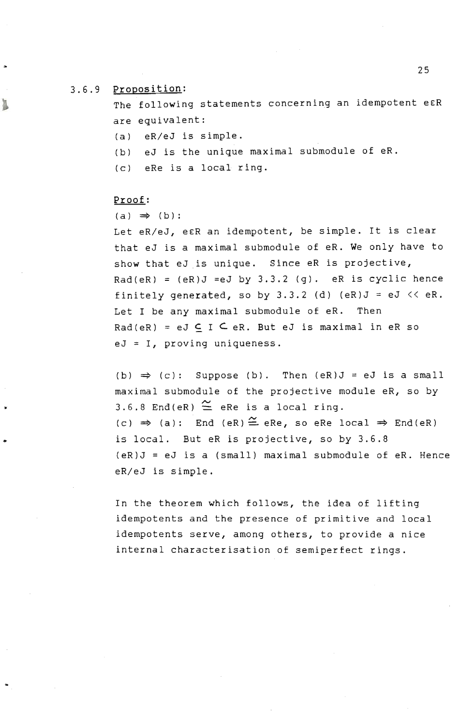#### 3.6.9 Proposition:

The following statements concerning an idempotent eER are equivalent:

- (a) eR/eJ is simple.
- (b) eJ is the unique maximal submodule of eR.
- (c) eRe is a local ring.

#### Proof:

..

..

 $(a) \Rightarrow (b)$ :

Let eR/eJ, e $\epsilon$ R an idempotent, be simple. It is clear that eJ is a maximal submodule of eR. We only have to show that eJ is unique. Since eR is projective, Rad(eR) =  $(eR)J = eJ by 3.3.2 (g)$ . eR is cyclic hence finitely generated, so by 3.3.2 (d) (eR)  $J = eJ \ll eR$ . Let I be any maximal submodule of eR. Then Rad(eR) = eJ  $\subseteq$  I  $\subseteq$  eR. But eJ is maximal in eR so  $eJ = I$ , proving uniqueness.

(b)  $\Rightarrow$  (c): Suppose (b). Then (eR)J = eJ is a small maximal submodule of the projective module eR, so by 3.6.8 End(eR)  $\cong$  eRe is a local ring.  $(c) \Rightarrow (a)$ : End (eR)  $\cong$  eRe, so eRe local  $\Rightarrow$  End(eR) is local. But eR is projective, so by 3.6.8 (eR)J = eJ is a (small) maximal submodule of eR. Hence eR/eJ is simple.

In the theorem which follows, the idea of lifting idempotents and the presence of primitive and local idempotents serve, among others, to provide a nice internal characterisation of semiperfect rings .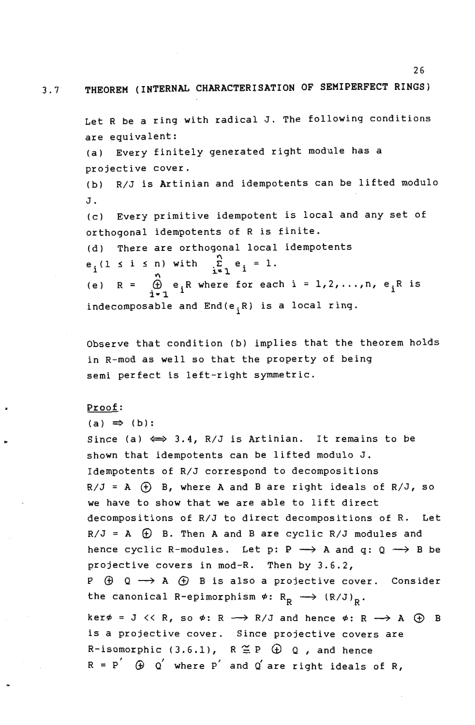## 3.7 THEOREM (INTERNAL CHARACTERISATION OF SEMIPERFECT RINGS)

Let R be a ring with radical J. The following conditions are equivalent: (a) Every finitely generated right module has a projective cover. (b) R/J is Artinian and idempotents can be lifted modulo J . (c) Every primitive idempotent is local and any set of orthogonal idempotents of R is finite. (d) There are orthogonal local idempotents  $e_i(1 \le i \le n)$  with  $\sum_{i=1}^n e_i = 1$ . (e) R =  $\bigoplus_{i=1}^{n} e_i R$  where for each i = 1,2,...,n,  $e_i R$  is indecomposable and  $End(e_iR)$  is a local ring.

Observe that condition (b) implies that the theorem holds in R-mod as well so that the property of being semi perfect is left-right symmetric.

#### Proof:

•

 $(a) \Rightarrow (b)$ :

Since (a)  $\Leftrightarrow$  3.4, R/J is Artinian. It remains to be shown that idempotents can be lifted modulo J. Idempotents of R/J correspond to decompositions  $R/J = A$   $(\text{F})$  B, where A and B are right ideals of R/J, so we have to show that we are able to lift direct decompositions of R/J to direct decompositions of R. Let  $R/J = A \oplus B$ . Then A and B are cyclic  $R/J$  modules and hence cyclic R-modules. Let p: P  $\longrightarrow$  A and q: Q  $\longrightarrow$  B be projective covers in mod-R. Then by  $3.6.2$ ,  $P \oplus Q \longrightarrow A \oplus B$  is also a projective cover. Consider the canonical R-epimorphism  $\phi: R_R \longrightarrow (R/J)_R$ .  $\texttt{ker}\phi = \texttt{J} \iff R$ , so  $\phi: R \longrightarrow R/J$  and hence  $\phi: R \longrightarrow A \oplus B$ is a projective cover. Since projective covers are R-isomorphic (3.6.1),  $R \cong P$   $\oplus$  Q, and hence<br> $R = P'$   $\oplus$  Q' where P' and Q' are right ideals of R, R-isomorphic  $(3.6.1)$ ,  $R \leq P$   $\oplus$   $Q$ , and hence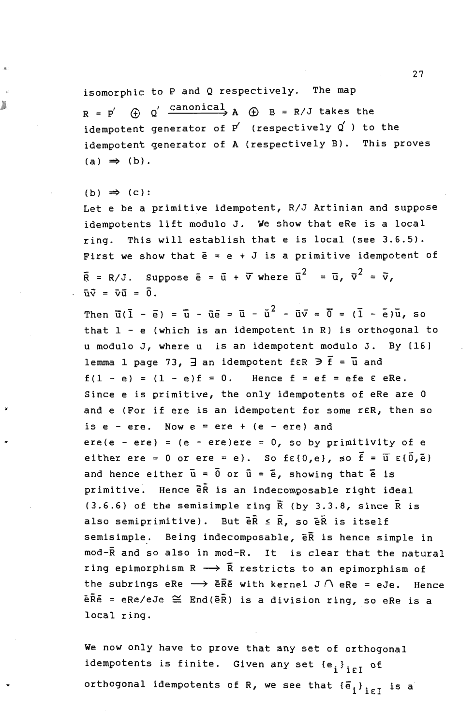isomorphic to P and Q respectively. The map

 $R = P' \oplus Q' \xrightarrow{canonical} A \oplus B = R/J$  takes the idempotent generator of  $P'$  (respectively  $Q'$ ) to the idempotent generator of A (respectively B). This proves  $(a) \Rightarrow (b)$ .

 $(b) \Rightarrow (c)$ :

•

ä

..

Let e be a primitive idempotent, R/J Artinian and suppose idempotents lift modulo J. We show that eRe is a local ring. This will establish that e is local (see 3.6.5). First we show that  $\bar{e} = e + J$  is a primitive idempotent of  $\overline{R}$  = R/J. Suppose  $\overline{e}$  =  $\overline{u}$  +  $\overline{v}$  where  $\overline{u}^2$  =  $\overline{u}$ ,  $\overline{v}^2$  =  $\overline{v}$ ,  $\overrightarrow{uv} = \overrightarrow{v}\overrightarrow{u} = \overrightarrow{0}$ .

Then  $\vec{u}(\vec{1} - \vec{e}) = \vec{u} - \vec{u}\vec{e} = \vec{u} - \vec{u}^2 - \vec{u}\vec{v} = \vec{0} = (\vec{1} - \vec{e})\vec{u}$ , so that 1 - e (which is an idempotent in R) is orthogonal to u modulo J, where u is an idempotent modulo J. By [16] lemma 1 page 73,  $\exists$  an idempotent fER  $\ni \tilde{f} = \tilde{u}$  and  $f(1 - e) = (1 - e)f = 0$ . Hence  $f = ef = efe \in eRe$ . Since e is primitive, the only idempotents of eRe are 0 and e (For if ere is an idempotent for some rER, then so is  $e - ere$ . Now  $e = ere + (e - ere)$  and ere(e - ere) =  $(e - ere)$ ere = 0, so by primitivity of e either ere = 0 or ere = e). So f $\varepsilon$ {0,e}, so  $\overline{f} = \overline{u} \varepsilon$ {0, $\overline{e}$ } and hence either  $\bar{u} = \bar{0}$  or  $\bar{u} = \bar{e}$ , showing that  $\bar{e}$  is primitive. Hence eR is an indecomposable right ideal (3.6.6) of the semisimple ring  $\overline{R}$  (by 3.3.8, since  $\overline{R}$  is also semiprimitive). But  $\bar{e}R \le R$ , so  $\bar{e}R$  is itself semisimple. Being indecomposable, eR is hence simple in mod-R and so also in mod-R. It is clear that the natural ring epimorphism  $R \longrightarrow \overline{R}$  restricts to an epimorphism of the subrings eRe  $\rightarrow$  eRe with kernel J  $\bigcap$  eRe = eJe. Hence  $\bar{e}$ Re = eRe/eJe  $\cong$  End( $\bar{e}$ R) is a division ring, so eRe is a local ring.

We now only have to prove that any set of orthogonal idempotents is finite. Given any set  ${e_i}_{i \in I}$  of orthogonal idempotents of R, we see that  $\{\tilde{e}_i\}_{i\in I}$  is a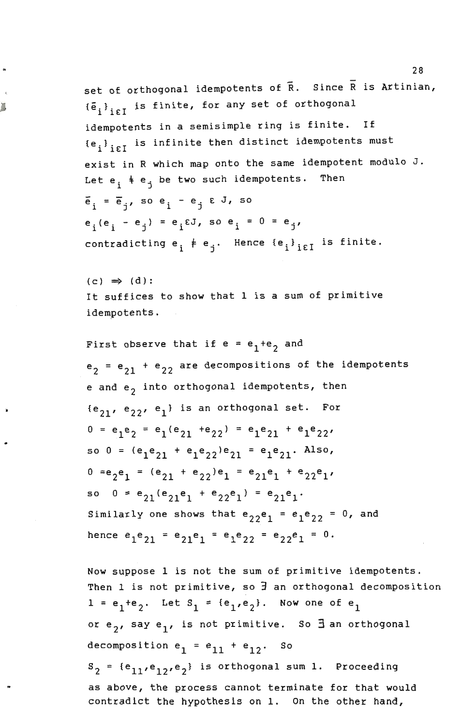set of orthogonal idempotents of  $\overline{R}$ . Since  $\overline{R}$  is Artinian,  ${e_i}_{i}$ <sub>if</sub> is finite, for any set of orthogonal idempotents in a semisimple ring is finite. If  ${e_i}_{i \in I}$  is infinite then distinct idempotents must exist in R which map onto the same idempotent modulo J, Let  $e_i$   $\frac{1}{2}$   $e_j$  be two such idempotents. Then  $\epsilon_i = \overline{e}_i$ , so  $e_i - e_j$   $\epsilon$  J, so  $e_i$ eJ, so  $e_i = 0 = e_j$ , contradicting  $e_i^+e_j^+$ . Hence  ${e_i}^i_{i\in I}$  is finite.

..

J

'"

 $(c) \Rightarrow (d):$ It suffices to show that 1 is a sum of primitive idempotents.

First observe that if  $e = e_1 + e_2$  and  $e_2 = e_{21} + e_{22}$  are decompositions of the idempotents e and  $e_2$  into orthogonal idempotents, then  ${e_{21}}$ ,  ${e_{22}}$ ,  ${e_1}$  is an orthogonal set. For  $0 = e_1 e_2 = e_1 (e_{21} + e_{22}) = e_1 e_{21} + e_1 e_{22}$ so  $0 = (e_1e_{21} + e_1e_{22})e_{21} = e_1e_{21}$ . Also,  $0 = e_2 e_1 = (e_{21} + e_{22})e_1 = e_{21}e_1 + e_{22}e_1,$ so  $0 = e_{21}(e_{21}e_1 + e_{22}e_1) = e_{21}e_1.$ Similarly one shows that  $e_{22}e_1 = e_1e_{22} = 0$ , and hence  $e_1e_{21}= e_{21}e_1 = e_1e_{22} = e_{22}e_1 = 0$ .

Now suppose 1 is not the sum of primitive idempotents. Then 1 is not primitive, so  $\overline{J}$  an orthogonal decomposition  $1 = e_1 + e_2$ . Let  $S_1 = \{e_1, e_2\}$ . Now one of  $e_1$ or e<sub>2</sub>, say e<sub>1</sub>, is not primitive. So  $\exists$  an orthogonal decomposition  $e_1 = e_{11} + e_{12}$ . So  $S_2 = \{e_{11}, e_{12}, e_2\}$  is orthogonal sum 1. Proceeding as above, the process cannot terminate for that would contradict the hypothesis on 1. On the other hand,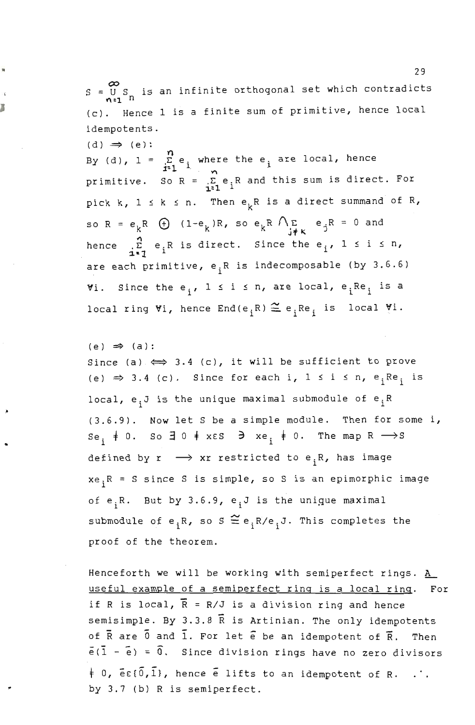$S = \bigcup_{n=1}^{\infty} S_n$ is an infinite orthogonal set which contradicts (c). Hence 1 is a finite sum of primitive, hence local idempotents.

..

..

,.

 $(d) \Rightarrow (e)$ : By (d),  $1 = \sum_{i=1}^n e_i$  where the  $e_i$  are local, hence primitive. So  $R = \sum_{i=1}^{n} e_i R$  and this sum is direct. For pick k,  $1 \le k \le n$ . Then  $e_kR$  is a direct summand of R, so R =  $e_k R$   $\oplus$   $(1-e_k)R$ , so  $e_k R$   $\bigwedge_{j\neq k} E$   $e_j R$  = 0 and hence  $\sum_{i=1}^{n} e_i R$  is direct. Since the  $e_i$ ,  $1 \le i \le n$ , are each primitive,  $e_i^R$  is indecomposable (by 3.6.6) Since the e.,  $1 \le i \le n$ , are local, e.Re. is a n. Then  $e_k R$  is a direct summand of  $1-e_k R$ , so  $e_k R \bigwedge_{j\neq k} E = 0$  and<br>
s direct. Since the  $e_i$ ,  $1 \le i \le n$ ,<br>
ve,  $e_i R$  is indecomposable (by 3.6.6)<br>  $e_i$ ,  $1 \le i \le n$ , are local,  $e_i R e_i$  is a<br>
nence End( $e_i R$ )  $\cong e_i R e_i$ local ring  $\forall i$ , hence  $\texttt{End}(e_{i}R)\stackrel{\sim}{=} e_{i}Re_{i}$  is local  $\forall i$ .

 $(e) \Rightarrow (a)$ : Since (a)  $\iff$  3.4 (c), it will be sufficient to prove (e)  $\Rightarrow$  3.4 (c). Since for each i, 1  $\leq$  i  $\leq$  n, e<sub>i</sub>Re<sub>i</sub> is local,  $e_i$ J is the unique maximal submodule of  $e_j$ R (3.6.9). Now let S be a simple module. Then for some i,  $\texttt{Se}$   $\neq$  0. So  $\exists$  0  $\neq$  xes  $\Rightarrow$  xe<sub>i</sub>  $\neq$  0. The map R  $\longrightarrow$  S defined by  $r \rightarrow xr$  restricted to e<sub>i</sub>R, has image  $xe_iR = S$  since S is simple, so S is an epimorphic image of  $e_iR$ . But by 3.6.9,  $e_jJ$  is the unique maximal submodule of e.R, so S  $\widetilde{\Xi}$  e.R/e.J. This completes the proof of the theorem.

Henceforth we will be working with semiperfect rings.  $\underline{A}$ useful example of a semiperfect ring is a local ring. For if R is local,  $\overline{R}$  = R/J is a division ring and hence semisimple. By 3.3.8 R is Artinian. The only idempotents of  $\overline{R}$  are  $\overline{0}$  and  $\overline{1}$ . For let  $\overline{e}$  be an idempotent of  $\overline{R}$ . Then  $\bar{e}$ ( $\bar{1}$  -  $\bar{e}$ ) =  $\bar{0}$ . Since division rings have no zero divisors  $\frac{1}{2}$  0,  $\epsilon \in \{0, 1\}$ , hence  $\epsilon$  lifts to an idempotent of R. ... by 3.7 (b) R is semiperfect.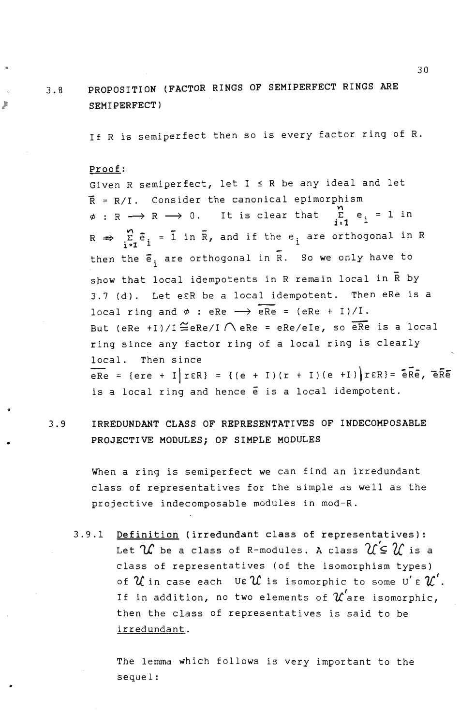3.8 PROPOSITION (FACTOR RINGS OF SEMIPERFECT RINGS ARE SEMIPERFECT)

If R is semiperfect then so is every factor ring of R.

### Proof:

..

×

Given R semiperfect, let  $I \leq R$  be any ideal and let R = R/I. Consider the canonical epimorphism  $\phi$  : R  $\longrightarrow$  R  $\longrightarrow$  0. It is clear that  $\sum_{i=1}^{M} e_i = 1$  in  $R \Rightarrow \sum_{i=1}^{N} \bar{e}_i = \bar{1}$  in  $\bar{R}$ , then the  $\bar{e}^{\phantom{\dag}}_i$  are orthogonal in  $\bar{\texttt{R}}$ . So we only have to  $i^2$   $i^2$   $i$ and if the  $e_i$  are orthogonal in  $R$ show that local idempotents in R remain local in R by 3.7 (d). Let eER be a local idempotent. Then eRe is a local ring and  $\phi$  : eRe  $\rightarrow$  eRe = (eRe + I)/I. But (eRe +I)/I  $\cong$  eRe/I  $\bigcap$  eRe = eRe/eIe, so eRe is a local ring since any factor ring of a local ring is clearly local. Then since  $R = \{ere + I\}reR\} = \{(e + I)(r + I)(e + I)\}reR\} = \overline{e}\overline{R}\overline{e}$ ,  $\overline{e}\overline{R}\overline{e}$ <br>is a local ring and hence  $\overline{e}$  is a local idempotent.

### 3.9 IRREDUNDANT CLASS OF REPRESENTATIVES OF INDECOMPOSABLE PROJECTIVE MODULES; OF SIMPLE MODULES

When a ring is semiperfect we can find an irredundant class of representatives for the simple as well as the projective indecomposable modules in mod-R.

3.9.1 Definition (irredundant class of representatives): Let  $\mathcal U$  be a class of R-modules. A class  $\mathcal U\subsetneq \mathcal U$  is a class of representatives (of the isomorphism types) of  $\mathcal U$  in case each UE  $\mathcal U$  is isomorphic to some U' E  $\mathcal U'$ . If in addition, no two elements of  $\mathcal{U}^{'}$ are isomorphic, then the class of representatives is said to be irredundant.

> The lemma which follows is very important to the sequel: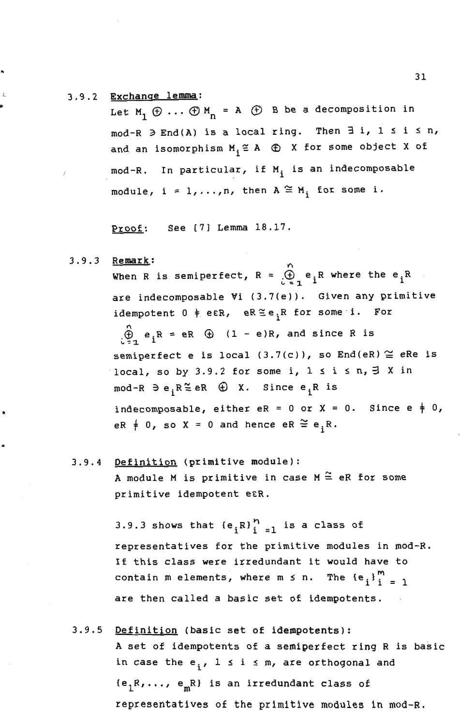### 3.9.2 Exchange lemma:

,

 $A + M$   $\oplus$   $A$   $\oplus$   $A$   $\oplus$   $B$  be a decomposition in  $rad-R$   $\geq$  End (A) is a local ring. Then  $\exists$  i,  $1 \leq i \leq n$ ,  $ad$  an isomorphism  $M \cong A$   $\oplus$  X for some object X of mod-R. In particular, if  $M_i$  is an indecomposable nodule, i =  $1, \ldots, n$ , then  $A \cong M$ , for some i.

Proof: See [7] Lemma 18.17.

### 3.9.3 Remark:

 $\frac{R \times R}{R}$  is semiperfect, R =  $\bigoplus_{i=1}^N e_i R$  where the  $e_i R$ are indecomposable Vi (3.7(e)). Given any primitive  $id$ empotent  $0 \pm e^{cD}$  $\texttt{empotent}\;\;0\;\dotplus\;\texttt{eER},\;\;\;\texttt{eR}\cong\texttt{e}\;\textsubscript{$i$}R$  for some  $i$ . For

 $\stackrel{\curvearrowright}{\oplus}$  e.R = eR  $\oplus$  (1 - e)R, and since R is semiperfect e is local (3.7(c)), so End(eR)  $\cong$  eRe is local, so by 3.9.2 for some i,  $1 \le i \le n$ ,  $\exists$  X in  $mod-R \ni e, R \leq eR \oplus X$ . Since  $e, R$  is indecomposable, either  $eR = 0$  or  $X = 0$ . Since  $e \neq 0$ , eR  $\neq$  0, so X = 0 and hence eR  $\cong$  e.R.

### 3.9.4 Definition (primitive module): A module M is primitive in case  $M \stackrel{\sim}{=}$  eR for some primitive idempotent eER.

3.9.3 shows that  ${e,R}_{1}^{n}$  -, is a class of representatives for the primitive modules in mod-R. If this class were irredundant it would have to contain m elements, where  $m \le n$ . The  $\{e_i\}^m$ are then called a basic set of idempotents.

## 3.9.5 Definition (basic set of idempotents): <sup>A</sup>set of idempotents of a semiperfect ring R is basic in case the  $e_i$ ,  $1 \le i \le m$ , are orthogonal and  ${e_1R, \ldots, e_mR}$  is an irredundant class of representatives of the primitive modules in mod-R.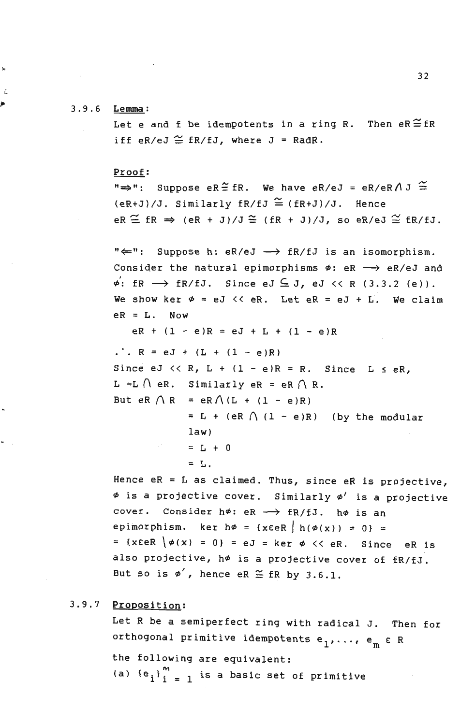### 3.9.6 Lemma:

Þ

Let e and f be idempotents in a ring R. Then  $eR \cong fR$ iff eR/eJ  $\cong$  fR/fJ, where J = RadR.

### Proof:

" $\Rightarrow$ ": Suppose eR $\cong$  fR. We have eR/eJ = eR/eR $\Lambda$ J  $\cong$  $(eR+J)/J$ . Similarly fR/fJ  $\cong$  (fR+J)/J. Hence  $eR \stackrel{\sim}{\cong}$  fR  $\Rightarrow$  (eR + J)/J $\stackrel{\sim}{\cong}$  (fR + J)/J, so eR/eJ  $\stackrel{\sim}{\cong}$  fR/fJ.

 $"\Leftarrow":$  Suppose h: eR/eJ  $\longrightarrow$  fR/fJ is an isomorphism. Consider the natural epimorphisms  $\phi$ : eR  $\longrightarrow$  eR/eJ and  $\phi'$ : fR  $\longrightarrow$  fR/fJ. Since eJ  $\subseteq$  J, eJ << R (3.3.2 (e)). We show ker  $\phi$  = eJ << eR. Let eR = eJ + L. We claim  $eR = L.$  Now

 $eR + (1 - e)R = eJ + L + (1 - e)R$ 

 $\therefore$  R = eJ + (L + (1 - e)R) Since eJ  $\langle \langle R, L + (1 - e)R = R, S \rangle$  and  $L \leq eR$ , L = L  $\bigcap$  eR. Similarly eR = eR  $\bigcap$  R. But  $eR \cap R = eR \cap (L + (1 - e)R)$  $= L + (eR \wedge (1 - e)R)$  (by the modular law)

 $= L + 0$ 

**<sup>=</sup>L.** 

Hence  $eR = L$  as claimed. Thus, since  $eR$  is projective,  $\phi$  is a projective cover. Similarly  $\phi'$  is a projective cover. Consider hø: eR  $\longrightarrow$  fR/fJ. hø is an epimorphism. ker h $\phi = \{x \in \mathbb{R} \mid h(\phi(x)) = 0\}$  =  $= \{x \in R \mid \phi(x) = 0\} = eJ = ker \phi \iff RR$ . Since eR is also projective, h $\phi$  is a projective cover of fR/fJ. But so is  $\phi'$ , hence eR  $\cong$  fR by 3.6.1.

### 3.9.7 Proposition:

Let R be a semiperfect ring with radical J. Then for orthogonal primitive idempotents  $e_1, \ldots, e_m \in R$ the following are equivalent: (a)  ${e_i}$ ,  $\binom{m}{i}$  = 1 is a basic set of primitive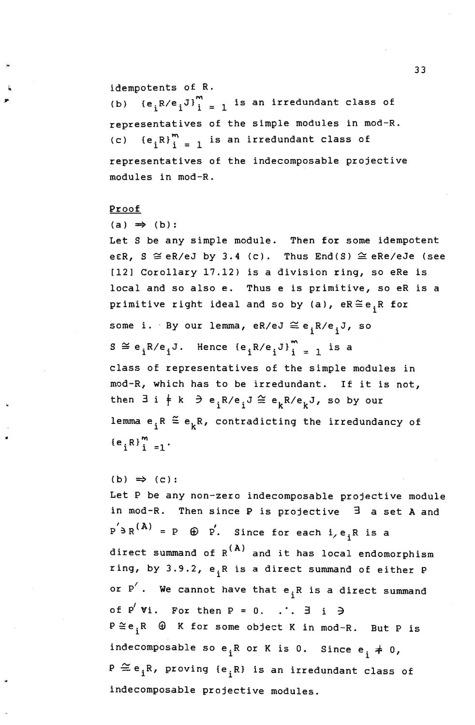idempotents of R.

(b)  $\{e_i R/e_j J\}_{i=1}^m$  is an irredundant class of representatives of the simple modules in mod-R. (c)  ${e_i R}_{i=1}^m$  is an irredundant class of representatives of the indecomposable projective modules in mod-R.

### Proof

### $(a) \Rightarrow (b)$ :

Let S be any simple module. Then for some idempotent eER,  $S \cong eR/eJ$  by 3.4 (c). Thus  $End(S) \cong eRe/eJe$  (see [12] Corollary 17.12) is a division ring, so eRe is local and so also e. Thus e is primitive, so eR is a primitive right ideal and so by (a),  $eR \cong e \frac{1}{1}R$  for some i. By our lemma, eR/eJ  $\approx$  e<sub>i</sub>R/e<sub>i</sub>J, so some i. By our lemma, eR/eJ  $\cong e_iR/e_jJ$ ,<br>S  $\cong e_iR/e_jJ$ . Hence  ${e_iR/e_jJ}_{i}^m$   $=$  1 is a class of representatives of the simple modules in mod-R, which has to be irredundant. If it is not, then  $3$  i  $*$  k  $3 e_iR/e_jJ \cong e_kR/e_kJ$ , so by our lemma  $e_iR \nightharpoonup e_kR$ , contradicting the irredundancy of  ${e_i R}^m_{i=1}.$ 

### $(b) \Rightarrow (c)$ :

•

Let P be any non-zero indecomposable projective module in mod-R. Then since P is projective 3 a set A and , P<sup>'</sup>. Since for each i,e<sub>i</sub>R is a direct summand of  $R^{(A)}$  and it has local endomorphism ring, by 3.9.2, e<sub>i</sub>R is a direct summand of either P or  $P^{'}$ . We cannot have that  $e^{\;\;}_{\bf i}$ R is a direct summand of  $P'$  Vi. For then  $P = 0$ .  $\therefore$   $\exists$  i  $\Rightarrow$  $P \cong e_i R$   $\oplus$  K for some object K in mod-R. But P is indecomposable so  $e_iR$  or K is 0. Since  $e_i \neq 0$ ,  $P \cong e_iR$ , proving { $e_iR$ } is an irredundant class of indecomposable projective modules.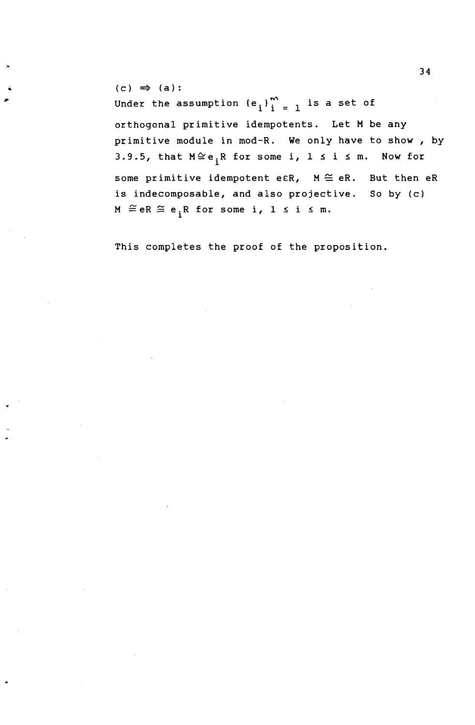$(c) \Rightarrow (a)$ : Under the assumption  ${e_i}^m$   $_{i=1}^m$  is a set of orthogonal primitive idempotents. Let M be any primitive module in mod-R. We only have to show, by 3.9.5, that  $M \cong e_i R$  for some i,  $1 \le i \le m$ . Now for some primitive idempotent eER,  $M \cong eR$ . But then eR is indecomposable, and also projective. So by (c)  $M \cong eR \cong e_iR$  for some i,  $1 \le i \le m$ .

This completes the proof of the proposition.

..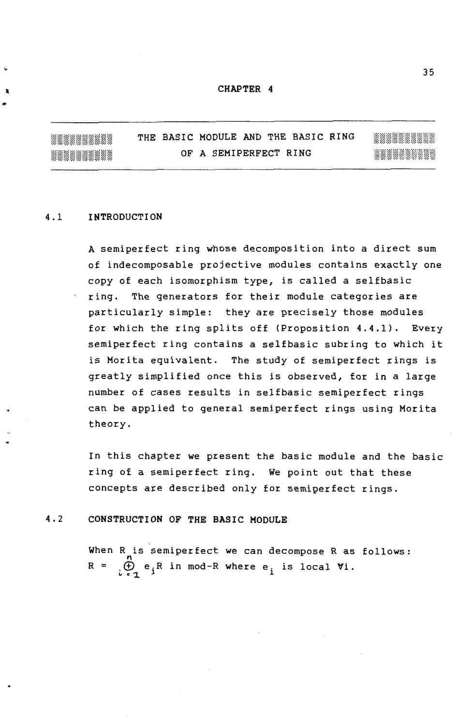### CHAPTER 4

THE BASIC MODULE AND THE BASIC RING \*\*\*\*\*\*\*\*\* \*\*\*\*\*\*\*\*\* OF A SEMIPERFECT RING \*\*\*\*\*\*\*\*\*\*

### 4.1 INTRODUCTION

..

..

A semiperfect ring whose decomposition into a direct sum of indecomposable projective modules contains exactly one copy of each isomorphism type, is called a selfbasic ring. The generators for their module categories are particularly simple: they are precisely those modules for which the ring splits off (Proposition 4.4.1). Every semiperfect ring contains a selfbasic subring to which it is Morita equivalent. The study of semiperfect rings is greatly simplified once this is observed, for in a large number of cases results in selfbasic semiperfect rings can be applied to general semiperfect rings using Morita theory.

In this chapter we present the basic module and the basic ring of a semiperfect ring. We point out that these concepts are described only for semiperfect rings.

4.2 CONSTRUCTION OF THE BASIC MODULE

When R is semiperfect we can decompose R as follows: R =  $\oint_{\epsilon}$  e<sub>i</sub>R in mod-R where e<sub>i</sub> is local Vi.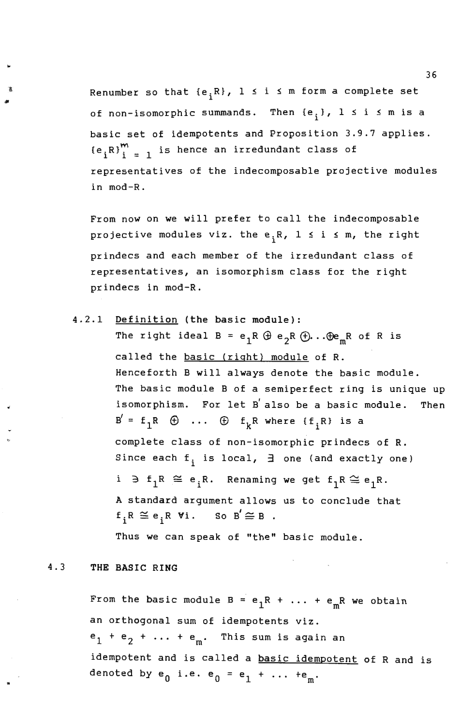Renumber so that  $\{e_{\textbf{i}}\text{R}\}$ ,  $1\ \leq\ \text{i}\ \leq\ \text{m}$  form a complete set of non-isomorphic summands. Then  $\{e_{\mathbf{i}}\}$ ,  $1\,$   $\leqslant$  i  $\leqslant$  m is a basic set of idempotents and Proposition 3.9.7 applies.  ${e_iR}_{i=1}^m$  is hence an irredundant class of representatives of the indecomposable projective modules in mod-R.

From now on we will prefer to call the indecomposable projective modules viz. the e<sub>;</sub>R, 1  $\leq$  i  $\leq$  m, the right prindecs and each member of the irredundant class of representatives, an isomorphism class for the right prindecs in mod-R.

4.2.1 Definition (the basic module): The right ideal B = e<sub>1</sub>R  $\oplus$  e<sub>2</sub>R  $\oplus$ ...  $\oplus$ e<sub>m</sub>R of R is called the basic (right) module of R. Henceforth B will always denote the basic module. The basic module B of a semiperfect ring is unique up isomorphism. For let B' also be a basic module. Then  $B' = f_1 R \oplus \ldots \oplus f_k R$  where  $\{f_i R\}$  is a complete class of non-isomorphic prindecs of R. Since each  $f_i$  is local,  $\exists$  one (and exactly one)  $i \ni f_1 R \cong e_i R$ . Renaming we get  $f_1 R \cong e_1 R$ . A standard argument allows us to conclude that A stand<mark>ar</mark>d argument allows<br>f<sub>i</sub>R ≅ e<sub>i</sub>R ∀i. So B'≅ B .

Thus we can speak of "the" basic module.

### 4.3 THE BASIC RING

..

,.

From the basic module  $B = e_1R + ... + e_mR$  we obtain an orthogonal sum of idempotents viz.  $e_1 + e_2 + \ldots + e_m$ . This sum is again an idempotent and is called a **basic idempotent** of R and is denoted by  $e_0$  i.e.  $e_0 = e_1 + \ldots + e_m$ .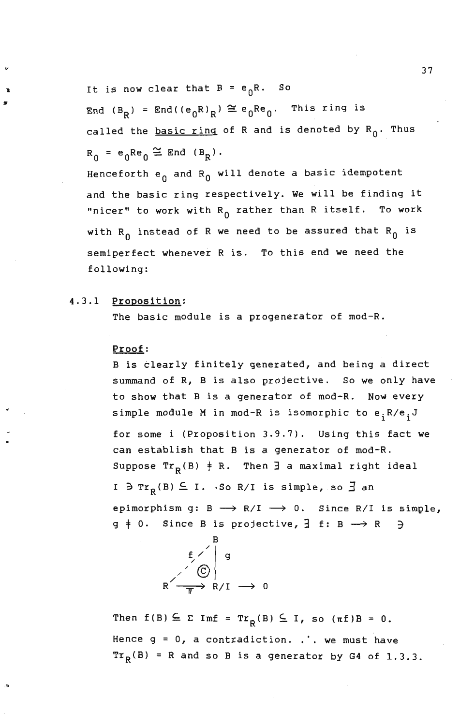It is now clear that  $B = e_0R$ . So End  $(B_R) = End((e_0R)_R) \cong e_0Re_0$ . This ring is called the **basic ring of R** and is denoted by  $R_0$ . Thus  $R_0 = e_0 Re_0 \cong End (B_p)$ .

Henceforth  $e_0$  and  $R_0$  will denote a basic idempotent and the basic ring respectively. We will be finding it "nicer" to work with  $R_0$  rather than R itself. To work with  $R_0$  instead of R we need to be assured that  $R_0$  is semiperfect whenever R is. To this end we need the following:

### 4.3.1 Proposition:

•

..

The basic module is a progenerator of mod-R.

### Proof:

B is clearly finitely generated, and being a direct summand of R, B is also projective. So we only have to show that B is a generator of mod-R. Now every simple module M in mod-R is isomorphic to  $e_{\textbf{i}}$ R/ $e_{\textbf{i}}$ J for some i (Proposition 3.9.7). Using this fact we can establish that B is a generator of mod-R. Suppose  $Tr_{p}(B) \neq R$ . Then  $\exists$  a maximal right ideal I  $\exists$  Tr<sub>p</sub>(B)  $\leq$  I. · So R/I is simple, so  $\exists$  an epimorphism g:  $B \longrightarrow R/I \longrightarrow 0$ . Since  $R/I$  is simple,  $g \neq 0$ . Since B is projective,  $\exists$  f: B  $\longrightarrow$  R  $\Rightarrow$ 



Then  $f(B) \subseteq \Sigma$  Imf =  $Tr_R(B) \subseteq I$ , so  $(\pi f)B = 0$ . Hence  $g = 0$ , a contradiction. . '. we must have  $Tr_R(B) = R$  and so B is a generator by G4 of 1.3.3.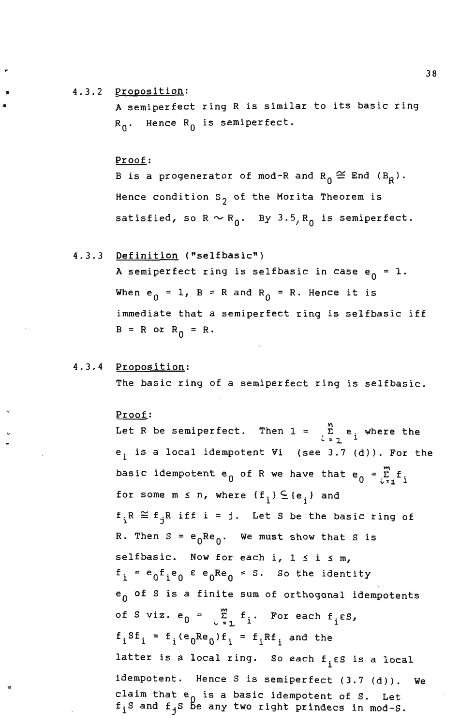### 4.3.2 Proposition:

..

•

A semiperfect ring R is similar to its basic ring  $R_0$ . Hence  $R_0$  is semiperfect.

### Proof:

B is a progenerator of mod-R and  $R_0 \cong$  End  $(B_R)$ . Hence condition  $S_2$  of the Morita Theorem is satisfied, so  $R \sim R_0$ . By 3.5, $R_0$  is semiperfect.

### 4.3.3 Definition ("selfbasic")

A semiperfect ring is selfbasic in case  $e_0 = 1$ . When  $e_0 = 1$ ,  $B = R$  and  $R_0 = R$ . Hence it is immediate that a semiperfect ring is selfbasic iff  $B = R$  or  $R_0 = R$ .

### 4.3.4 Proposition:

The basic ring of a semiperfect ring is selfbasic.

### Proof:

Let R be semiperfect. Then  $1 = \sum_{i=1}^{N} e_i$  where the  $e_i$  is a local idempotent Vi (see 3.7 (d)). For the basic idempotent e<sub>0</sub> of R we have that e<sub>0</sub> =  $\sum_{i=1}^{m} f_i$ for some  $m \leq n$ , where  $\{f_i\} \subseteq \{e_i\}$  and  $f_iR \cong f_jR$  iff i = j. Let S be the basic ring of R. Then  $S = e_0 Re_0$ . We must show that S is selfbasic. Now for each i,  $1 \le i \le m$ ,  $f_i = e_0 f_i e_0 e_e e_0 e_0 = S$ . So the identity  $e_0$  of S is a finite sum of orthogonal idempotents of S viz.  $e_0 = \sum_{i=1}^{m} f_i$ . For each  $f_i \in S$ ,  $f_i$ S $f_i$  =  $f_i$ ( $e_0$ R $e_0$ ) $f_i$  =  $f_i$ R $f_i$  and the latter is a local ring. So each f<sub>i</sub>£S is a local idempotent. Hence S is semiperfect (3.7 (d)). We .<br>Iaim that e<sub>n</sub> is a basic idempotent of S. Let<br>E.S and f.S be any two right prindecs in mod-S.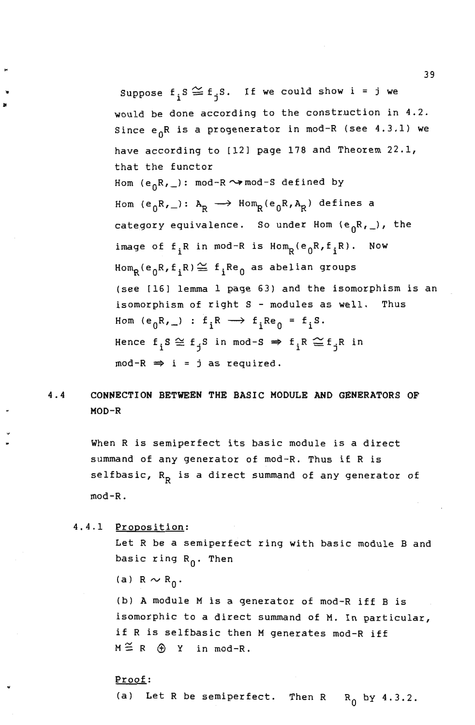Suppose  $f_i S \cong f_j S$ . If we could show  $i$  =  $j$  we would be done according to the construction in 4.2. Since  $e_0R$  is a progenerator in mod-R (see 4.3.1) we have according to [12] page 178 and Theorem 22.1, that the functor Hom  $(e_0R, )$ : mod-R  $\rightarrow$  mod-S defined by Hom  $(e_0R,-): A_R \longrightarrow Hom_R(e_0R,A_R)$  defines a category equivalence. So under Hom  $(e_0R, )$ , the image of  $f_i$ R in mod-R is  $Hom_R(e_0R, f_iR)$ . Now  $Hom_R(e_0R, f_1R) \cong f_1Re_0$  as abelian groups (see [16] lemma 1 page 63) and the isomorphism is an isomorphism of right S - modules as well. Thus Hom  $(e_0R, ...)$ :  $f_iR \rightarrow f_iRe_0 = f_iS$ . Hence  $f_i S \cong f_j S$  in mod- $S \Rightarrow f_i R \cong f_j R$  in  $mod-R \implies i = j$  as required.

### 4.4 CONNECTION BETWEEN THE BASIC MODULE AND GENERATORS OF MOD-R

When R is semiperfect its basic module is a direct summand of any generator of mod-R. Thus if R is selfbasic,  $R_{p}$  is a direct summand of any generator of  $mod-R$ .

4.4.1 Proposition:

Let R be a semiperfect ring with basic module Band basic ring  $R_0$ . Then

(a)  $R \sim R_0$ .

(b) A module M is a generator of mod-R iff B is isomorphic to a direct summand of M. In particular, if R is selfbasic then M generates mod-R iff  $M \cong R$   $\oplus$  Y in mod-R.

### Proof:

(a) Let R be semiperfect. Then R  $R_0$  by 4.3.2.

39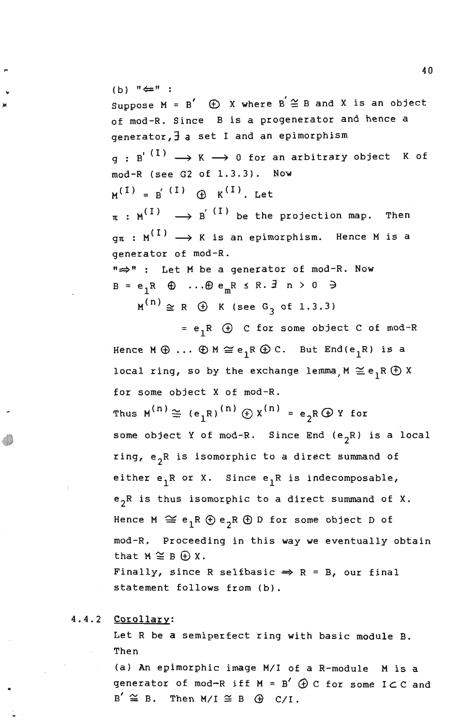(b)  $"\Leftarrow"$  :<br>Suppose  $M = B'$   $\bigoplus X$  where  $B' \cong B$  and X is an object of mod-R. Since B is a progenerator and hence a generator,3 a set I and an epimorphism  $q : B'$ <sup>(I)</sup>  $\longrightarrow K \longrightarrow 0$  for an arbitrary object K of mod-R (see G2 of 1.3.3). Now  $M^{(1)} = B^{(1)} \oplus K^{(1)}$ . Let  $\pi$  :  $M^{(I)} \longrightarrow B^{(I)}$  be the projection map. Then  $\sigma$  :  $M^{(1)} \longrightarrow K$  is an epimorphism. Hence M is a generator of mod-R. "  $\Rightarrow$  " : Let M be a generator of mod-R. Now  $B = e_1 R \oplus ... \oplus e_m R \le R \cdot \exists n > 0 \ni$  $M^{(n)} \cong R \oplus K$  (see G<sub>3</sub> of 1.3.3)

 $= e_1 R$   $\oplus$  C for some object C of mod-R Hence  $M \oplus ... \oplus M \cong e_{1}R \oplus C.$  But  $End(e_{1}R)$  is a local ring, so by the exchange lemma,  $M \cong e_1 R \oplus X$ for some object X of mod-R. Thus  $M^{(n)} \cong (e_1R)^{(n)} \oplus X^{(n)} = e_2R \oplus Y$  for some object Y of mod-R. Since End  $(e_2R)$  is a local ring,  $e_2R$  is isomorphic to a direct summand of either  $e_1R$  or X. Since  $e_1R$  is indecomposable,  $e_2R$  is thus isomorphic to a direct summand of X. Hence  $M \cong e_1R \oplus e_2R \oplus D$  for some object D of mod-R. Proceeding in this way we eventually obtain that  $M \cong B \oplus X$ . Finally, since R selfbasic  $\Rightarrow$  R = B, our final statement follows from (b).

### 4.4.2 Corollary:

iI

Let R be a semiperfect ring with basic module B. Then

(a) An epimorphic image *MII* of a R-module M is a generator of mod-R iff  $M = B' \oplus C$  for some ICC and  $B' \cong B$ . Then  $M/I \cong B$   $\oplus$   $C/I$ .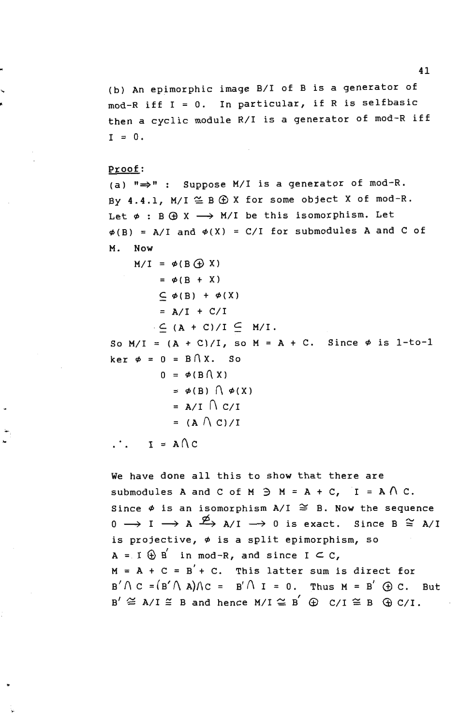(b) An epimorphic image B/I of B is a generator of mod-R iff I = O. In particular, if R is selfbasic then a cyclic module R/I is a generator of mod-R iff  $I = 0.$ 

### Proof:

(a)  $"\Rightarrow"$  : Suppose M/I is a generator of mod-R. By  $4.4.1$ ,  $M/I \cong B \oplus X$  for some object X of mod-R. Let  $\phi$  : B  $\bigoplus$  X  $\longrightarrow$  M/I be this isomorphism. Let  $\phi$ (B) = A/I and  $\phi$ (X) = C/I for submodules A and C of M. Now

 $M/I = \phi(B \oplus X)$  $= \phi (B + X)$  $C \phi(B) + \phi(X)$  $= A/I + C/I$  $C (A + C)/I \subseteq M/I$ . So  $M/I = (A + C)/I$ , so  $M = A + C$ . Since  $\phi$  is 1-to-1  $ker$   $\phi = 0 = B \bigwedge X$ . So  $0 = \phi(B \cap X)$  $= \phi(B) \bigcap \phi(X)$ =  $A/I \cap C/I$  $=$  (A  $\bigcap$  C)/I  $\cdot$   $I = A \cap C$ 

We have done all this to show that there are submodules A and C of M  $\supseteq$  M = A + C, I = A  $\bigcap$  C. Since  $\phi$  is an isomorphism A/I  $\cong$  B. Now the sequence  $0 \longrightarrow I \longrightarrow A \xrightarrow{\not \infty} A/I \longrightarrow 0$  is exact. Since  $B \xrightarrow{\simeq} A/I$ is projective,  $\phi$  is a split epimorphism, so  $A = I \oplus B'$  in mod-R, and since  $I \subseteq C$ ,  $M = A + C = B^{'} + C$ . This latter sum is direct for  $B' \wedge C = (B' \wedge A) \wedge C = B' \wedge I = 0$ . Thus  $M = B' \oplus C$ . But *B'*  $\wedge$  C = (*B'*  $\wedge$  *A)*  $\wedge$  C = B'  $\wedge$  I = 0. Thus M = B' ⊕ C/ C. 1<br>*B'*  $\cong$  *A*/I  $\cong$  *B* and hence M/I  $\cong$  B<sup>'</sup> ⊕ C/I  $\cong$  B' ⊕ C/I.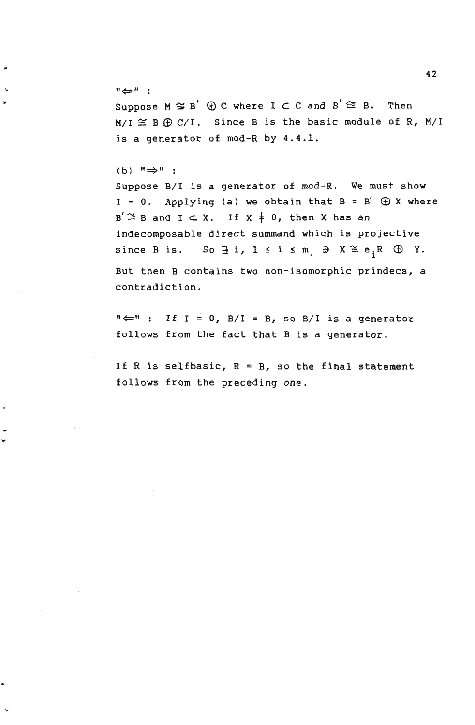$" \leftarrow"$ :

It

Suppose  $M \cong B' \oplus C$  where  $I \subset C$  and  $B' \cong B$ . Then  $M/I \cong B \oplus C/I$ . Since B is the basic module of R,  $M/I$ is a generator of mod-R by 4.4.1.

 $(b)$  " $\Rightarrow$ " :

Suppose *B/I* is a generator of mod-R. We must show  $I = 0$ . Applying (a) we obtain that  $B = B' \oplus X$  where  $B' \cong B$  and  $I \subset X$ . If  $X \neq 0$ , then X has an indecomposable direct summand which is projective since B is. So  $\exists$  i,  $1 \le i \le m$ ,  $\exists$   $X \ncong e, R$   $\bigoplus Y$ . But then B contains two non-isomorphic prindecs, a contradiction.

 $"\Leftarrow"$  : If I = 0,  $B/I$  = B, so  $B/I$  is a generator follows from the fact that B is a generator.

If R is selfbasic,  $R = B$ , so the final statement follows from the preceding one.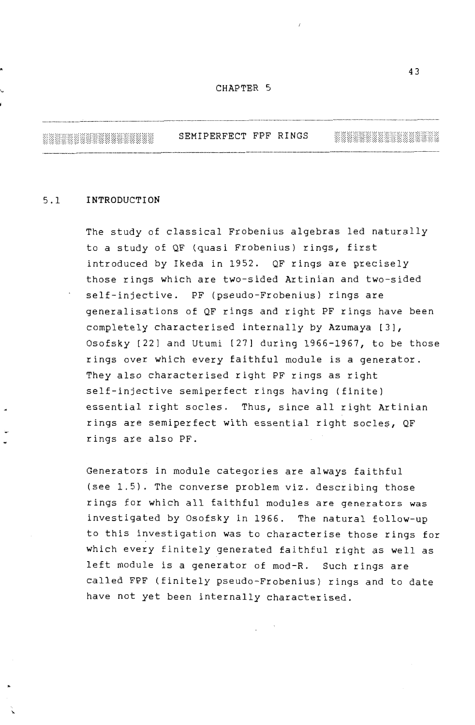### CHAPTER 5

\_ ........ \_.\_ .. \_ ... \_.\_ ..... \_ .. \_-\_ .. \_-----\_.\_.\_--\_.\_. \_\_ ... \_ ... \_ .. \_.\_ .... \_--\_.\_.\_ ..... \_\_ .\_ ....... \_\_ .\_ ... \_\_ ... \_ ..... \_\_ .\_-\_ ... \_\_ . \_\_ ... -... \_ ....... \_ .. \_ .. \_ ...... \_ ... --\_ .. \_ .. \_ ..... \_.-.-......•..•............... \_ .... \_\_ .\_ .... -....... \_ .....••...............

### 5.1 INTRODUCTION

..

•

The study of classical Frobenius algebras led naturally to a study of QF (quasi Frobenius) rings, first introduced by Ikeda in 1952. QF rings are precisely those rings which are two-sided Artinian and two-sided self-injective. PF (pseudo-Frobenius) rings are generalisations of QF rings and right PF rings have been completely characterised internally by Azumaya [3], Osofsky [22] and Utumi [27] during 1966-1967, to be those rings over which every faithful module is a generator. They also characterised right PF rings as right self-injective semiperfect rings having (finite) essential right socles. Thus, since all right Artinian rings are semiperfect with essential right socles, QF rings are also PF.

Generators in module categories are always faithful (see 1.5). The converse problem viz. describing those rings for which all faithful modules are generators was investigated by Osofsky in 1966. The natural follow-up to this investigation was to characterise those rings for which every finitely generated faithful right as well as left module is a generator of mod-R. Such rings are called FPF (finitely pseudo-Frobenius) rings and to date have not yet been internally characterised.

43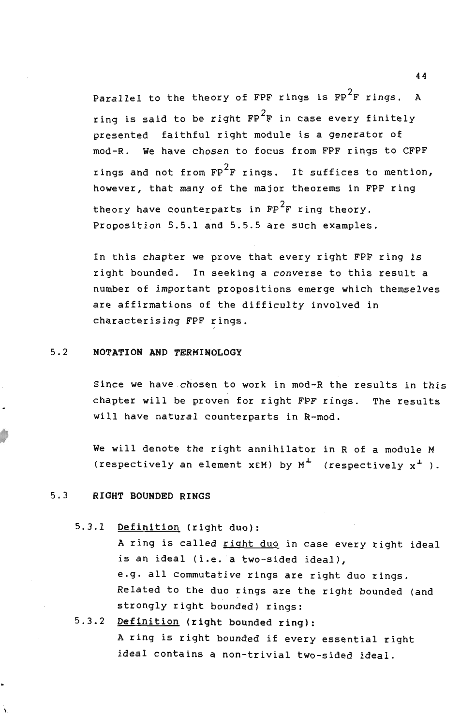Parallel to the theory of FPF rings is  $\text{FP}^2$ F rings. A ring is said to be right  $\texttt{FP}^2$ F in case every finitely presented faithful right module is a generator of mod-Re We have chosen to focus from FPF rings to CFPF rings and not from  $\text{FP}^2$ F rings. It suffices to mention, however, that many of the major theorems in FPF ring theory have counterparts in  $\text{FP}^2$ F ring theory. Proposition 5.5.1 and 5.5.5 are such examples.

In this chapter we prove that every right FPF ring is right bounded. In seeking a converse to this result a number of important propositions emerge which themselves are affirmations of the difficulty involved in characterising FPF rings. ,

### 5.2 NOTATION AND TERMINOLOGY

Since we have chosen to work in mod-R the results in this chapter will be proven for right FPF rings. The results will have natural counterparts in R-mod.

We will denote the right annihilator in R of a module M (respectively an element xEM) by  $M^+$  (respectively  $x^+$ ).

### 5.3 RIGHT BOUNDED RINGS

5.3.1 Definition (right duo):

A ring is called right duo in case every right ideal is an ideal (i.e. a two-sided ideal), e.g. all commutative rings are right duo rings. Related to the duo rings are the right bounded (and strongly right bounded) rings:

5.3.2 Definition (right bounded ring): A ring is right bounded if every essential right ideal contains a non-trivial two-sided ideal.

44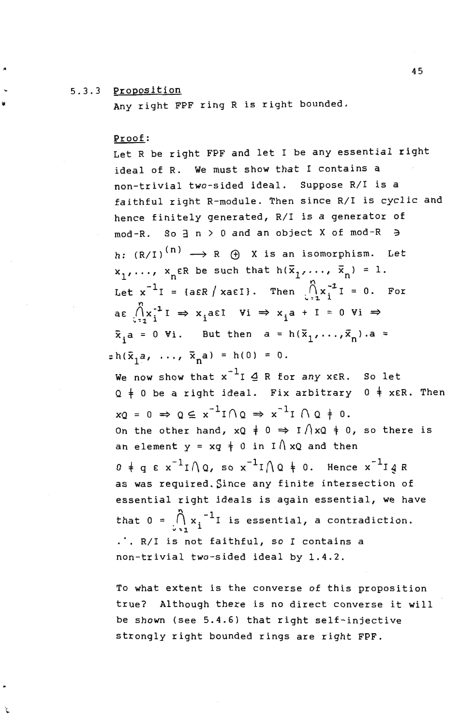### 5.3 . 3 Proposition

...

Any right FPF ring R is right bounded.

### Proof:

Let R be right FPF and let I be any essential right ideal of R. We must show that I contains a non-trivial two-sided ideal. Suppose R/I is a faithful right R-module. Then since *R/I* is cyclic and hence finitely generated, *R/1* is a generator of  $mod-R$ . So  $\exists$  n > 0 and an object X of mod-R  $\exists$ h:  $(R/I)^{(n)} \longrightarrow R$  (f) X is an isomorphism. Let  $x_1, \ldots, x_n \in R$  be such that  $h(\bar{x}_1, \ldots, \bar{x}_n) = 1$ . Let  $x^{-1}I = \{a \in R / \text{xa} \in I\}$ . Then  $\bigcap_{i=1}^{n} x_i^{-1}I = 0$ . For  $\int_{a}^{b} x_i^{-1} I \Rightarrow x_i^{\text{a}} \in I \quad \forall i \Rightarrow x_i^{\text{a}} + I = 0 \quad \forall i \Rightarrow$  $\bar{x}_i$  a = 0 Vi. But then a = h( $\bar{x}_1$ , ...,  $\bar{x}_n$ ). a = ...,  $\bar{x}_{n}$ a) = h(0) = 0. We now show that  $x^{-1}I \trianglelefteq R$  for any x $\epsilon R$ . So let  $Q + 0$  be a right ideal. Fix arbitrary  $0 + x \in R$ . Then  $xQ = 0 \Rightarrow Q \subseteq x^{-1}I \cap Q \Rightarrow x^{-1}I \cap Q \neq 0.$ On the other hand,  $xQ + 0 \Rightarrow I \wedge xQ + 0$ , so there is an element  $y = xq \neq 0$  in  $I \wedge xQ$  and then  $0 + q \epsilon x^{-1}$ I $\bigcap Q$ , so  $x^{-1}$ I $\bigcap Q + 0$ . Hence  $x^{-1}$ I $4$  R as was required, Since any finite intersection of essential right ideals is again essential, we have that  $0 = \bigcap_{i=1}^{n} x_i^{-1}$  is essential, a contradiction. .', *R/I* is not faithful, so I contains a non-trivial two-sided ideal by 1.4.2.

To what extent is the converse of this proposition true? Although there is no direct converse it will be shown (see 5.4.6) that right self-injective strongly right bounded rings are right FPF.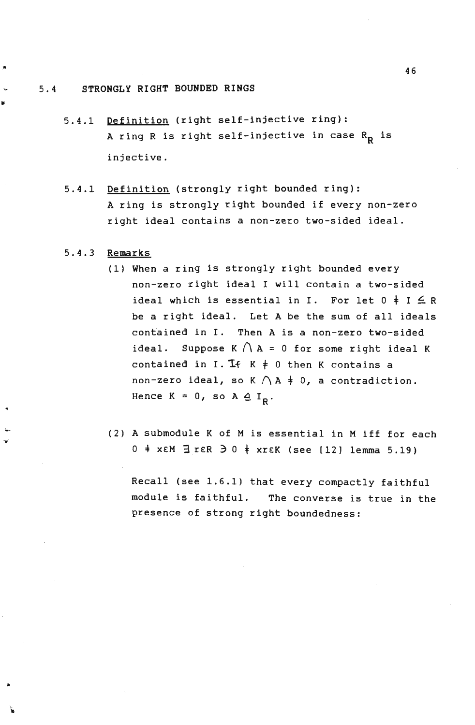#### 5.4 STRONGLY RIGHT BOUNDED RINGS

- 5.4.1 Definition (right self-injective ring): A ring R is right self-injective in case  $R_p$  is injective.
- 5.4.1 Definition (strongly right bounded ring): A ring is strongly right bounded if every non-zero right ideal contains a non-zero two-sided ideal.

### 5.4.3 Remarks

•

..

..

- (1) When a ring is strongly right bounded every non-zero right ideal I will contain a two-sided ideal which is essential in I. For let  $0 \neq I \leq R$ be a right ideal. Let A be the sum of all ideals contained in I. Then A is a non-zero two-sided ideal. Suppose K  $\bigcap A = 0$  for some right ideal K contained in I. If  $K \neq 0$  then K contains a non-zero ideal, so  $K \bigwedge A \neq 0$ , a contradiction. Hence  $K = 0$ , so  $A \triangleq I_D$ .
- (2) A submodule K of M is essential in M iff for each  $0 \neq x \in M$   $\exists$  r $\in$ R  $\exists$  0  $\neq$  xr $\in$ K (see [12] lemma 5.19)

Recall (see 1.6.1) that every compactly faithful module is faithful. The converse is true in the presence of strong right boundedness: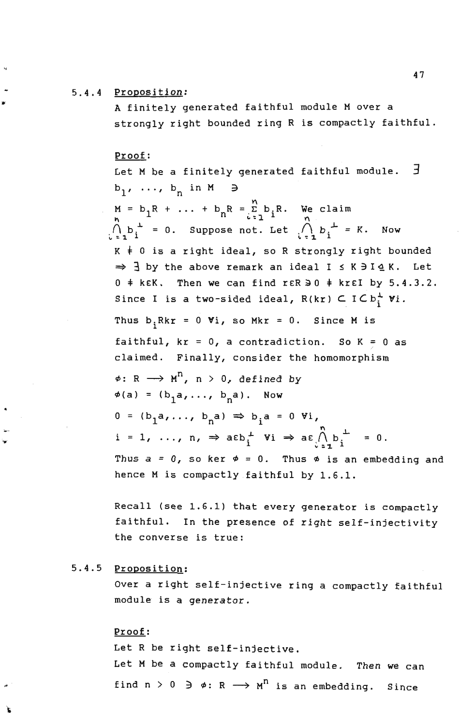# .. 5.4.4 Proposition:

A finitely generated faithful module M over a strongly right bounded ring R is compactly faithful.

### Proof:

Let M be a finitely generated faithful module.  $\exists$  $\cdots$ ,  $b_n$  in M  $M = b_1 R + \ldots + b_n R = \sum_{i=1}^{n} b_i R$ . We claim  $\bigwedge^{\infty}$  b  $\bigwedge^{\perp}$  = 0.  $\mathfrak{c}$  = 1  $\,$  1  $\text{Suppose not. Let } \bigcap_{b} b^{\perp} = K.$ Y'\  $\left(\begin{array}{cc} 1 & b \\ c & 1 \end{array}\right)$ Now  $K~\stackrel{\text{1}}{*}~0$  is a right ideal, so R strongly right bounded  $\Rightarrow$   $\exists$  by the above remark an ideal I  $\leq$  K  $\Rightarrow$  I  $\leq$  K. Let  $0 \neq k \in K$ . Then we can find r $\epsilon \mathbb{R} \ni 0 \neq k \in I$  by 5.4.3.2. Since I is a two-sided ideal,  $R(kr) \subset ICb_i^{\perp}$  Vi. Thus  $b_i R k r = 0 \forall i$ , so Mkr = 0. Since M is faithful,  $kr = 0$ , a contradiction. So  $K = 0$  as claimed. Finally, consider the homomorphism  $\phi: R \longrightarrow M^{n}$ , n > 0, defined by  $\phi(a) = (b_1 a, \ldots, b_n a)$ . Now  $0 = (b_1 a, \ldots, b_n a) \Rightarrow b_i a = 0 \forall i,$  $i = 1, \ldots, n, \Rightarrow \text{ach}_i^{\perp} \forall i \Rightarrow \text{ae} \bigwedge_{i=1}^{n} b_i^{\perp} = 0.$ Thus a =  $0$ , so ker  $\phi = 0$ . Thus  $\phi$  is an embedding and hence M is compactly faithful by 1.6.1.

Recall (see 1.6.1) that every generator is compactly faithful. In the presence of right self-injectivity the converse is true:

### 5.4.5 Proposition:

Over a right self-injective ring a compactly faithful module is a generator.

### Proof:

Let R be right self-injective. Let M be a compactly faithful module. Then we can find  $n > 0$   $\Rightarrow$   $\phi: R \longrightarrow M^n$  is an embedding. Since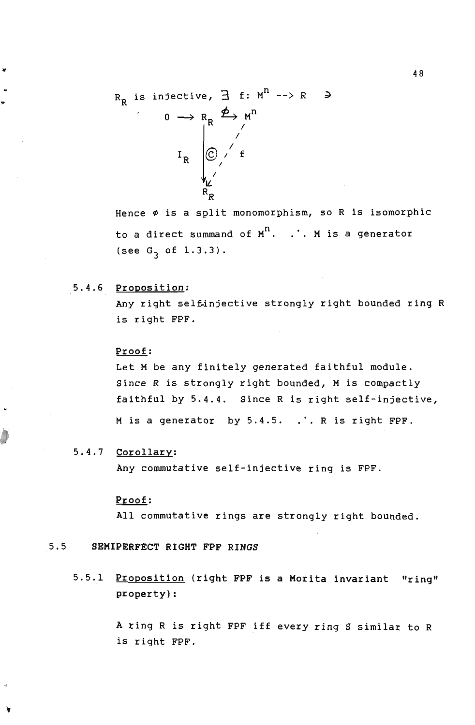### $R_{\text{p}}$  is injective,  $\exists$  f:  $M^{n}$  --> R  $\ni$  $0 \longrightarrow R_p \stackrel{\phi}{\longrightarrow} M^n$ / /  $\mathbf{I}_{\mathsf{R}}$   $\left| \mathbb{C}\right|/\mathsf{f}$ I IL  $R_{\mathbf{R}}$

Hence  $\phi$  is a split monomorphism, so R is isomorphic to a direct summand of  $M^n$ .  $\therefore$  M is a generator (see  $G_3$  of  $1.3.3$ ).

### 5.4.6 Proposition:

la'

Any right selfinjective strongly right bounded ring R is right FPF.

#### Proof:

Let M be any finitely generated faithful module. Since R is strongly right bounded, M is compactly faithful by 5.4.4. Since R is right self-injective, M is a generator by  $5.4.5.$  .  $\therefore$  R is right FPF.

### 5.4.7 Corollary:

Any commutative self-injective ring is FPF.

### Proof:

All commutative rings are strongly right bounded.

### 5.5 SEMIPERFECT RIGHT FPF RINGS

5.5.1 Proposition (right FPF is a Horita invariant "ring" property) :

> A ring R is right FPF iff every ring S similar to R is right FPF.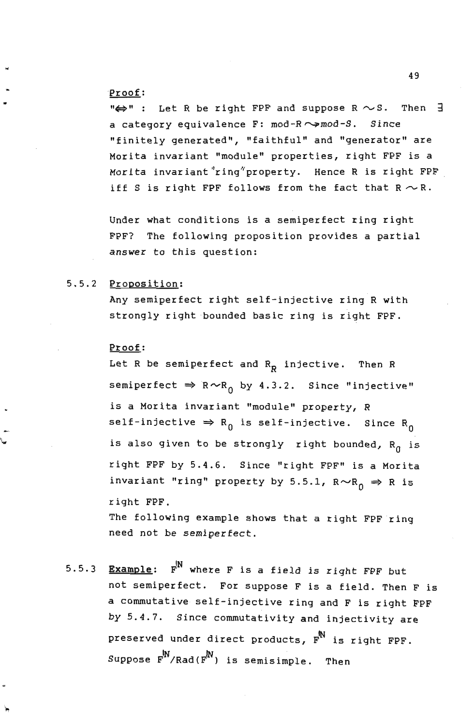### Proof:

" $\Leftrightarrow$ ": Let R be right FPF and suppose R  $\sim$  S. Then  $\exists$ a category equivalence  $F: mod-R \rightarrow mod-S$ . Since "finitely generated", "faithful" and "generator" are Morita invariant "module" properties, right FPF is a Morita invariant  $r$ ing"property. Hence R is right FPF iff S is right FPF follows from the fact that  $R \sim R$ .

Under what conditions is a semiperfect ring right FPF? The following proposition provides a partial answer to this question:

### 5.5.2 Proposition:

Any semiperfect right self-injective ring R with strongly right bounded basic ring is right FPF.

### Proof:

Let R be semiperfect and  $R_p$  injective. Then R semiperfect  $\Rightarrow$  R $\sim$ R<sub>0</sub> by 4.3.2. Since "injective" is a Morita invariant "module" property, R self-injective  $\Rightarrow$  R<sub>0</sub> is self-injective. Since R<sub>0</sub> is also given to be strongly right bounded,  $R_0$  is right FPF by 5.4.6. Since "right FPF" is a Morita invariant "ring" property by 5.5.1,  $R \sim R_0 \Rightarrow R$  is right FPF. The following example shows that a right FPF ring need not be semiperfect.

5.5.3 Example: F<sup>N</sup> where F is a field is right FPF but not semiperfect. For suppose F is a field. Then F is a commutative self-injective ring and F is right FPF by 5.4.7. Since commutativity and injectivity are preserved under direct products,  $F^N$  is right FPF. Suppose  $F^{N}/Rad(F^{N})$  is semisimple. Then

 $\sim$  49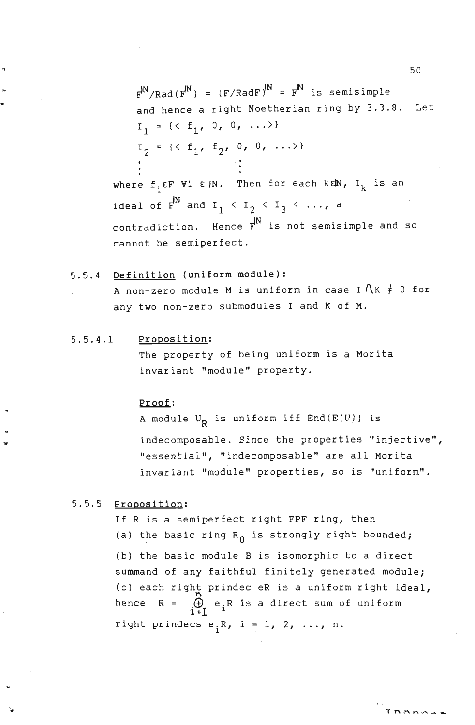$F_N^{\text{IN}}$ /Rad( $F_N^{\text{IN}}$ ) = (F/RadF)<sup>|N</sup> =  $F_N^{\text{IN}}$  is semisimple and hence a right Noetherian ring by 3.3.8. Let  $I_1 = \{ \langle f_1, 0, 0, \ldots \rangle \}$  $I_2 = \{ \langle f_1, f_2, 0, 0, \ldots \rangle \}$ where  $f:EF$  Vi  $E \upharpoonright N$ . Then for each kaN,  $I_k$  is an ideal of  $F^{IN}$  and  $I_1 \times I_2 \times I_3 \times \ldots$ , a contradiction. Hence  $F^N$  is not semisimple and so cannot be semiperfect.

- 5.5.4 Definition (uniform module): A non-zero module M is uniform in case I  $\bigwedge K$   $\neq$  0 for any two non-zero submodules I and K of M.
- 5.5.4.1 Proposition: The property of being uniform is a Morita invariant "module" property.

### Proof:

A module  $U_p$  is uniform iff End(E(U)) is indecomposable. Since the properties "injective", "essential", "indecomposable" are all Morita invariant "module" properties, so is "uniform".

### 5.5.5 Proposition:

' ..

..

If R is a semiperfect right FPF ring, then (a) the basic ring  $R_0$  is strongly right bounded; (b) the basic module B is isomorphic to a direct summand of any faithful finitely generated module; (c) each right prindec eR is a uniform right ideal, hence  $R = \bigoplus_{i=1}^{n} e_i R$  is a direct sum of uniform right prindecs  $e_i R$ , i = 1, 2, ..., n.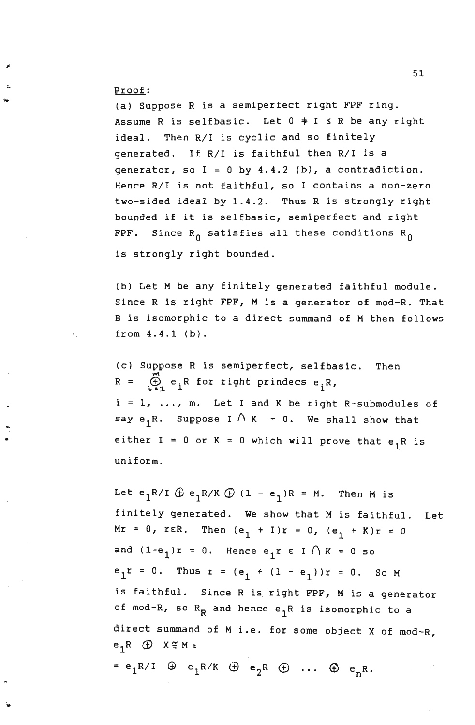### Proof:

...

(a) Suppose R is a semiperfect right FPF ring. Assume R is selfbasic. Let  $0 + I \leq R$  be any right ideal. Then R/I is cyclic and so finitely generated. If R/I is faithful then R/I is a generator, so  $I = 0$  by  $4.4.2$  (b), a contradiction. Hence R/I is not faithful, so I contains a non-zero two-sided ideal by 1.4.2. Thus R is strongly right bounded if it is selfbasic, semiperfect and right FPF. Since  $R_0$  satisfies all these conditions  $R_0$ is strongly right bounded.

(b) Let M be any finitely generated faithful module. Since R is right FPF, M is a generator of mod-R. That B is isomorphic to a direct summand of M then follows from 4.4.1 (b).

(c) Suppose R is semiperfect, selfbasic. Then  $R = \bigoplus_{i=1}^{m} e_i R$  for right prindecs  $e_i R$ ,  $i = 1, ..., m$ . Let I and K be right R-submodules of say  $e_1R$ . Suppose I  $\bigwedge K = 0$ . We shall show that either  $I = 0$  or  $K = 0$  which will prove that  $e_1R$  is uniform.

Let  $e_1R/I \oplus e_1R/K \oplus (1 - e_1)R = M$ . Then M is finitely generated. We show that M is faithful. Let Mr = 0, rER. Then  $(e_1 + I)r = 0$ ,  $(e_1 + K)r = 0$ and  $(1-e_1)r = 0$ . Hence  $e_1r \in I \cap K = 0$  so  $e_1r = 0$ . Thus  $r = (e_1 + (1 - e_1))r = 0$ . So M is faithful. Since R is right FPF, M is a generator of mod-R, so  $R_R$  and hence  $e_1R$  is isomorphic to a direct summand of M i.e. for some object X of mod-R,  $e_1R \oplus X \cong M$ :  $e_n$ R.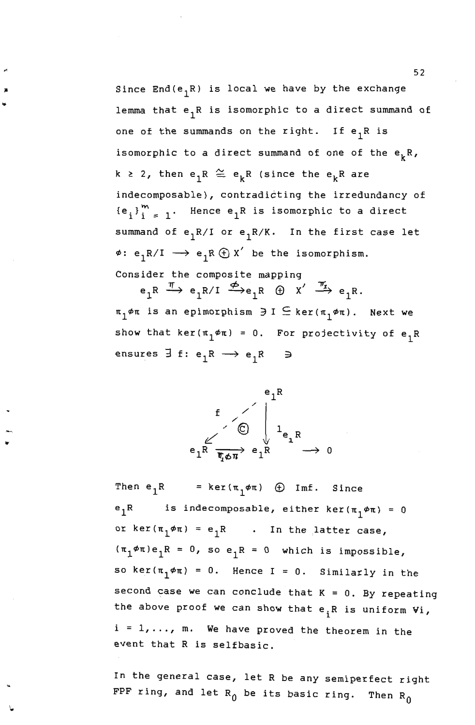Since End(e<sub>1</sub>R) is local we have by the exchange lemma that  $e_1R$  is isomorphic to a direct summand of one of the summands on the right. If  $e_1R$  is isomorphic to a direct summand of one of the  $e_kR$ ,  $k \geq 2$ , then  $e_1R \cong e_kR$  (since the  $e_kR$  are indecomposable), contradicting the irredundancy of  ${e_i}$ <sup>m</sup><sub>i = 1</sub>. Hence  $e_1$ R is isomorphic to a direct summand of  $e_1R/I$  or  $e_1R/K$ . In the first case let  $\phi: e_1R/I \longrightarrow e_1R \oplus X'$  be the isomorphism. Consider the composite mapping

...

 $e_1R \xrightarrow{\pi} e_1R/I \xrightarrow{\phi} e_1R \oplus X' \xrightarrow{\pi} e_1R$ .  $\pi_1\phi\pi$  is an epimorphism  $\exists$  I  $\subseteq$  ker( $\pi_1\phi\pi$ ). Next we show that ker( $\pi_1 \phi \pi$ ) = 0. For projectivity of  $e_1R$ ensures  $\exists$  f:  $e_1R \rightarrow e_1R$   $\Rightarrow$ 



Then  $e_1R$  = ker( $\pi_1 \phi \pi$ )  $\bigoplus$  Imf. Since  $e_1R$  is indecomposable, either ker( $\pi_1\phi\pi$ ) = 0 or  $\ker(\pi_1 \phi \pi) = e_1 R$  . In the latter case,  $(\pi_1 \phi \pi) e_1 R = 0$ , so  $e_1 R = 0$  which is impossible, so ker( $\pi_1 \notin \pi$ ) = 0. Hence I = 0. Similarly in the  $second$  case we can conclude that  $K = 0$ . By repeating the above proof we can show that  $e_iR$  is uniform  $Vi$ ,  $i = 1, \ldots, m$ . We have proved the theorem in the event that R is selfbasic.

In the general case, let R be any semiperfect right FPF ring, and let  $R_0$  be its basic ring. Then  $R_0$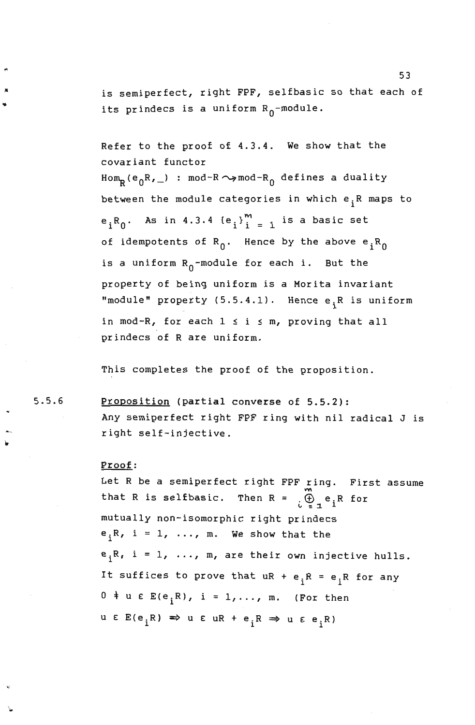is semiperfect, right FPF, selfbasic so that each of its prindecs is a uniform  $R_0$ -module.

Refer to the proof of 4.3.4. We show that the covariant functor  $Hom_R(e_0R, ...)$  : mod-R  $\sim$  mod-R<sub>0</sub> defines a duality between the module categories in which e<sub>i</sub>R maps to As in  $4.3.4$   ${e_i}^m = 1$  is a basic set of idempotents of  $R_0$ . Hence by the above  $e_iR_0$ is a uniform  $R_0$ -module for each i. But the property of being uniform is a Morita invariant "module" property (5.5.4.1). Hence e<sub>i</sub>R is uniform in mod-R, for each  $1 \le i \le m$ , proving that all prindecs of R are uniform.

This completes the proof of the proposition.

5.5.6

..

i. ...

> Proposition (partial converse of 5.5.2): Any semiperfect right FPF ring with nil radical J is right self-injective.

### Proof:

Let R be a semiperfect right FPF  $\min_{\mathbf{x}}$  First assume that R is selfbasic. Then  $R = \bigoplus_{i=1}^{m} e_i R$  for mutually non-isomorphic right prindecs  $e_iR$ ,  $i = 1$ , ..., m. We show that the  $e_i R$ , i = 1, ..., m, are their own injective hulls. It suffices to prove that  $uR + e_iR = e_iR$  for any  $0 \neq u \in E(e_iR)$ , i = 1, ..., m. (For then u E  $E(e_i, R) \Rightarrow u \in uR + e_i, R \Rightarrow u \in e_i, R$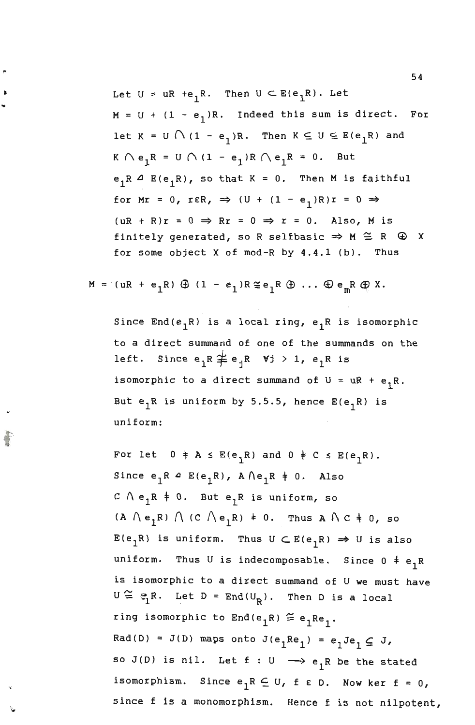Let  $U = uR + e_1R$ . Then  $U \subset E(e_1R)$ . Let  $M = U + (1 - e_1)R$ . Indeed this sum is direct. For let  $K = U \cap (1 - e_1)R$ . Then  $K \subseteq U \subseteq E(e_1 R)$  and  $K \cap e_1 R = U \cap (1 - e_1) R \cap e_1 R = 0.$  But  $e, R$   $\varphi$   $E(e, R)$ , so that  $K = 0$ . Then M is faithful for Mr = 0, r $\epsilon \mathbb{R}$ ,  $\Rightarrow$  (U + (1 - e<sub>1</sub>)R)r = 0  $\Rightarrow$  $( uR + R)r = 0 \Rightarrow Rr = 0 \Rightarrow r = 0$ . Also, M is finitely generated, so R selfbasic  $\Rightarrow$  M  $\cong$  R  $\oplus$  X for some object X of mod-R by  $4.4.1$  (b). Thus

$$
M = (uR + e_1R) \oplus (1 - e_1)R \cong e_1R \oplus \ldots \oplus e_mR \oplus X.
$$

••

f

Since End(e<sub>1</sub>R) is a local ring, e<sub>1</sub>R is isomorphic to a direct summand of one of the summands on the left. Since  $e_1R \not\cong e_iR$  Vj > 1,  $e_1R$  is isomorphic to a direct summand of  $U = uR + e_1R$ . But  $e_1R$  is uniform by 5.5.5, hence  $E(e_1R)$  is uniform:

For let  $0 \neq A \leq E(e_1R)$  and  $0 \neq C \leq E(e_1R)$ . Since  $e_1R \triangleq E(e_1R)$ ,  $A \triangle e_1R \neq 0$ . Also C  $\wedge$  e<sub>1</sub>R  $\neq$  0. But e<sub>1</sub>R is uniform, so  $(A \cap e_1 R) \cap (C \cap e_1 R) + 0$ . Thus  $A \cap C + 0$ , so  $E(e_1R)$  is uniform. Thus  $U \subset E(e_1R) \Rightarrow U$  is also uniform. Thus U is indecomposable. Since  $0 \neq e_1R$ is isomorphic to a direct summand of U we must have  $U \cong e_1R$ . Let  $D = End(U_R)$ . Then D is a local ring isomorphic to End( $e_1R$ )  $\cong e_1Re_1$ . Rad(D) = J(D) maps onto  $J(e_1Re_1) = e_1Je_1 \subseteq J$ , so J(D) is nil. Let f : U  $\longrightarrow$  e<sub>1</sub>R be the stated isomorphism. Since  $e_1R \subseteq U$ , f  $\epsilon$  D. Now ker f = 0, since f is a monomorphism. Hence £ is not nilpotent,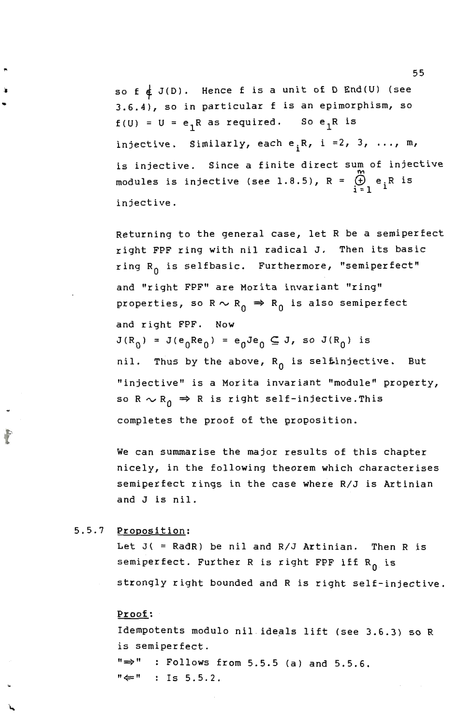so  $f \notin J(D)$ . Hence f is a unit of D End(U) (see 3.6.4), so in particular f is an epimorphism, so  $f(U) = U = e_1 R$  as required. So  $e_1 R$  is injective. Similarly, each  $e_iR$ , i =2, 3, ..., m, is injective. Since a finite direct sum of injective modules is injective (see 1.8.5),  $R = \bigoplus_{i=1}^{m} e_i R$  is injective.

Returning to the general case, let R be a semiperfect right FPF ring with nil radical J. Then its basic ring  $R_0$  is selfbasic. Furthermore, "semiperfect" and "right FPF" are Morita invariant "ring" properties, so  $R \sim R_0 \Rightarrow R_0$  is also semiperfect and right FPF. Now  $J(R_0) = J(e_0Re_0) = e_0Je_0 \subseteq J$ , so  $J(R_0)$  is nil. Thus by the above,  $R_0$  is self-injective. But "injective" is a Morita invariant "module" property, so  $R \sim R_0 \Rightarrow R$  is right self-injective. This completes the proof of the proposition.

We can summarise the major results of this chapter nicely, in the following theorem which characterises semiperfect rings in the case where R/J is Artinian and J is nil.

### 5.5.7 Proposition:

..

..

Let  $J($  = RadR) be nil and R/J Artinian. Then R is semiperfect. Further R is right FPF iff  $R_0$  is strongly right bounded and R is right self-injective.

### Proof:

Idempotents modulo nil ideals lift (see 3.6.3) so R is semiperfect.  $" \Rightarrow"$  : Follows from 5.5.5 (a) and 5.5.6.  $"\Leftarrow"$  : Is 5.5.2.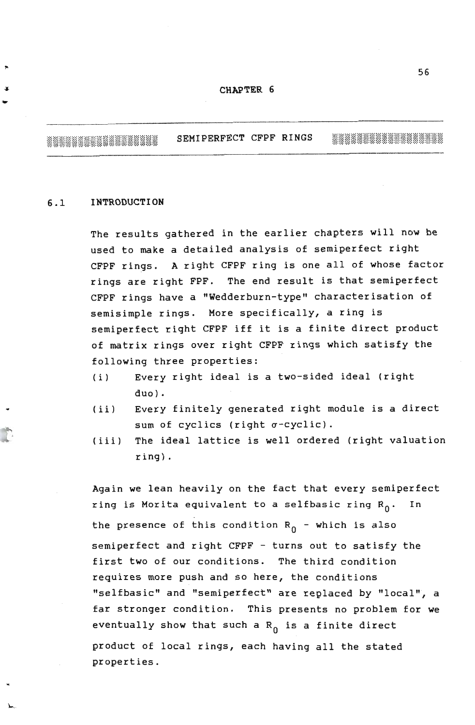### CHAPTER 6

\*\*\*\*\*\*\*\*\*\*\*\*\*\*\*\*\* SEMI PERFECT CFPF RINGS 

### 6.1 INTRODUCTION

.\_-\_.\_--\_.\_--

The results gathered in the earlier chapters will now be used to make a detailed analysis of semiperfect right CFPF rings. A right CFPF ring is one all of whose factor rings are right FPF. The end result is that semiperfect CFPF rings have a "Wedderburn-type" characterisation of semisimple rings. More specifically, a ring is semiperfect right CFPF iff it is a finite direct product of matrix rings over right CFPF rings which satisfy the following three properties:

- (i) Every right ideal is a two-sided ideal (right duo) .
- (ii) Every finitely generated right module is a direct sum of cyclics (right  $\sigma$ -cyclic).
- (iii) The ideal lattice is well ordered (right valuation ring) .

Again we lean heavily on the fact that every semiperfect ring is Morita equivalent to a selfbasic ring  $R_0$ . In the presence of this condition  $R_0$  - which is also semiperfect and right CFPF - turns out to satisfy the first two of our conditions. The third condition requires more push and so here, the conditions "selfbasic" and "semiperfect" are replaced by "local", a far stronger condition. This presents no problem for we eventually show that such a  $R_n$  is a finite direct product of local rings, each having all the stated properties.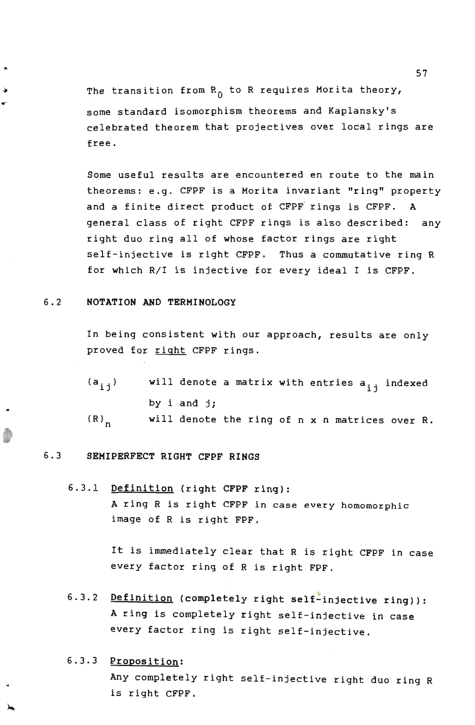The transition from  $R_0$  to R requires Morita theory, some standard isomorphism theorems and Kaplansky's celebrated theorem that projectives over local rings are free.

Some useful results are encountered en route to the main theorems: e.g. CFPF is a Morita invariant "ring" property and a finite direct product of CFPF rings is CFPF. A general class of right CFPF rings is also described: any right duo ring all of whose factor rings are right self-injective is right CFPF. Thus a commutative ring R for which R/I is injective for every ideal I is CFPF.

### 6.2 NOTATION AND TERMINOLOGY

In being consistent with our approach, results are only proved for right CFPF rings.

(a<sub>ij</sub>) will denote a matrix with entries a<sub>ij</sub> indexed  $(R)$ <sub>n</sub> by i and j; will denote the ring of n x n matrices over R.

### 6.3 SEMIPERFECT RIGHT CFPF RINGS

6.3.1 Definition (right CFPF ring): A ring R is right CFPF in case every homomorphic image of R is right FPF.

> It is immediately clear that R is right CFPF in case every factor ring of R is right FPF.

- 6.3.2 Definition (completely right self-injective ring)): A ring is completely right self-injective in case every factor ring is right self-injective.
- 6.3.3 Proposition: Any completely right self-injective right duo ring R is right CFPF.

57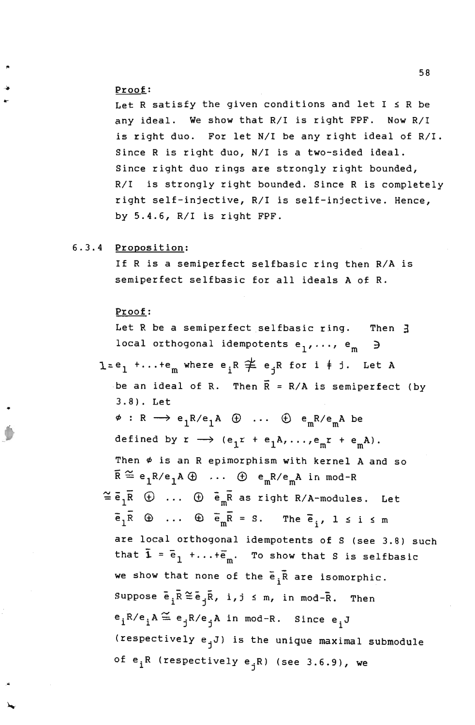### Proof:

,.

•

..

Let R satisfy the given conditions and let  $I \leq R$  be any ideal. We show that R/I is right FPF. Now R/I is right duo. For let N/I be any right ideal of R/I. Since R is right duo, N/I is a two-sided ideal. Since right duo rings are strongly right bounded, R/! is strongly right bounded. Since R is completely right self-injective, R/I is self-injective. Hence, by 5.4.6, R/! is right FPF.

### 6.3.4 Proposition:

If R is a semiperfect selfbasic ring then R/A is semiperfect selfbasic for all ideals A of R.

### Proof:

Let R be a semiperfect selfbasic ring. Then 3 local orthogonal idempotents  $e_1, \ldots, e_m \ni$  $1 = e_1 + ... + e_m$  where  $e_i R \not\cong e_j R$  for  $i \neq j$ . Let A be an ideal of R. Then  $\vec{R} = R/A$  is semiperfect (by 3.8). Let  $\oplus$  e<sub>m</sub>R/e<sub>m</sub>A be defined by  $r \longrightarrow (e_1r + e_1A, \ldots, e_mr + e_mA)$ . Then  $\phi$  is an R epimorphism with kernel A and so  $\overline{\mathbf{R}} \cong \mathbf{e}_1 \mathbf{R}/\mathbf{e}_1 \mathbf{A} \oplus \ldots \oplus \mathbf{e}_m \mathbf{R}/\mathbf{e}_m \mathbf{A}$  in mod-R  $\cong$  $\overline{e}_1\overline{R}$   $\oplus$  ...  $\oplus$   $\overline{e}_m\overline{R}$  as right R/A-modules. Let  $\oplus$   $\overline{e}_{m}$  $\overline{R}$  = S. The  $\overline{e}_{i}$ , 1  $\leq$  i  $\leq$  m are local orthogonal idempotents of S (see 3.8) such that  $\tilde{\mathbf{i}} = \tilde{\mathbf{e}}_1 + ... + \tilde{\mathbf{e}}_m$ . To show that S is selfbasic we show that none of the  $\tilde{e}_i \tilde{R}$  are isomorphic. Suppose  $\bar{\texttt{e}}_i\bar{\texttt{R}}\cong \bar{\texttt{e}}_j\bar{\texttt{R}}$ , i,j  $\leq$  m, in mod- $\bar{\texttt{R}}$ . Then  $e_i^R/e_i^A \cong e_j^R/e_j^A$  in mod-R. Since  $e_i^J$ (respectively e<sub>j</sub>J) is the unique maximal submodule of  $e_iR$  (respectively  $e_iR$ ) (see 3.6.9), we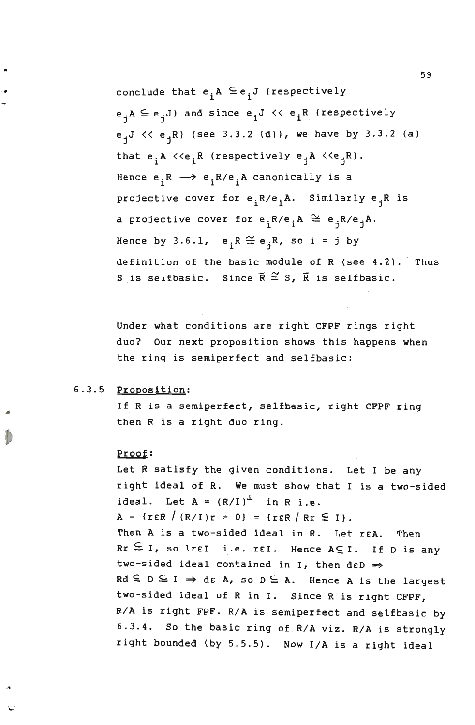conclude that  $e_iA \subseteq e_iJ$  (respectively  $e_i A \subseteq e_i J$ ) and since  $e_i J \ll e_i R$  (respectively  $e_i J \ll e_i R$ ) (see 3.3.2 (d)), we have by 3.3.2 (a) that  $e_i A \ll e_i R$  (respectively  $e_j A \ll e_j R$ ).<br>Hence  $e_i R \longrightarrow e_i R / e_i A$  canonically is a .<br>Hence e<sub>:</sub>R  $\longrightarrow$  e<sub>:</sub>R/e<sub>:</sub>A canonically is a projective cover for  $e^{\,\phantom{\dagger}}_{\,1}$ R/e $^{\,\phantom{\dagger}}_{\,1}$ A. Similarly  $e^{\,\phantom{\dagger}}_{\,3}$ R is a projective cover for e.R/e.A  $\cong$  e.R/e.A. /e<sub>i</sub>A. similariye<br><sub>i</sub>R/e<sub>i</sub>A ≅ e<sub>j</sub>R/e<sub>j</sub>A. Hence by 3.6.1,  $e_i R \cong e_i R$ , so i = j by definition of the basic module of R (see 4.2). Thus S is selfbasic. Since  $\overline{R} \stackrel{\sim}{=} S$ ,  $\overline{R}$  is selfbasic.

Under what conditions are right CFPF rings right duo? Our next proposition shows this happens when the ring is semiperfect and selfbasic:

### 6.3.5 Proposition:

..

•

If R is a semiperfect, selfbasic, right CFPF ring then R is a right duo ring.

### Proof:

Let R satisfy the given conditions. Let I be any right ideal of R. We must show that I is a two-sided ideal. Let  $A = (R/I)^{\perp}$  in R i.e.  $A = {r \in R / (R/I)}r = 0$ } = {r $\in R / Rr \subset I$  }. Then A is a two-sided ideal in R. Let rEA. Then  $Rr \subseteq I$ , so  $lref$  i.e. rEI. Hence  $A \subseteq I$ . If D is any two-sided ideal contained in I, then deD  $\Rightarrow$  $Rd \subseteq D \subseteq I \Rightarrow de A$ , so  $D \subseteq A$ . Hence A is the largest two-sided ideal of R in I. Since R is right CFPF, R/A is right FPF. R/A is semiperfect and selfbasic by 6.3.4. So the basic ring of R/A viz. R/A is strongly right bounded (by 5.5.5). Now I/A is a right ideal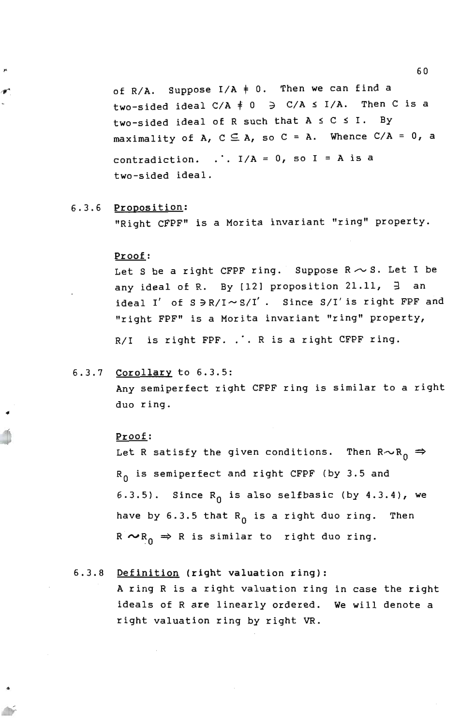of R/A. Suppose *I/A* f O. Then we can find a two-sided ideal  $C/A \neq 0$   $\Rightarrow$   $C/A \leq I/A$ . Then C is a two-sided ideal of R such that  $A \leq C \leq I$ . By maximality of A, C  $\subseteq$  A, so C = A. Whence C/A = 0, a<br>contradiction. .<sup>.</sup>. I/A = 0, so I = A is a two-sided ideal.

6.3.6 Proposition:

"Right CFPF" is a Morita invariant "ring" property.

### Proof:

Let S be a right CFPF ring. Suppose  $R \sim S$ . Let I be any ideal of R. By [12] proposition  $21.11$ ,  $\exists$  an ideal I' of  $S \ni R/I \sim S/I'$ . Since  $S/I'$  is right FPF and "right FPF" is a Morita invariant "ring" property, *R*/I is right FPF. .'. R is a right CFPF ring.

### 6.3.7 Corollary to 6.3.5:

Any semiperfect right CFPF ring is similar to a right duo ring.

### Proof:

**AD** 

Let R satisfy the given conditions. Then  $R \sim R_0 \Rightarrow$  $R_0$  is semiperfect and right CFPF (by 3.5 and 6.3.5). Since  $R_0$  is also selfbasic (by 4.3.4), we have by 6.3.5 that  $R_0$  is a right duo ring. Then  $R \sim R_0 \Rightarrow R$  is similar to right duo ring.

### 6.3.8 Definition (right valuation ring):

A ring R is a right valuation ring in case the right ideals of R are linearly ordered. We will denote a right valuation ring by right VR.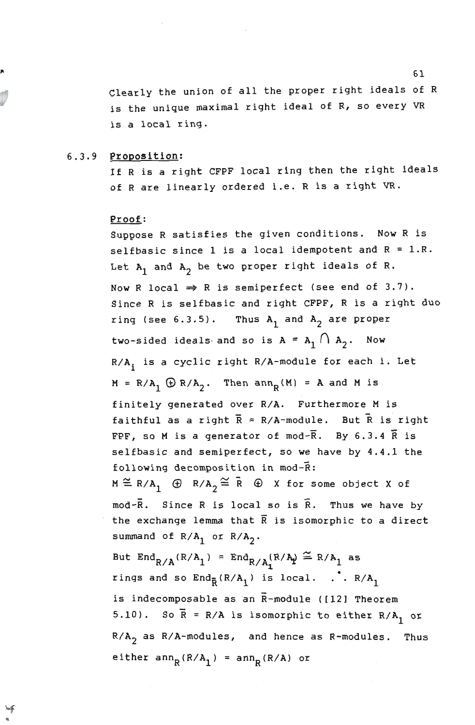Clearly the union of all the proper right ideals of R is the unique maximal right ideal of R, so every VR is a local ring.

### 6.3.9 Proposition:

If R is a right CFPF local ring then the right ideals of R are linearly ordered i.e. R is a right VR.

### Proof:

Suppose R satisfies the given conditions. Now R is selfbasic since  $1$  is a local idempotent and  $R = 1.R$ . Let  $A_1$  and  $A_2$  be two proper right ideals of R. Now R local  $\Rightarrow$  R is semiperfect (see end of 3.7). Since R is selfbasic and right CFPF, R is a right duo ring (see 6.3.5). Thus  $A_1$  and  $A_2$  are proper two-sided ideals and so is  $A = A_1 \cap A_2$ . Now R/A, is a cyclic right R/A-module for each i. Let  $M = R/A_1 \oplus R/A_2$ . Then ann<sub>R</sub>(M) = A and M is finitely generated over R/A. Furthermore M is faithful as a right  $\overline{R} = R/A$ -module. But  $\overline{R}$  is right FPF, so M is a generator of mod- $\overline{R}$ . By 6.3.4  $\overline{R}$  is selfbasic and semiperfect, so we have by 4.4.1 the following decomposition in mod-R:  $M \cong R/A$ ,  $\oplus$   $R/A \cong R$   $\oplus$  X for some object X of  $mod-\overline{R}$ . Since R is local so is  $\overline{R}$ . Thus we have by the exchange lemma that  $\overline{R}$  is isomorphic to a direct summand of  $R/A_1$  or  $R/A_2$ . But  $\text{End}_{R/A}(R/A_1) = \text{End}_{R/A_1}(R/A_1) \cong R/A_1$  as rings and so  $\text{End}_{\overline{R}}(R/A_1)$  is local. . .  $R/A_1$ is indecomposable as an  $\bar{R}$ -module ([12] Theorem 5.10). So  $\bar{R} = R/A$  is isomorphic to either  $R/A_1$  or  $R/A<sub>2</sub>$  as  $R/A$ -modules, and hence as R-modules. Thus either  $ann_R(R/A_1) = ann_R(R/A)$  or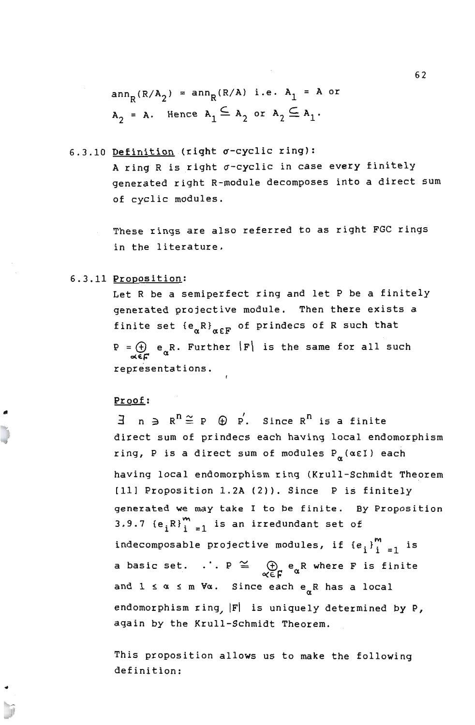$$
ann_R(R/A_2) = ann_R(R/A) i.e. A_1 = A or
$$
  

$$
A_2 = A. Hence A_1 \subseteq A_2 or A_2 \subseteq A_1.
$$

 $6.3.10$  Definition (right  $\sigma$ -cyclic ring):

A ring R is right  $\sigma$ -cyclic in case every finitely generated right R-module decomposes into a direct sum of cyclic modules.

These rings are also referred to as right FGC rings in the literature.

### 6.3.11 Proposition:

Let R be a semiperfect ring and let P be a finitely generated projective module. Then there exists a finite set  ${e_{\alpha}R}_{\alpha E}$  of prindecs of R such that  $P = \bigoplus_{\alpha \in \mathbb{C}} e_{\alpha} R$ . Further  $|F|$  is the same for all such representations.

### Proof:

•

 $\exists$   $n \ni R^n \stackrel{\sim}{=} P$   $\oplus$   $P'$ . Since  $R^n$  is a finite direct sum of prindecs each having local endomorphism ring, P is a direct sum of modules  $P_{\alpha}(\alpha \epsilon I)$  each having local endomorphism ring (Krull-Schmidt Theorem  $[11]$  Proposition 1.2A (2)). Since P is finitely generated we may take I to be finite. By Proposition 3.9.7  $\{e_i R\}_{i=1}^m$  is an irredundant set of indecomposable projective modules, if  ${e_i}^m$   $=$  is a basic set.  $\therefore P \cong \bigoplus_{\alpha \in \Gamma} e_{\alpha}R$  where F is finite and  $1 \leq \alpha \leq m$   $\forall \alpha$ . Since each  $e_{\alpha}$ R has a local endomorphism ring,  $|F|$  is uniquely determined by P, again by the Krull-Schmidt Theorem.

This proposition allows us to make the following definition: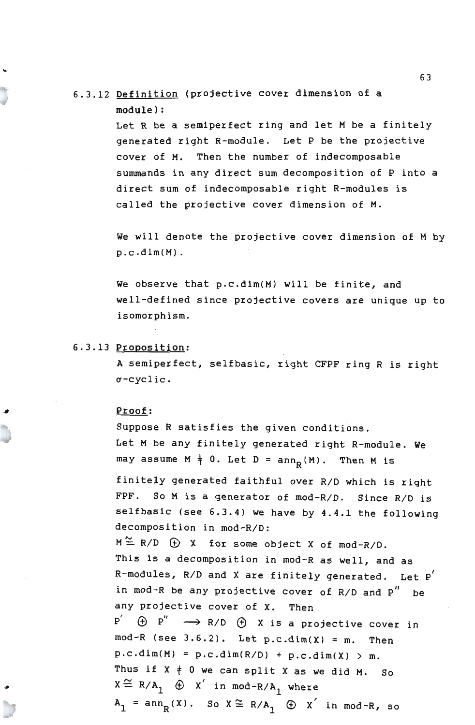# 6.3.12 Definition (projective cover dimension of a module) :

Let R be a semiperfect ring and let M be a finitely generated right R-module. Let P be the projective cover of M. Then the number of indecomposable summands in any direct sum decomposition of P into a direct sum of indecomposable right R-modules is called the projective cover dimension of M.

We will denote the projective cover dimension of M by p.c.dim(M) .

We observe that p.c.dim(M) will be finite, and well-defined since projective covers are unique up to isomorphism.

## 6.3.13 Proposition:

A semiperfect, selfbasic, right CFPF ring R is right O'-cyclic.

#### Proof:

Suppose R satisfies the given conditions. Let M be any finitely generated right R-module. We may assume  $M \dagger 0$ . Let  $D = ann_R(M)$ . Then M is finitely generated faithful over *RID* which is right FPF. So M is a generator of mod-R/D. Since R/D is selfbasic (see 6.3.4) we have by 4.4.1 the following decomposition in mod-R/D:  $M \cong R/D$   $\oplus$  X for some object X of mod-R/D. This is a decomposition in mod-R as well, and as R-modules, *RID* and X are finitely generated. Let *p'*  in mod-R be any projective cover of *RID* and p" be any projective cover of X. Then  $P'$   $\oplus$   $P''$   $\longrightarrow$   $R/D$   $\oplus$  X is a projective cover in mod-R (see  $3.6.2$ ). Let  $p.c.dim(X) = m$ . Then  $p.c.dim(M) = p.c.dim(R/D) + p.c.dim(X) > m.$ Thus if  $X \neq 0$  we can split X as we did M. So  $X \cong R/A_1 \oplus X'$  in mod-R/A<sub>1</sub> where  $A_1$  = ann<sub>R</sub>(X). So  $X \cong R/A_1$   $\oplus$  X' in mod-R, so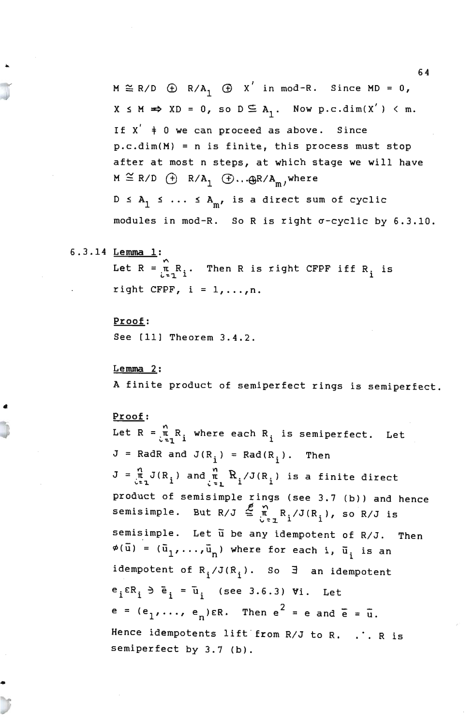$M \cong R/D$   $\oplus$   $R/A_1$   $\oplus$  X' in mod-R. Since MD = 0,  $X~\le~M \implies XD = 0$ , so  $D \subseteq A_1$ . Now p.c.dim(X') < m. If  $X' + 0$  we can proceed as above. Since p.c.dim(M) = n is finite, this process must stop after at most n steps, at which stage we will have  $M \cong R/D$   $\oplus$   $R/A_1$   $\oplus \ldots \oplus R/A_m$ , where  $D ~\leq~ A_1 ~\leq~ \ldots ~\leq~ A_m$ , is a direct sum of cyclic modules in mod-R. So R is right  $\sigma$ -cyclic by  $6.3.10$ .

# 6.3.14 Lemma 1:

Let  $R = \prod_{i=1}^{n} R_i$ . Then R is right CFPF iff  $R_i$  is right CFPF,  $i = 1, \ldots, n$ .

#### Proof:

See [11] Theorem 3.4.2.

## Lemma 2:

A finite product of semiperfect rings is semiperfect.

## Proof:

•

Let  $R = \prod_{i=1}^{n} R_i$  where each  $R_i$  is semiperfect. Let  $J = RadR$  and  $J(R_i) = Rad(R_i)$ . Then  $J = \frac{n}{\mu} J(R_i)$  and  $\frac{n}{\mu}$ ,  $R_i/J(R_i)$  is a finite direct product of semisimple rings (see 3.7 (b)) and hence semisimple. But R/J  $\overset{p}{\cong}$   $\underset{U\in\mathcal{I}}{\mathbb{R}}$  R<sub>1</sub>/J(R<sub>1</sub>), so R/J is semisimple. Let  $\bar{u}$  be any idempotent of R/J. Then  $\phi(\vec{u}) = (\vec{u}_1, \ldots, \vec{u}_n)$  where for each i,  $\vec{u}_i$  is an idempotent of  $R_i / J(R_i)$ . So  $\exists$  an idempotent  $e_i$   $\in$   $R_i$   $\ni$   $\bar{e}_i$  =  $\bar{u}_i$  (see 3.6.3)  $\forall i$ . Let  $e = (e_1, \ldots, e_n) \in R$ . Then  $e^2 = e$  and  $\overline{e} = \overline{u}$ . ience idempotents lift from R/J to R. . . R is semiperfect by 3.7 (b) .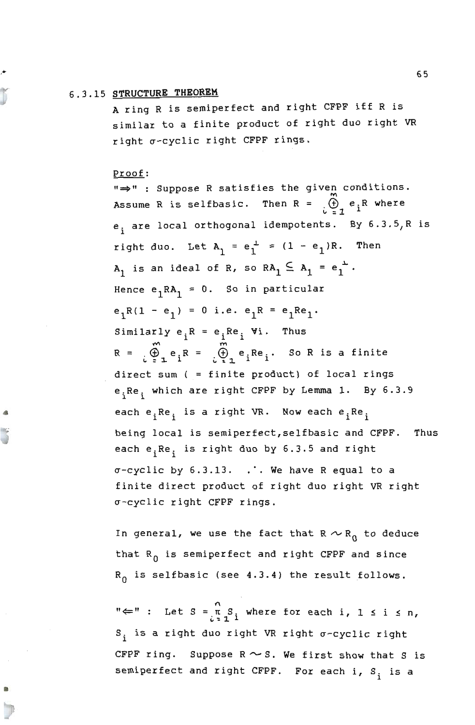# 6.3.15 **STRUCTURE THEOREM**

A ring R is semiperfect and right CFPF iff R is similar to a finite product of right duo right VR right  $\sigma$ -cyclic right CFPF rings.

## Proof:

•

•

 $"\Rightarrow"$  : Suppose R satisfies the given conditions. we in the self of the set of the set of the set of the set of the set of the set of the set of the set of the set of the set of the set of the set of the set of the set of the set of the set of the set of the set of the s e<sub>;</sub> are local orthogonal idempotents. By 6.3.5,R is right duo. Let  $A_1 = e_1^{\perp} = (1 - e_1)R$ . Then  $A_1$  is an ideal of R, so RA<sub>1</sub>  $\subseteq$  A<sub>1</sub> =  $e_1^{\perp}$ . Hence  $e_1RA_1 = 0$ . So in particular  $e_1R(1 - e_1) = 0$  i.e.  $e_1R = e_1Re_1$ . Similarly e.R = 0 i.e.  $e_1$ <br>i<sup>R = e</sup>i<sup>Re</sup>i ∀ = e.Re. Vi. Thus  $\ldots$  in  $\ldots$  $R = \bigoplus_{i=1}^{m} e_i R = \bigoplus_{i=1}^{m} e_i R e_i$ . So R is a finite  $\cdot$   $\mathbb{V}_1$   $\cdot$   $\cdot$  i  $\cdot$ direct sum ( = finite product) of local rings e.Re. which are right CFPF by Lemma 1. By 6.3.9 each  $e_i Re_i$  is a right VR. Now each  $e_i Re_i$ being local is semiperfect,selfbasic and CFPF. Thus each  $e_i Re_i$  is right duo by 6.3.5 and right  $\sigma$ -cyclic by 6.3.13. . We have R equal to a finite direct product of right duo right VR right ~-cyclic right CFPF rings.

In general, we use the fact that  $R \sim R_0$  to deduce that  $R_0$  is semiperfect and right CFPF and since  $R_0$  is selfbasic (see 4.3.4) the result follows.

 $\mathbb{C} \Leftarrow " : \text{ Let } S = \mathop{\pi \cdot S}_{1} \text{ where for each } i, 1 \leq i \leq n,$  $S_i$  is a right duo right VR right  $\sigma$ -cyclic right CFPF ring. Suppose  $R \sim S$ . We first show that S is  $\begin{bmatrix} 1 & 1 \\ 2 & 1 \end{bmatrix}$  . The semiperfect and right CFPF. For each i,  $S_i$  is a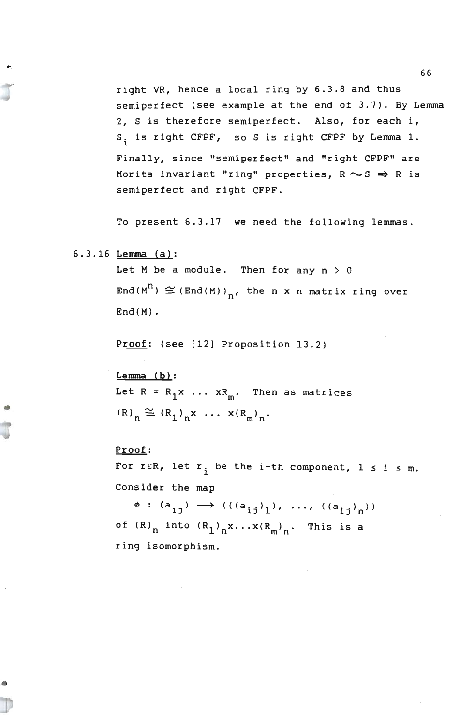right VR, hence a local ring by 6.3.8 and thus semiperfect (see example at the end of 3.7). By Lemma 2, S is therefore semiperfect. Also, for each i, S<sub>i</sub> is right CFPF, so S is right CFPF by Lemma 1. Finally, since "semiperfect" and "right CFPF" are Morita invariant "ring" properties,  $R \sim S \Rightarrow R$  is semiperfect and right CFPF.

To present 6.3.17 we need the following lemmas.

```
6.3.16 Lemma (a):
```
J

•

•

Let M be a module. Then for any  $n > 0$ End(M<sup>n</sup>)  $\cong$  (End(M))<sub>n</sub>, the n x n matrix ring over  $End(M)$ .

Proof: (see [12] Proposition 13.2)

Lemma (b): Let  $R = R_1 x \ldots xR_m$ . Then as matrices  $(R)$ <sub>n</sub>  $\cong$   $(R_1)$ <sub>n</sub>  $\ldots$   $x(R_m)$ <sub>n</sub>.

Proof:

For r $\epsilon$ R, let r<sub>;</sub> be the i-th component,  $1 \le i \le m$ . Consider the map

 $\phi$  :  $(a_{i,j}) \rightarrow ((a_{i,j})_1), \ldots, (a_{i,j})_n)$ of  $(R)$ <sub>n</sub> into  $(R_1)$ <sub>n</sub>x...x $(R_m)$ <sub>n</sub>. This is a ring isomorphism .

66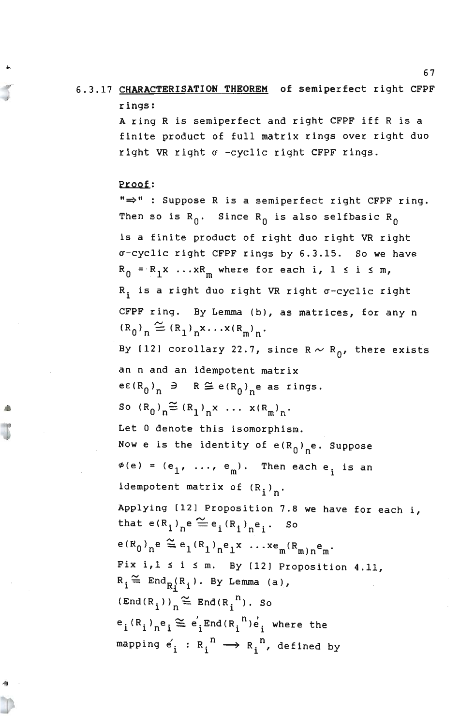# 6.3.17 CHARACTERISATION THEOREM of semiperfect right CFPF rings:

A ring R is semiperfect and right CFPF iff R is a finite product of full matrix rings over right duo right VR right  $\sigma$  -cyclic right CFPF rings.

#### Proof:

 $"\Rightarrow"$  : Suppose R is a semiperfect right CFPF ring. Then so is  $R_0$ . Since  $R_0$  is also selfbasic  $R_0$ is a finite product of right duo right VR right  $\sigma$ -cyclic right CFPF rings by  $6.3.15$ . So we have  $R_0 = R_1 x$  ...  $xR_m$  where for each i,  $1 \le i \le m$ ,  $R_i$  is a right duo right VR right  $\sigma$ -cyclic right CFPF ring. By Lemma (b), as matrices, for any n  $({R_0})_n \cong ({R_1})_n x ... x {({R_m})}_n$ . By [12] corollary 22.7, since  $R \sim R_0$ , there exists an n and an idempotent matrix  $\left(\mathbb{R}_{0}\right)_{n} \ni \mathbb{R} \cong \left(\mathbb{R}_{0}\right)_{n}$ e as rings. So  $(R_0)_n \widetilde{\equiv} (R_1)_n x \ldots x (R_m)_n$ . Let 0 denote this isomorphism. Now e is the identity of  $e(R_0)_n$ e. Suppose Then each e<sub>i</sub> is an idempotent matrix of  $(R_i)_n$ . Applying [12] Proposition 7.8 we have for each i, that  $e(R_i)_{n}e \cong e_i(R_i)_{n}e_i$ . So  $e(R_0)_n^e \cong e_1(R_1)_n^e e_1^x \dots x e_m(R_{m)n}^e$ Fix  $i, 1 \le i \le m$ . By [12] Proposition 4.11, that  $e(R_i)_{n}e =$ <br>  $e(R_0)_{n}e \cong e_1(R)$ <br>
Fix i,  $1 \le i \le n$ <br>  $R_i \cong$  End<sub>R</sub> $(R_i)$ .<br>  $(End(R_i))_{n} \cong$  End  $R_i \stackrel{\sim}{=}$  End<sub>R</sub> $(R_i)$ . By Lemma (a),  $(\text{End}(R_i))_n \cong \text{End}(R_i^n)$ . So  $\approx$  e' Fraip  $n_{16}$  $e_i(R_i)_{n}e_i \cong e_i'$ End( $R_i^{n}$ ) $e_i'$  where the mapping  $e_{i}^{'} : R_{i}^{n} \longrightarrow R_{i}^{n}$ , defined by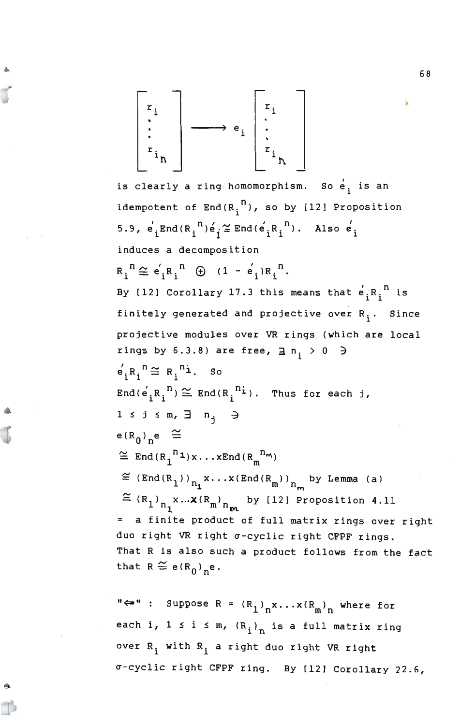

..

is clearly a ring homomorphism. So  $e^{'}_{\text{i}}$  is an idempotent of  $End(R_i^{n})$ , so by [12] Proposition 5.9,  $e'_i$  End  $(R_i^{-n})e'_i \cong$  End  $(e'_i R_i^{-n})$ . Also  $e'_i$ induces a decomposition  $\sqrt{ }$  $(1 - e^{\'}_i)R_i^{\ n}.$  $\frac{1}{2}$ , n.e. By [12] Corollary 17.3 this means that  $e^{\prime}_{\;\;i}$  R  $^{n}_{\;i}$  is finitely generated and projective over  $R_i$ . Since projective modules over VR rings (which are local rings by 6.3.8) are free,  $\exists n_i > 0 \exists$  $e'_i R_i$ <sup>n</sup> $\cong R_i$ <sup>n</sup>i. so  $\cong$  R.<sup>n</sup>i. so  $\text{End}(\begin{smallmatrix}e'_iR_i^{\;n}\end{smallmatrix}) \cong \text{End}(R_i^{\;n_1}).$  Thus for each j,  $1 \leq j \leq m, \exists n_j$  $e(R_0)$ <sub>n</sub>e  $\cong$  $\cong$  End  $(R_1^{n_1}) \times ... \times R_{n_d} (R_m^{n_m})$  $\cong$  (End(R<sub>1</sub>))<sub>n<sub>1</sub></sub> x... x(End(R<sub>m</sub>))<sub>n<sub>m</sub> by Lemma (a)</sub>  $\approx$  (R<sub>1</sub>)<sub>n</sub> x ... X(R<sub>m</sub>)<sub>nm</sub> by [12] Proposition 4.11 = a finite product of full matrix rings over right duo right VR right a-cyclic right CFPF rings. That R is also such a product follows from the fact that  $R \cong e(R_0) e$ .

 $f \Leftarrow " : Suppose R = (R_1)_{n} x ... x (R_m)_{n}$  where for each i,  $1 \le i \le m$ ,  $(R_i)_{n}$  is a full matrix ring over  $R_i$  with  $R_i$  a right duo right VR right  $\sigma$ -cyclic right CFPF ring. By [12] Corollary 22.6,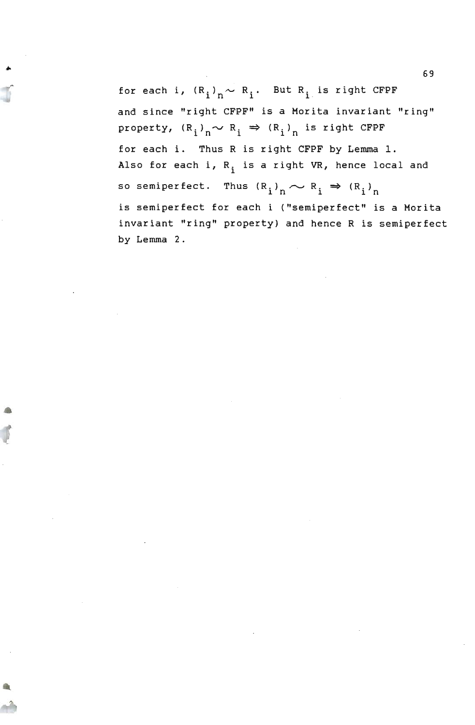for each i,  $(R_i)$ <sub>n</sub> $\sim$   $R_i$ . But  $R_i$  is right CFPF  $\sum_{i}^{i} n \sim R_{i}$ . But R<sub>i</sub> is<br>ht CFPF" is a Morita and since "right CFPF" is a Morita invariant "ring" property,  $(R_i)_n \sim R_i \Rightarrow (R_i)_n$  is right CFPF for each i. Thus R is right CFPF by Lemma 1. Also for each i, R<sub>i</sub> is a right VR, hence local and so semiperfect. Thus  $(R_i)_n \sim R_i \Rightarrow (R_i)_n$ is semiperfect for each i ("semiperfect" is a Morita invariant "ring" property) and hence R is semiperfect by Lemma 2 .

69

•

..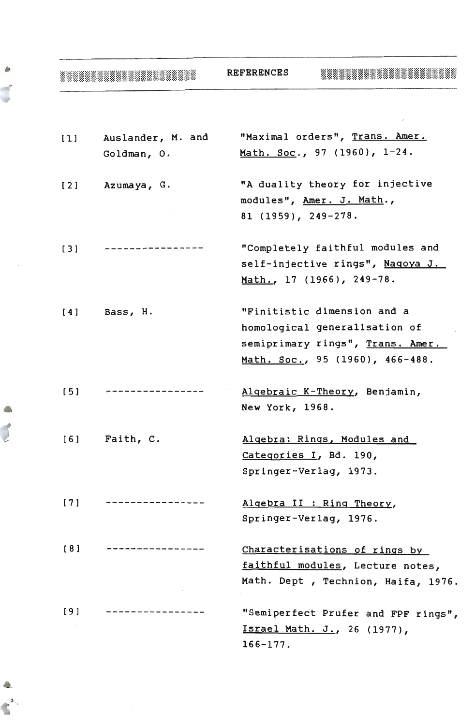#### REFERENCES 1111I11111111111111111 **........................**

 $\hat{\mathcal{L}}$ 

..

 $\begin{array}{c} \begin{array}{c} \end{array} \end{array}$ 

€

**The** 

 $\mathbb{C}^2$ 

| [1]   | Auslander, M. and<br>Goldman, O. | "Maximal orders", Trans. Amer.<br>Math. Soc., 97 (1960), $1-24$ .                                                                   |
|-------|----------------------------------|-------------------------------------------------------------------------------------------------------------------------------------|
| [2]   | Azumaya, G.                      | "A duality theory for injective<br>modules", Amer. J. Math.,<br>$81$ (1959), 249-278.                                               |
| $[3]$ |                                  | "Completely faithful modules and<br>self-injective rings", Nagoya J.<br>Math., $17$ (1966), $249-78$ .                              |
| [4]   | Bass, H.                         | "Finitistic dimension and a<br>homological generalisation of<br>semiprimary rings", Trans. Amer.<br>Math. Soc., 95 (1960), 466-488. |
| [5]   |                                  | Algebraic K-Theory, Benjamin,<br>New York, 1968.                                                                                    |
| [6]   | Faith, C.                        | Algebra: Rings, Modules and<br>Categories I, Bd. 190,<br>Springer-Verlag, 1973.                                                     |
| [7]   |                                  | Algebra II : Ring Theory,<br>Springer-Verlag, 1976.                                                                                 |
| [8]   |                                  | Characterisations of rings by<br>faithful modules, Lecture notes,<br>Math. Dept , Technion, Haifa, 1976.                            |
| [9]   |                                  | "Semiperfect Prufer and FPF rings",<br>Israel Math. J., 26 (1977),<br>$166 - 177.$                                                  |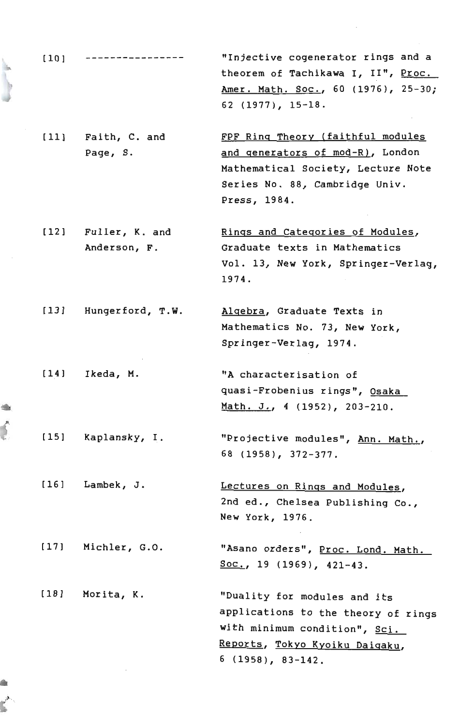$[10]$ **----------------** "Injective cogenerator rings and a theorem of Tachikawa I, II", Proc. Amer. Math. Soc., 60 (1976), 25-30; 62 (1977), 15-18.

[11) Faith, C. and Page, S. FPF Ring Theory (faithful modules and generators of mod-R), London Mathematical Society, Lecture Note Series No. 88, Cambridge Univ. Press, 1984.

 $[12]$ Fuller, K. and Anderson, F. Rings and Categories of Modules, Graduate texts in Mathematics Vol. 13, New York, Springer-Ver1ag, 1974.

[13) Hungerford, T.W. Algebra, Graduate Texts in Mathematics No. 73, New York, Springer-Ver1ag, 1974.

[14] Ikeda, M. "A characterisation of quasi-Frobenius rings", Osaka Math. J., 4 (1952), 203-210.

[15) Kaplansky, I. "Projective modules", Ann. Math., 68 (1958), 372-377.

[16] Lambek, J. Lectures on Rings and Modules, 2nd ed., Chelsea Publishing Co., New York, 1976.

[17] Michler, G.O. "Asano orders", Proc. Lond. Math. Soc., 19 (1969), 421-43.

[18 ] Morita, K. "Duality for modules and its applications to the theory of rings with minimum condition", Sci. Reports, Tokyo Kyolku Daigaku, 6 (1958), 83-142 .

•